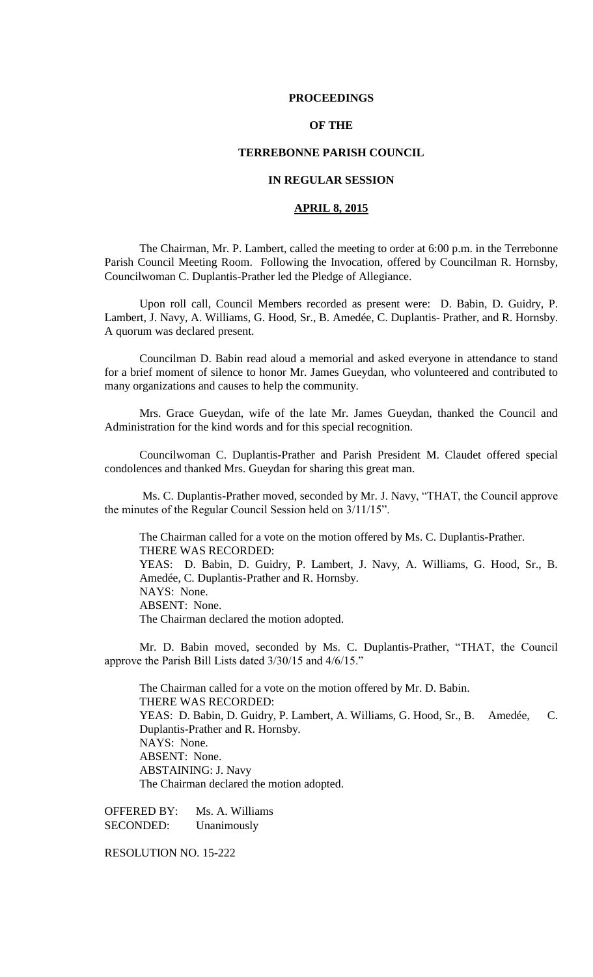#### **PROCEEDINGS**

# **OF THE**

#### **TERREBONNE PARISH COUNCIL**

# **IN REGULAR SESSION**

# **APRIL 8, 2015**

The Chairman, Mr. P. Lambert, called the meeting to order at 6:00 p.m. in the Terrebonne Parish Council Meeting Room. Following the Invocation, offered by Councilman R. Hornsby, Councilwoman C. Duplantis-Prather led the Pledge of Allegiance.

Upon roll call, Council Members recorded as present were: D. Babin, D. Guidry, P. Lambert, J. Navy, A. Williams, G. Hood, Sr., B. Amedée, C. Duplantis- Prather, and R. Hornsby. A quorum was declared present.

Councilman D. Babin read aloud a memorial and asked everyone in attendance to stand for a brief moment of silence to honor Mr. James Gueydan, who volunteered and contributed to many organizations and causes to help the community.

Mrs. Grace Gueydan, wife of the late Mr. James Gueydan, thanked the Council and Administration for the kind words and for this special recognition.

Councilwoman C. Duplantis-Prather and Parish President M. Claudet offered special condolences and thanked Mrs. Gueydan for sharing this great man.

Ms. C. Duplantis-Prather moved, seconded by Mr. J. Navy, "THAT, the Council approve the minutes of the Regular Council Session held on 3/11/15".

The Chairman called for a vote on the motion offered by Ms. C. Duplantis-Prather. THERE WAS RECORDED: YEAS: D. Babin, D. Guidry, P. Lambert, J. Navy, A. Williams, G. Hood, Sr., B. Amedée, C. Duplantis-Prather and R. Hornsby. NAYS: None. ABSENT: None. The Chairman declared the motion adopted.

Mr. D. Babin moved, seconded by Ms. C. Duplantis-Prather, "THAT, the Council approve the Parish Bill Lists dated 3/30/15 and 4/6/15."

The Chairman called for a vote on the motion offered by Mr. D. Babin. THERE WAS RECORDED: YEAS: D. Babin, D. Guidry, P. Lambert, A. Williams, G. Hood, Sr., B. Amedée, C. Duplantis-Prather and R. Hornsby. NAYS: None. ABSENT: None. ABSTAINING: J. Navy The Chairman declared the motion adopted.

OFFERED BY: Ms. A. Williams SECONDED: Unanimously

RESOLUTION NO. 15-222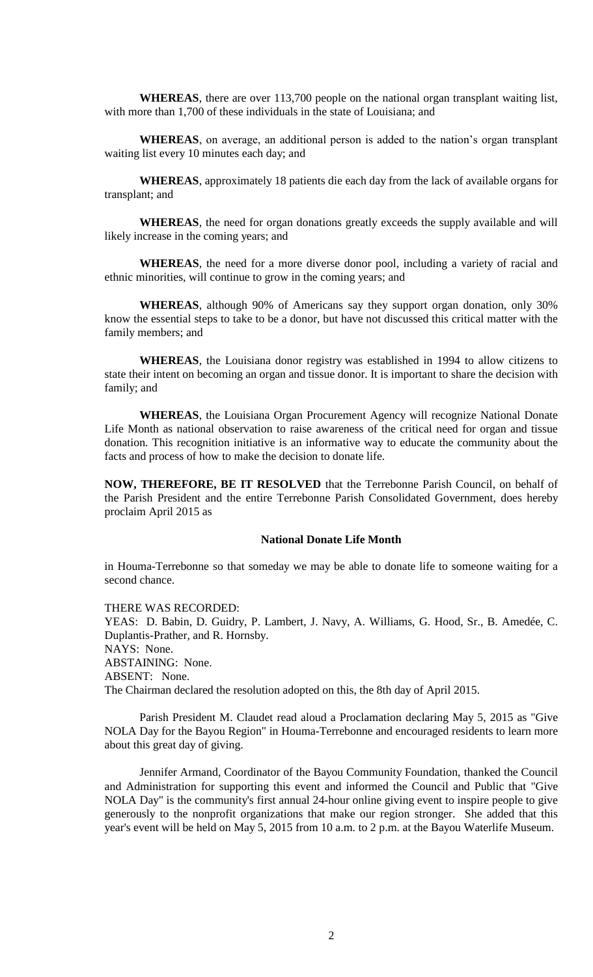**WHEREAS**, there are over 113,700 people on the national organ transplant waiting list, with more than 1,700 of these individuals in the state of Louisiana; and

**WHEREAS**, on average, an additional person is added to the nation's organ transplant waiting list every 10 minutes each day; and

**WHEREAS**, approximately 18 patients die each day from the lack of available organs for transplant; and

**WHEREAS**, the need for organ donations greatly exceeds the supply available and will likely increase in the coming years; and

**WHEREAS**, the need for a more diverse donor pool, including a variety of racial and ethnic minorities, will continue to grow in the coming years; and

**WHEREAS**, although 90% of Americans say they support organ donation, only 30% know the essential steps to take to be a donor, but have not discussed this critical matter with the family members; and

**WHEREAS**, the Louisiana donor registry was established in 1994 to allow citizens to state their intent on becoming an organ and tissue donor. It is important to share the decision with family; and

**WHEREAS**, the Louisiana Organ Procurement Agency will recognize National Donate Life Month as national observation to raise awareness of the critical need for organ and tissue donation. This recognition initiative is an informative way to educate the community about the facts and process of how to make the decision to donate life.

**NOW, THEREFORE, BE IT RESOLVED** that the Terrebonne Parish Council, on behalf of the Parish President and the entire Terrebonne Parish Consolidated Government, does hereby proclaim April 2015 as

#### **National Donate Life Month**

in Houma-Terrebonne so that someday we may be able to donate life to someone waiting for a second chance.

THERE WAS RECORDED: YEAS: D. Babin, D. Guidry, P. Lambert, J. Navy, A. Williams, G. Hood, Sr., B. Amedée, C. Duplantis-Prather, and R. Hornsby. NAYS: None. ABSTAINING: None. ABSENT: None. The Chairman declared the resolution adopted on this, the 8th day of April 2015.

Parish President M. Claudet read aloud a Proclamation declaring May 5, 2015 as "Give NOLA Day for the Bayou Region" in Houma-Terrebonne and encouraged residents to learn more about this great day of giving.

Jennifer Armand, Coordinator of the Bayou Community Foundation, thanked the Council and Administration for supporting this event and informed the Council and Public that "Give NOLA Day" is the community's first annual 24-hour online giving event to inspire people to give generously to the nonprofit organizations that make our region stronger. She added that this year's event will be held on May 5, 2015 from 10 a.m. to 2 p.m. at the Bayou Waterlife Museum.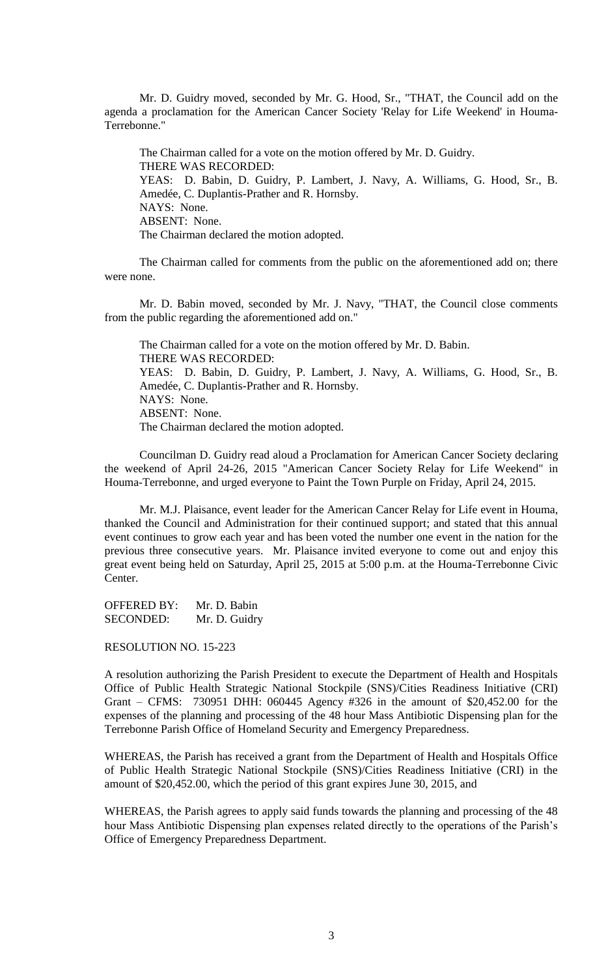Mr. D. Guidry moved, seconded by Mr. G. Hood, Sr., "THAT, the Council add on the agenda a proclamation for the American Cancer Society 'Relay for Life Weekend' in Houma-Terrebonne."

The Chairman called for a vote on the motion offered by Mr. D. Guidry. THERE WAS RECORDED: YEAS: D. Babin, D. Guidry, P. Lambert, J. Navy, A. Williams, G. Hood, Sr., B. Amedée, C. Duplantis-Prather and R. Hornsby. NAYS: None. ABSENT: None. The Chairman declared the motion adopted.

The Chairman called for comments from the public on the aforementioned add on; there were none.

Mr. D. Babin moved, seconded by Mr. J. Navy, "THAT, the Council close comments from the public regarding the aforementioned add on."

The Chairman called for a vote on the motion offered by Mr. D. Babin. THERE WAS RECORDED: YEAS: D. Babin, D. Guidry, P. Lambert, J. Navy, A. Williams, G. Hood, Sr., B. Amedée, C. Duplantis-Prather and R. Hornsby. NAYS: None. ABSENT: None. The Chairman declared the motion adopted.

Councilman D. Guidry read aloud a Proclamation for American Cancer Society declaring the weekend of April 24-26, 2015 "American Cancer Society Relay for Life Weekend" in Houma-Terrebonne, and urged everyone to Paint the Town Purple on Friday, April 24, 2015.

Mr. M.J. Plaisance, event leader for the American Cancer Relay for Life event in Houma, thanked the Council and Administration for their continued support; and stated that this annual event continues to grow each year and has been voted the number one event in the nation for the previous three consecutive years. Mr. Plaisance invited everyone to come out and enjoy this great event being held on Saturday, April 25, 2015 at 5:00 p.m. at the Houma-Terrebonne Civic Center.

OFFERED BY: Mr. D. Babin SECONDED: Mr. D. Guidry

RESOLUTION NO. 15-223

A resolution authorizing the Parish President to execute the Department of Health and Hospitals Office of Public Health Strategic National Stockpile (SNS)/Cities Readiness Initiative (CRI) Grant – CFMS: 730951 DHH: 060445 Agency #326 in the amount of \$20,452.00 for the expenses of the planning and processing of the 48 hour Mass Antibiotic Dispensing plan for the Terrebonne Parish Office of Homeland Security and Emergency Preparedness.

WHEREAS, the Parish has received a grant from the Department of Health and Hospitals Office of Public Health Strategic National Stockpile (SNS)/Cities Readiness Initiative (CRI) in the amount of \$20,452.00, which the period of this grant expires June 30, 2015, and

WHEREAS, the Parish agrees to apply said funds towards the planning and processing of the 48 hour Mass Antibiotic Dispensing plan expenses related directly to the operations of the Parish's Office of Emergency Preparedness Department.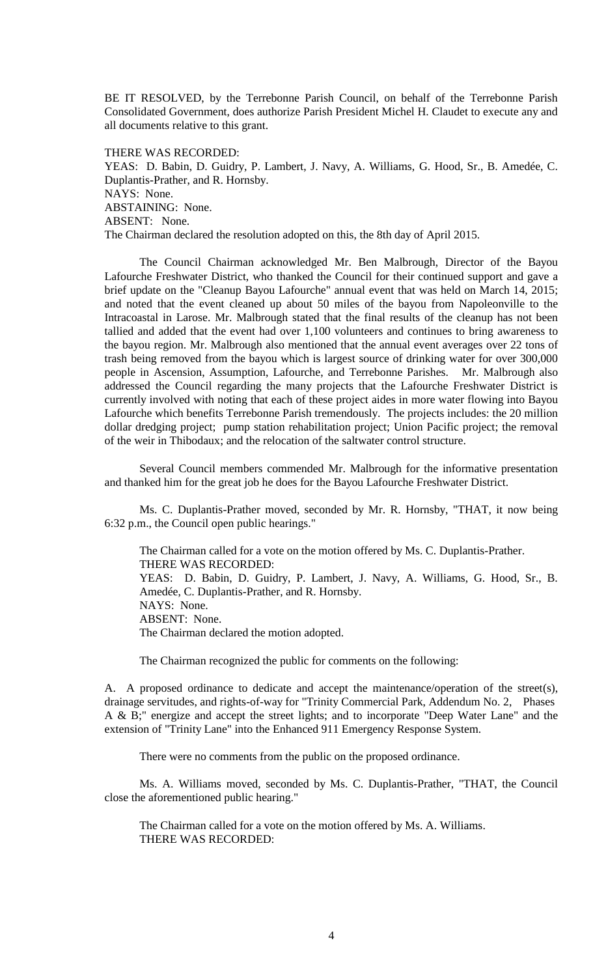BE IT RESOLVED, by the Terrebonne Parish Council, on behalf of the Terrebonne Parish Consolidated Government, does authorize Parish President Michel H. Claudet to execute any and all documents relative to this grant.

THERE WAS RECORDED: YEAS: D. Babin, D. Guidry, P. Lambert, J. Navy, A. Williams, G. Hood, Sr., B. Amedée, C. Duplantis-Prather, and R. Hornsby. NAYS: None. ABSTAINING: None. ABSENT: None. The Chairman declared the resolution adopted on this, the 8th day of April 2015.

The Council Chairman acknowledged Mr. Ben Malbrough, Director of the Bayou Lafourche Freshwater District, who thanked the Council for their continued support and gave a brief update on the "Cleanup Bayou Lafourche" annual event that was held on March 14, 2015; and noted that the event cleaned up about 50 miles of the bayou from Napoleonville to the Intracoastal in Larose. Mr. Malbrough stated that the final results of the cleanup has not been tallied and added that the event had over 1,100 volunteers and continues to bring awareness to the bayou region. Mr. Malbrough also mentioned that the annual event averages over 22 tons of trash being removed from the bayou which is largest source of drinking water for over 300,000 people in Ascension, Assumption, Lafourche, and Terrebonne Parishes. Mr. Malbrough also addressed the Council regarding the many projects that the Lafourche Freshwater District is currently involved with noting that each of these project aides in more water flowing into Bayou Lafourche which benefits Terrebonne Parish tremendously. The projects includes: the 20 million dollar dredging project; pump station rehabilitation project; Union Pacific project; the removal of the weir in Thibodaux; and the relocation of the saltwater control structure.

Several Council members commended Mr. Malbrough for the informative presentation and thanked him for the great job he does for the Bayou Lafourche Freshwater District.

Ms. C. Duplantis-Prather moved, seconded by Mr. R. Hornsby, "THAT, it now being 6:32 p.m., the Council open public hearings."

The Chairman called for a vote on the motion offered by Ms. C. Duplantis-Prather. THERE WAS RECORDED: YEAS: D. Babin, D. Guidry, P. Lambert, J. Navy, A. Williams, G. Hood, Sr., B. Amedée, C. Duplantis-Prather, and R. Hornsby. NAYS: None. ABSENT: None. The Chairman declared the motion adopted.

The Chairman recognized the public for comments on the following:

A. A proposed ordinance to dedicate and accept the maintenance/operation of the street(s), drainage servitudes, and rights-of-way for "Trinity Commercial Park, Addendum No. 2, Phases A & B;" energize and accept the street lights; and to incorporate "Deep Water Lane" and the extension of "Trinity Lane" into the Enhanced 911 Emergency Response System.

There were no comments from the public on the proposed ordinance.

Ms. A. Williams moved, seconded by Ms. C. Duplantis-Prather, "THAT, the Council close the aforementioned public hearing."

The Chairman called for a vote on the motion offered by Ms. A. Williams. THERE WAS RECORDED: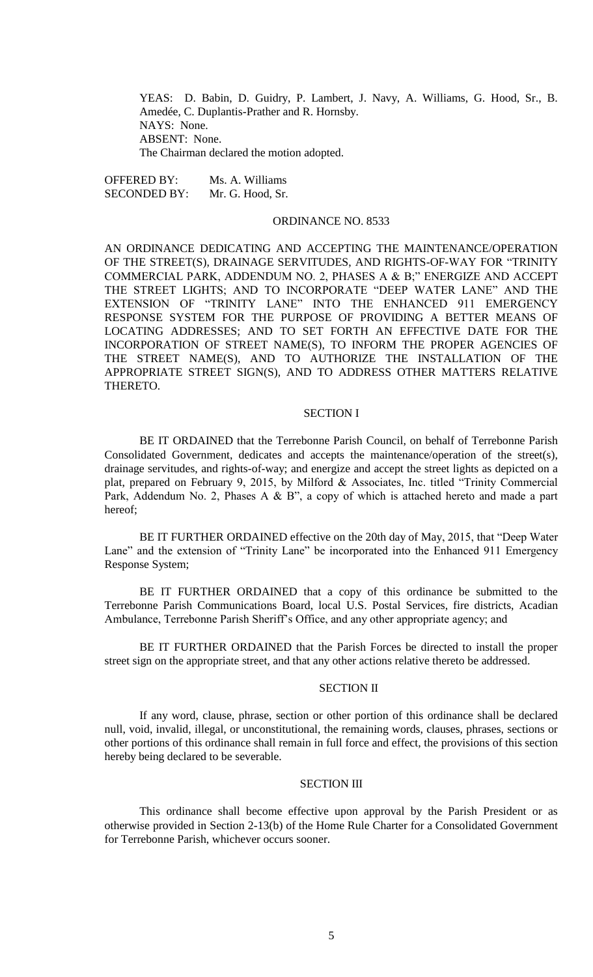YEAS: D. Babin, D. Guidry, P. Lambert, J. Navy, A. Williams, G. Hood, Sr., B. Amedée, C. Duplantis-Prather and R. Hornsby. NAYS: None. ABSENT: None. The Chairman declared the motion adopted.

OFFERED BY: Ms. A. Williams SECONDED BY: Mr. G. Hood, Sr.

#### ORDINANCE NO. 8533

AN ORDINANCE DEDICATING AND ACCEPTING THE MAINTENANCE/OPERATION OF THE STREET(S), DRAINAGE SERVITUDES, AND RIGHTS-OF-WAY FOR "TRINITY COMMERCIAL PARK, ADDENDUM NO. 2, PHASES A & B;" ENERGIZE AND ACCEPT THE STREET LIGHTS; AND TO INCORPORATE "DEEP WATER LANE" AND THE EXTENSION OF "TRINITY LANE" INTO THE ENHANCED 911 EMERGENCY RESPONSE SYSTEM FOR THE PURPOSE OF PROVIDING A BETTER MEANS OF LOCATING ADDRESSES; AND TO SET FORTH AN EFFECTIVE DATE FOR THE INCORPORATION OF STREET NAME(S), TO INFORM THE PROPER AGENCIES OF THE STREET NAME(S), AND TO AUTHORIZE THE INSTALLATION OF THE APPROPRIATE STREET SIGN(S), AND TO ADDRESS OTHER MATTERS RELATIVE THERETO.

#### SECTION I

BE IT ORDAINED that the Terrebonne Parish Council, on behalf of Terrebonne Parish Consolidated Government, dedicates and accepts the maintenance/operation of the street(s), drainage servitudes, and rights-of-way; and energize and accept the street lights as depicted on a plat, prepared on February 9, 2015, by Milford & Associates, Inc. titled "Trinity Commercial Park, Addendum No. 2, Phases A & B", a copy of which is attached hereto and made a part hereof;

BE IT FURTHER ORDAINED effective on the 20th day of May, 2015, that "Deep Water Lane" and the extension of "Trinity Lane" be incorporated into the Enhanced 911 Emergency Response System;

BE IT FURTHER ORDAINED that a copy of this ordinance be submitted to the Terrebonne Parish Communications Board, local U.S. Postal Services, fire districts, Acadian Ambulance, Terrebonne Parish Sheriff's Office, and any other appropriate agency; and

BE IT FURTHER ORDAINED that the Parish Forces be directed to install the proper street sign on the appropriate street, and that any other actions relative thereto be addressed.

#### SECTION II

If any word, clause, phrase, section or other portion of this ordinance shall be declared null, void, invalid, illegal, or unconstitutional, the remaining words, clauses, phrases, sections or other portions of this ordinance shall remain in full force and effect, the provisions of this section hereby being declared to be severable.

### SECTION III

This ordinance shall become effective upon approval by the Parish President or as otherwise provided in Section 2-13(b) of the Home Rule Charter for a Consolidated Government for Terrebonne Parish, whichever occurs sooner.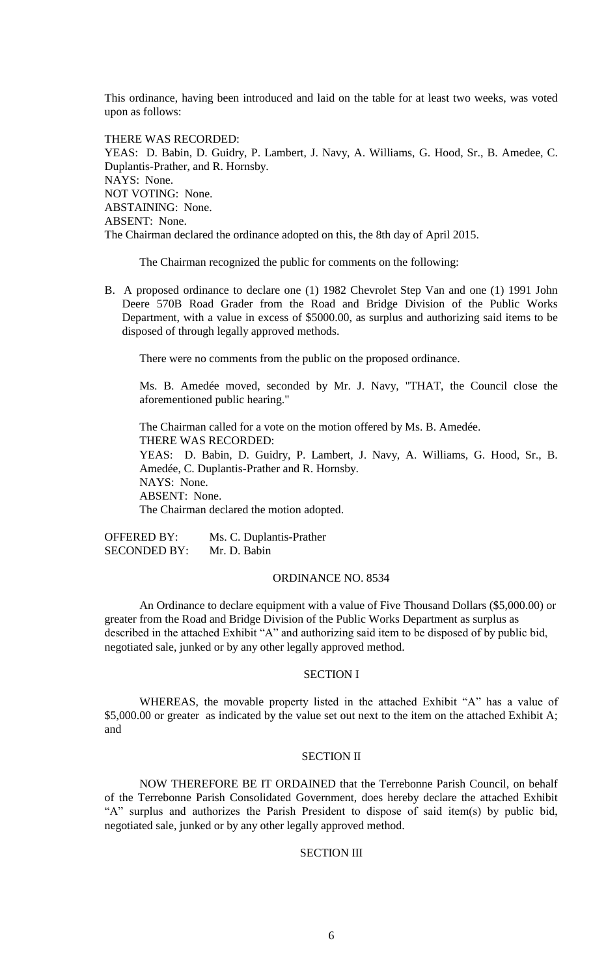This ordinance, having been introduced and laid on the table for at least two weeks, was voted upon as follows:

THERE WAS RECORDED: YEAS: D. Babin, D. Guidry, P. Lambert, J. Navy, A. Williams, G. Hood, Sr., B. Amedee, C. Duplantis-Prather, and R. Hornsby. NAYS: None. NOT VOTING: None. ABSTAINING: None. ABSENT: None. The Chairman declared the ordinance adopted on this, the 8th day of April 2015.

The Chairman recognized the public for comments on the following:

B. A proposed ordinance to declare one (1) 1982 Chevrolet Step Van and one (1) 1991 John Deere 570B Road Grader from the Road and Bridge Division of the Public Works Department, with a value in excess of \$5000.00, as surplus and authorizing said items to be disposed of through legally approved methods.

There were no comments from the public on the proposed ordinance.

Ms. B. Amedée moved, seconded by Mr. J. Navy, "THAT, the Council close the aforementioned public hearing."

The Chairman called for a vote on the motion offered by Ms. B. Amedée. THERE WAS RECORDED: YEAS: D. Babin, D. Guidry, P. Lambert, J. Navy, A. Williams, G. Hood, Sr., B. Amedée, C. Duplantis-Prather and R. Hornsby. NAYS: None. ABSENT: None. The Chairman declared the motion adopted.

OFFERED BY: Ms. C. Duplantis-Prather SECONDED BY: Mr. D. Babin

# ORDINANCE NO. 8534

An Ordinance to declare equipment with a value of Five Thousand Dollars (\$5,000.00) or greater from the Road and Bridge Division of the Public Works Department as surplus as described in the attached Exhibit "A" and authorizing said item to be disposed of by public bid, negotiated sale, junked or by any other legally approved method.

## SECTION I

WHEREAS, the movable property listed in the attached Exhibit "A" has a value of \$5,000.00 or greater as indicated by the value set out next to the item on the attached Exhibit A; and

#### SECTION II

NOW THEREFORE BE IT ORDAINED that the Terrebonne Parish Council, on behalf of the Terrebonne Parish Consolidated Government, does hereby declare the attached Exhibit "A" surplus and authorizes the Parish President to dispose of said item(s) by public bid, negotiated sale, junked or by any other legally approved method.

#### SECTION III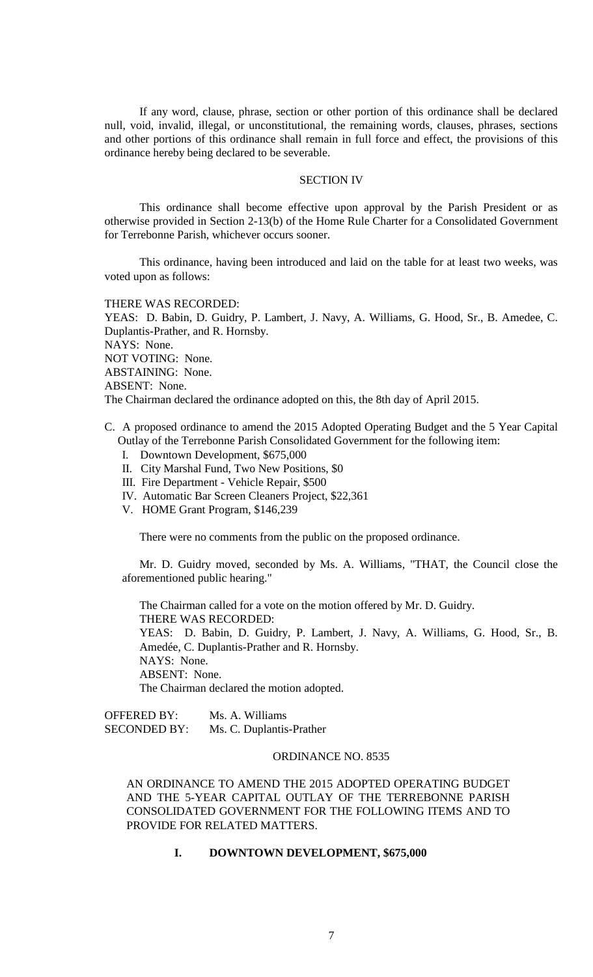If any word, clause, phrase, section or other portion of this ordinance shall be declared null, void, invalid, illegal, or unconstitutional, the remaining words, clauses, phrases, sections and other portions of this ordinance shall remain in full force and effect, the provisions of this ordinance hereby being declared to be severable.

#### SECTION IV

This ordinance shall become effective upon approval by the Parish President or as otherwise provided in Section 2-13(b) of the Home Rule Charter for a Consolidated Government for Terrebonne Parish, whichever occurs sooner.

This ordinance, having been introduced and laid on the table for at least two weeks, was voted upon as follows:

#### THERE WAS RECORDED:

YEAS: D. Babin, D. Guidry, P. Lambert, J. Navy, A. Williams, G. Hood, Sr., B. Amedee, C. Duplantis-Prather, and R. Hornsby. NAYS: None. NOT VOTING: None. ABSTAINING: None. ABSENT: None. The Chairman declared the ordinance adopted on this, the 8th day of April 2015.

# C. A proposed ordinance to amend the 2015 Adopted Operating Budget and the 5 Year Capital Outlay of the Terrebonne Parish Consolidated Government for the following item:

- I. Downtown Development, \$675,000
- II. City Marshal Fund, Two New Positions, \$0
- III. Fire Department Vehicle Repair, \$500
- IV. Automatic Bar Screen Cleaners Project, \$22,361
- V. HOME Grant Program, \$146,239

There were no comments from the public on the proposed ordinance.

Mr. D. Guidry moved, seconded by Ms. A. Williams, "THAT, the Council close the aforementioned public hearing."

The Chairman called for a vote on the motion offered by Mr. D. Guidry. THERE WAS RECORDED: YEAS: D. Babin, D. Guidry, P. Lambert, J. Navy, A. Williams, G. Hood, Sr., B. Amedée, C. Duplantis-Prather and R. Hornsby. NAYS: None. ABSENT: None. The Chairman declared the motion adopted.

OFFERED BY: Ms. A. Williams SECONDED BY: Ms. C. Duplantis-Prather

#### ORDINANCE NO. 8535

AN ORDINANCE TO AMEND THE 2015 ADOPTED OPERATING BUDGET AND THE 5-YEAR CAPITAL OUTLAY OF THE TERREBONNE PARISH CONSOLIDATED GOVERNMENT FOR THE FOLLOWING ITEMS AND TO PROVIDE FOR RELATED MATTERS.

#### **I. DOWNTOWN DEVELOPMENT, \$675,000**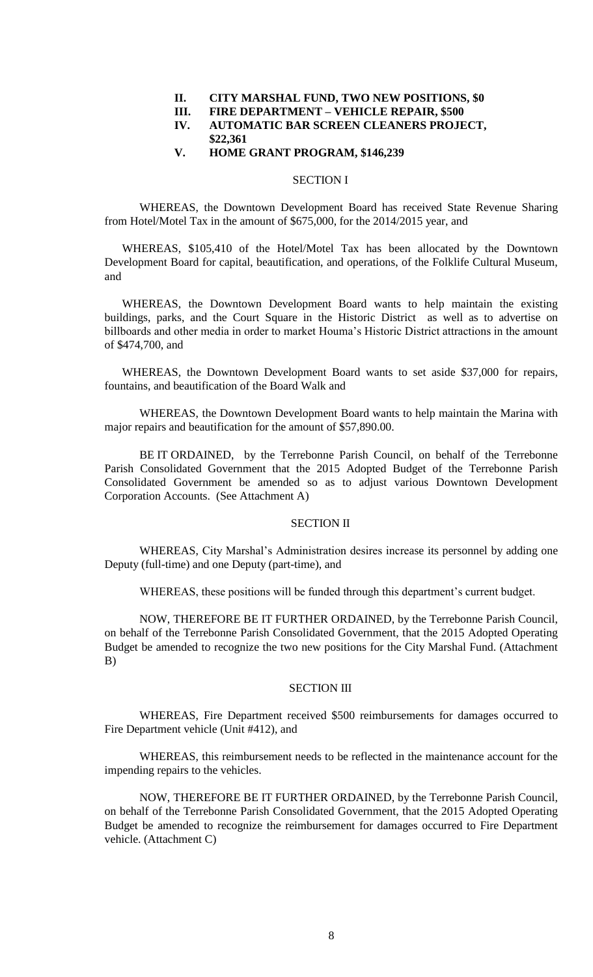#### **II. CITY MARSHAL FUND, TWO NEW POSITIONS, \$0**

**III. FIRE DEPARTMENT – VEHICLE REPAIR, \$500**

# **IV. AUTOMATIC BAR SCREEN CLEANERS PROJECT, \$22,361**

#### **V. HOME GRANT PROGRAM, \$146,239**

#### SECTION I

 WHEREAS, the Downtown Development Board has received State Revenue Sharing from Hotel/Motel Tax in the amount of \$675,000, for the 2014/2015 year, and

WHEREAS, \$105,410 of the Hotel/Motel Tax has been allocated by the Downtown Development Board for capital, beautification, and operations, of the Folklife Cultural Museum, and

WHEREAS, the Downtown Development Board wants to help maintain the existing buildings, parks, and the Court Square in the Historic District as well as to advertise on billboards and other media in order to market Houma's Historic District attractions in the amount of \$474,700, and

WHEREAS, the Downtown Development Board wants to set aside \$37,000 for repairs, fountains, and beautification of the Board Walk and

WHEREAS, the Downtown Development Board wants to help maintain the Marina with major repairs and beautification for the amount of \$57,890.00.

BE IT ORDAINED, by the Terrebonne Parish Council, on behalf of the Terrebonne Parish Consolidated Government that the 2015 Adopted Budget of the Terrebonne Parish Consolidated Government be amended so as to adjust various Downtown Development Corporation Accounts. (See Attachment A)

## SECTION II

WHEREAS, City Marshal's Administration desires increase its personnel by adding one Deputy (full-time) and one Deputy (part-time), and

WHEREAS, these positions will be funded through this department's current budget.

NOW, THEREFORE BE IT FURTHER ORDAINED, by the Terrebonne Parish Council, on behalf of the Terrebonne Parish Consolidated Government, that the 2015 Adopted Operating Budget be amended to recognize the two new positions for the City Marshal Fund. (Attachment B)

# SECTION III

WHEREAS, Fire Department received \$500 reimbursements for damages occurred to Fire Department vehicle (Unit #412), and

WHEREAS, this reimbursement needs to be reflected in the maintenance account for the impending repairs to the vehicles.

NOW, THEREFORE BE IT FURTHER ORDAINED, by the Terrebonne Parish Council, on behalf of the Terrebonne Parish Consolidated Government, that the 2015 Adopted Operating Budget be amended to recognize the reimbursement for damages occurred to Fire Department vehicle. (Attachment C)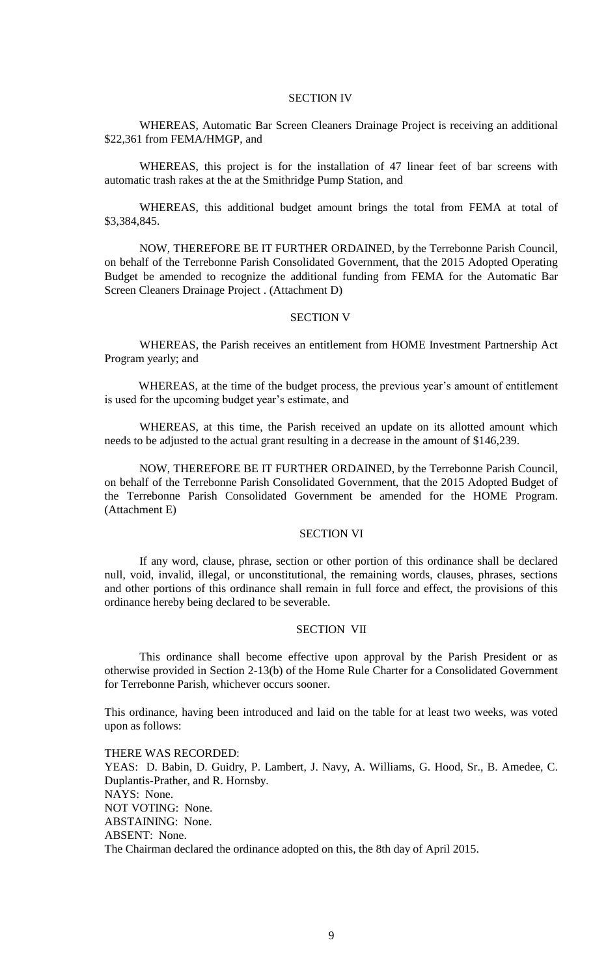#### SECTION IV

WHEREAS, Automatic Bar Screen Cleaners Drainage Project is receiving an additional \$22,361 from FEMA/HMGP, and

WHEREAS, this project is for the installation of 47 linear feet of bar screens with automatic trash rakes at the at the Smithridge Pump Station, and

WHEREAS, this additional budget amount brings the total from FEMA at total of \$3,384,845.

NOW, THEREFORE BE IT FURTHER ORDAINED, by the Terrebonne Parish Council, on behalf of the Terrebonne Parish Consolidated Government, that the 2015 Adopted Operating Budget be amended to recognize the additional funding from FEMA for the Automatic Bar Screen Cleaners Drainage Project . (Attachment D)

# SECTION V

WHEREAS, the Parish receives an entitlement from HOME Investment Partnership Act Program yearly; and

WHEREAS, at the time of the budget process, the previous year's amount of entitlement is used for the upcoming budget year's estimate, and

WHEREAS, at this time, the Parish received an update on its allotted amount which needs to be adjusted to the actual grant resulting in a decrease in the amount of \$146,239.

NOW, THEREFORE BE IT FURTHER ORDAINED, by the Terrebonne Parish Council, on behalf of the Terrebonne Parish Consolidated Government, that the 2015 Adopted Budget of the Terrebonne Parish Consolidated Government be amended for the HOME Program. (Attachment E)

#### SECTION VI

If any word, clause, phrase, section or other portion of this ordinance shall be declared null, void, invalid, illegal, or unconstitutional, the remaining words, clauses, phrases, sections and other portions of this ordinance shall remain in full force and effect, the provisions of this ordinance hereby being declared to be severable.

## SECTION VII

This ordinance shall become effective upon approval by the Parish President or as otherwise provided in Section 2-13(b) of the Home Rule Charter for a Consolidated Government for Terrebonne Parish, whichever occurs sooner.

This ordinance, having been introduced and laid on the table for at least two weeks, was voted upon as follows:

THERE WAS RECORDED: YEAS: D. Babin, D. Guidry, P. Lambert, J. Navy, A. Williams, G. Hood, Sr., B. Amedee, C. Duplantis-Prather, and R. Hornsby. NAYS: None. NOT VOTING: None. ABSTAINING: None. ABSENT: None. The Chairman declared the ordinance adopted on this, the 8th day of April 2015.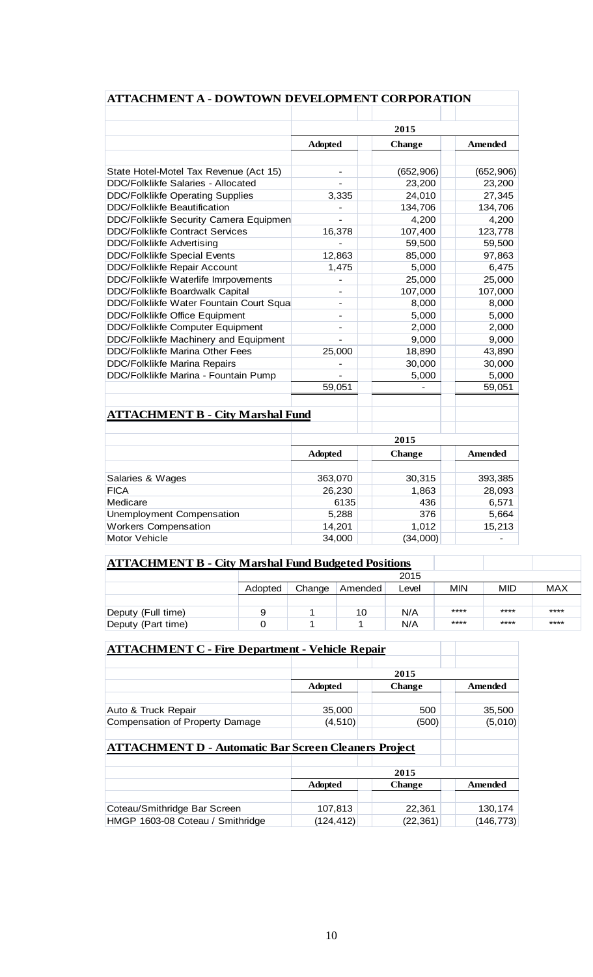| ATTACHMENT A - DOWTOWN DEVELOPMENT CORPORATION |                                            |            |                                        |
|------------------------------------------------|--------------------------------------------|------------|----------------------------------------|
|                                                |                                            | 2015       |                                        |
|                                                | <b>Adopted</b><br><b>Change</b><br>Amended |            |                                        |
|                                                |                                            |            |                                        |
| State Hotel-Motel Tax Revenue (Act 15)         |                                            | (652, 906) | (652, 906)                             |
| DDC/Folklikfe Salaries - Allocated             |                                            | 23,200     | 23,200                                 |
| <b>DDC/Folklikfe Operating Supplies</b>        | 3,335                                      | 24,010     | 27,345                                 |
| <b>DDC/Folklikfe Beautification</b>            |                                            | 134,706    | 134,706                                |
| DDC/Folklikfe Security Camera Equipmen         |                                            | 4,200      | 4,200                                  |
| <b>DDC/Folklikfe Contract Services</b>         | 16,378                                     | 107,400    | 123,778                                |
| <b>DDC/Folklikfe Advertising</b>               |                                            | 59,500     | 59,500                                 |
| <b>DDC/Folklikfe Special Events</b>            | 12,863                                     | 85,000     | 97,863                                 |
| <b>DDC/Folklikfe Repair Account</b>            | 1,475                                      | 5,000      | 6,475                                  |
| DDC/Folklikfe Waterlife Imrpovements           |                                            | 25,000     | 25,000                                 |
| DDC/Folklikfe Boardwalk Capital                |                                            | 107,000    | 107,000                                |
| DDC/Folklikfe Water Fountain Court Squa        | $\overline{a}$                             | 8,000      | 8,000                                  |
| <b>DDC/Folklikfe Office Equipment</b>          | $\overline{\phantom{0}}$                   | 5,000      | 5,000                                  |
| DDC/Folklikfe Computer Equipment               | $\overline{a}$                             | 2,000      | 2,000                                  |
| DDC/Folklikfe Machinery and Equipment          |                                            | 9,000      | 9,000                                  |
| <b>DDC/Folklikfe Marina Other Fees</b>         | 25,000                                     | 18,890     | 43,890                                 |
| <b>DDC/Folklikfe Marina Repairs</b>            |                                            | 30,000     | 30,000                                 |
| DDC/Folklikfe Marina - Fountain Pump           |                                            | 5,000      | 5,000                                  |
|                                                | 59,051                                     |            | 59,051                                 |
| <b>ATTACHMENT B - City Marshal Fund</b>        |                                            |            |                                        |
|                                                | 2015                                       |            |                                        |
|                                                | <b>Adopted</b>                             | Change     | Amended                                |
| Salaries & Wages                               | 363,070                                    | 30,315     | 393,385                                |
| <b>FICA</b>                                    | 26,230                                     | 1,863      | 28,093                                 |
| Medicare                                       | 6135                                       | 436        | 6,571                                  |
| <b>Unemployment Compensation</b>               | 5,288                                      | 376        | 5,664                                  |
|                                                | 14,201                                     | 1,012      |                                        |
| <b>Workers Compensation</b><br>Motor Vehicle   | 34,000                                     | (34,000)   | 15,213<br>$\qquad \qquad \blacksquare$ |

| <b>ATTACHMENT B - City Marshal Fund Budgeted Positions</b> |         |        |         |       |      |      |            |
|------------------------------------------------------------|---------|--------|---------|-------|------|------|------------|
|                                                            |         |        |         | 2015  |      |      |            |
|                                                            | Adopted | Change | Amended | Level | MIN  | MID  | <b>MAX</b> |
|                                                            |         |        |         |       |      |      |            |
| Deputy (Full time)                                         | 9       |        | 10      | N/A   | **** | **** | ****       |
| Deputy (Part time)                                         |         |        |         | N/A   | **** | **** | ****       |

# **ATTACHMENT C - Fire Department - Vehicle Repair**

|                                                             | 2015           |               |           |
|-------------------------------------------------------------|----------------|---------------|-----------|
|                                                             | <b>Adopted</b> | <b>Change</b> | Amended   |
|                                                             |                |               |           |
| Auto & Truck Repair                                         | 35,000         | 500           | 35,500    |
| Compensation of Property Damage                             | (4, 510)       | (500)         | (5,010)   |
|                                                             |                |               |           |
| <b>ATTACHMENT D - Automatic Bar Screen Cleaners Project</b> |                |               |           |
|                                                             |                |               |           |
|                                                             | 2015           |               |           |
|                                                             | <b>Adopted</b> | <b>Change</b> | Amended   |
|                                                             |                |               |           |
| Coteau/Smithridge Bar Screen                                | 107,813        | 22,361        | 130,174   |
| HMGP 1603-08 Coteau / Smithridge                            | (124,412)      | (22,361)      | (146,773) |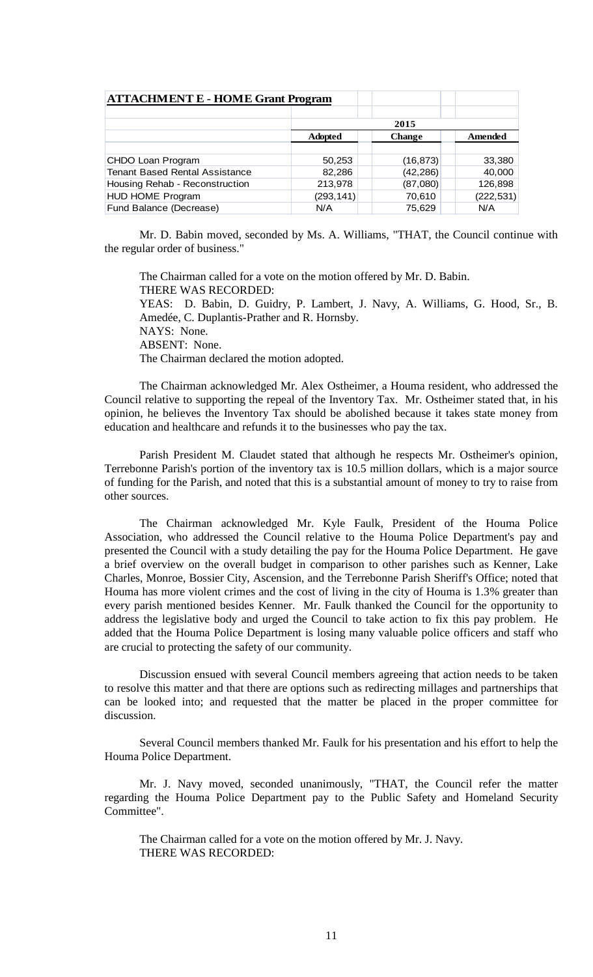| <b>ATTACHMENT E - HOME Grant Program</b> |                |               |            |
|------------------------------------------|----------------|---------------|------------|
|                                          |                |               |            |
|                                          | 2015           |               |            |
|                                          | <b>Adopted</b> | <b>Change</b> | Amended    |
|                                          |                |               |            |
| CHDO Loan Program                        | 50,253         | (16, 873)     | 33,380     |
| <b>Tenant Based Rental Assistance</b>    | 82,286         | (42, 286)     | 40,000     |
| Housing Rehab - Reconstruction           | 213,978        | (87,080)      | 126,898    |
| <b>HUD HOME Program</b>                  | (293, 141)     | 70,610        | (222, 531) |
| Fund Balance (Decrease)                  | N/A            | 75,629        | N/A        |

Mr. D. Babin moved, seconded by Ms. A. Williams, "THAT, the Council continue with the regular order of business."

The Chairman called for a vote on the motion offered by Mr. D. Babin. THERE WAS RECORDED: YEAS: D. Babin, D. Guidry, P. Lambert, J. Navy, A. Williams, G. Hood, Sr., B. Amedée, C. Duplantis-Prather and R. Hornsby. NAYS: None. ABSENT: None. The Chairman declared the motion adopted.

The Chairman acknowledged Mr. Alex Ostheimer, a Houma resident, who addressed the Council relative to supporting the repeal of the Inventory Tax. Mr. Ostheimer stated that, in his opinion, he believes the Inventory Tax should be abolished because it takes state money from education and healthcare and refunds it to the businesses who pay the tax.

Parish President M. Claudet stated that although he respects Mr. Ostheimer's opinion, Terrebonne Parish's portion of the inventory tax is 10.5 million dollars, which is a major source of funding for the Parish, and noted that this is a substantial amount of money to try to raise from other sources.

The Chairman acknowledged Mr. Kyle Faulk, President of the Houma Police Association, who addressed the Council relative to the Houma Police Department's pay and presented the Council with a study detailing the pay for the Houma Police Department. He gave a brief overview on the overall budget in comparison to other parishes such as Kenner, Lake Charles, Monroe, Bossier City, Ascension, and the Terrebonne Parish Sheriff's Office; noted that Houma has more violent crimes and the cost of living in the city of Houma is 1.3% greater than every parish mentioned besides Kenner. Mr. Faulk thanked the Council for the opportunity to address the legislative body and urged the Council to take action to fix this pay problem. He added that the Houma Police Department is losing many valuable police officers and staff who are crucial to protecting the safety of our community.

Discussion ensued with several Council members agreeing that action needs to be taken to resolve this matter and that there are options such as redirecting millages and partnerships that can be looked into; and requested that the matter be placed in the proper committee for discussion.

Several Council members thanked Mr. Faulk for his presentation and his effort to help the Houma Police Department.

Mr. J. Navy moved, seconded unanimously, "THAT, the Council refer the matter regarding the Houma Police Department pay to the Public Safety and Homeland Security Committee".

The Chairman called for a vote on the motion offered by Mr. J. Navy. THERE WAS RECORDED: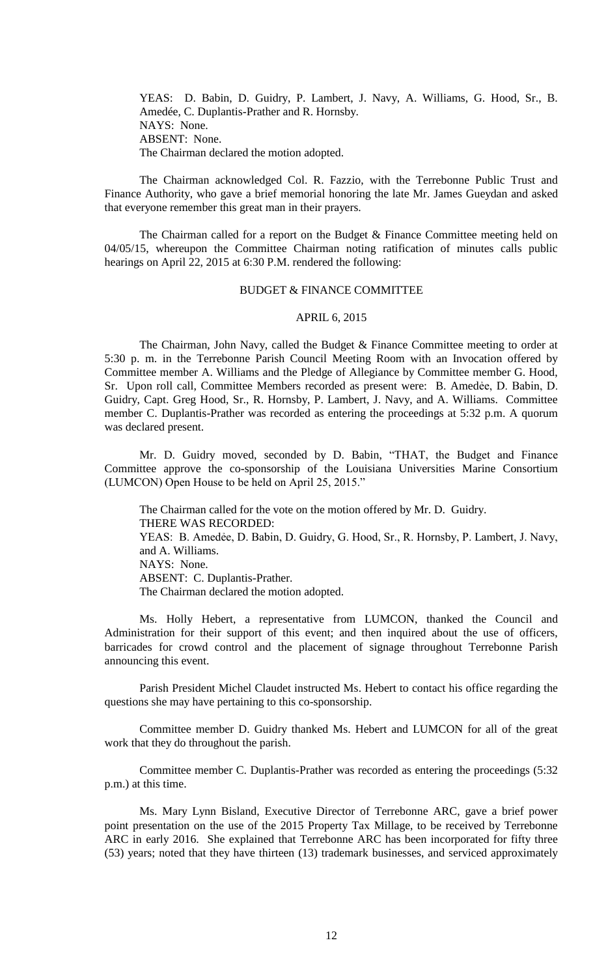YEAS: D. Babin, D. Guidry, P. Lambert, J. Navy, A. Williams, G. Hood, Sr., B. Amedée, C. Duplantis-Prather and R. Hornsby. NAYS: None. ABSENT: None. The Chairman declared the motion adopted.

The Chairman acknowledged Col. R. Fazzio, with the Terrebonne Public Trust and Finance Authority, who gave a brief memorial honoring the late Mr. James Gueydan and asked that everyone remember this great man in their prayers.

The Chairman called for a report on the Budget & Finance Committee meeting held on 04/05/15, whereupon the Committee Chairman noting ratification of minutes calls public hearings on April 22, 2015 at 6:30 P.M. rendered the following:

#### BUDGET & FINANCE COMMITTEE

# APRIL 6, 2015

The Chairman, John Navy, called the Budget & Finance Committee meeting to order at 5:30 p. m. in the Terrebonne Parish Council Meeting Room with an Invocation offered by Committee member A. Williams and the Pledge of Allegiance by Committee member G. Hood, Sr. Upon roll call, Committee Members recorded as present were: B. Amedẻe, D. Babin, D. Guidry, Capt. Greg Hood, Sr., R. Hornsby, P. Lambert, J. Navy, and A. Williams. Committee member C. Duplantis-Prather was recorded as entering the proceedings at 5:32 p.m. A quorum was declared present.

Mr. D. Guidry moved, seconded by D. Babin, "THAT, the Budget and Finance Committee approve the co-sponsorship of the Louisiana Universities Marine Consortium (LUMCON) Open House to be held on April 25, 2015."

The Chairman called for the vote on the motion offered by Mr. D. Guidry. THERE WAS RECORDED: YEAS: B. Amedėe, D. Babin, D. Guidry, G. Hood, Sr., R. Hornsby, P. Lambert, J. Navy, and A. Williams. NAYS: None. ABSENT: C. Duplantis-Prather. The Chairman declared the motion adopted.

Ms. Holly Hebert, a representative from LUMCON, thanked the Council and Administration for their support of this event; and then inquired about the use of officers, barricades for crowd control and the placement of signage throughout Terrebonne Parish announcing this event.

Parish President Michel Claudet instructed Ms. Hebert to contact his office regarding the questions she may have pertaining to this co-sponsorship.

Committee member D. Guidry thanked Ms. Hebert and LUMCON for all of the great work that they do throughout the parish.

Committee member C. Duplantis-Prather was recorded as entering the proceedings (5:32 p.m.) at this time.

Ms. Mary Lynn Bisland, Executive Director of Terrebonne ARC, gave a brief power point presentation on the use of the 2015 Property Tax Millage, to be received by Terrebonne ARC in early 2016. She explained that Terrebonne ARC has been incorporated for fifty three (53) years; noted that they have thirteen (13) trademark businesses, and serviced approximately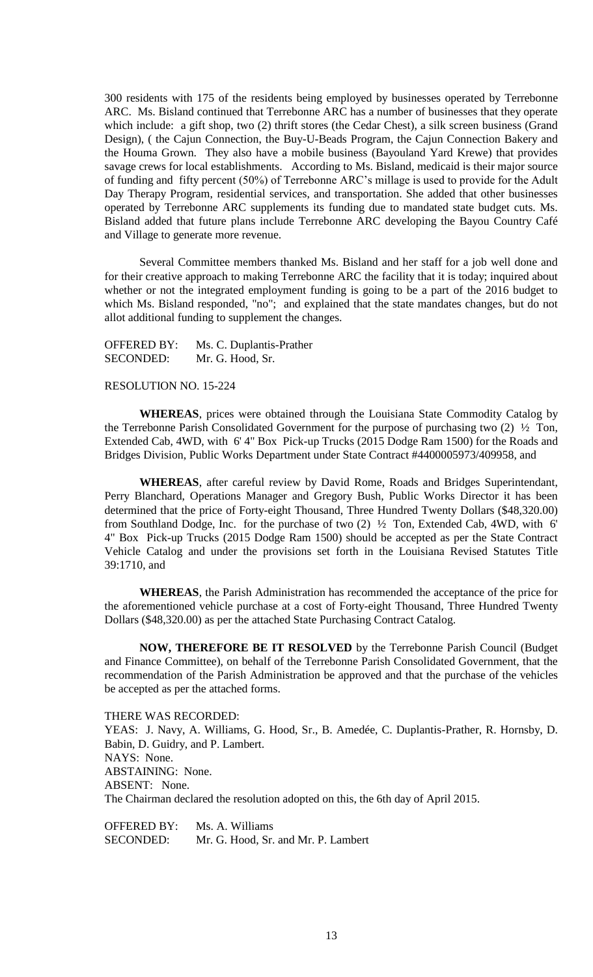300 residents with 175 of the residents being employed by businesses operated by Terrebonne ARC. Ms. Bisland continued that Terrebonne ARC has a number of businesses that they operate which include: a gift shop, two (2) thrift stores (the Cedar Chest), a silk screen business (Grand Design), ( the Cajun Connection, the Buy-U-Beads Program, the Cajun Connection Bakery and the Houma Grown. They also have a mobile business (Bayouland Yard Krewe) that provides savage crews for local establishments. According to Ms. Bisland, medicaid is their major source of funding and fifty percent (50%) of Terrebonne ARC's millage is used to provide for the Adult Day Therapy Program, residential services, and transportation. She added that other businesses operated by Terrebonne ARC supplements its funding due to mandated state budget cuts. Ms. Bisland added that future plans include Terrebonne ARC developing the Bayou Country Café and Village to generate more revenue.

Several Committee members thanked Ms. Bisland and her staff for a job well done and for their creative approach to making Terrebonne ARC the facility that it is today; inquired about whether or not the integrated employment funding is going to be a part of the 2016 budget to which Ms. Bisland responded, "no"; and explained that the state mandates changes, but do not allot additional funding to supplement the changes.

OFFERED BY: Ms. C. Duplantis-Prather SECONDED: Mr. G. Hood, Sr.

## RESOLUTION NO. 15-224

**WHEREAS**, prices were obtained through the Louisiana State Commodity Catalog by the Terrebonne Parish Consolidated Government for the purpose of purchasing two (2) ½ Ton, Extended Cab, 4WD, with 6' 4" Box Pick-up Trucks (2015 Dodge Ram 1500) for the Roads and Bridges Division, Public Works Department under State Contract #4400005973/409958, and

**WHEREAS**, after careful review by David Rome, Roads and Bridges Superintendant, Perry Blanchard, Operations Manager and Gregory Bush, Public Works Director it has been determined that the price of Forty-eight Thousand, Three Hundred Twenty Dollars (\$48,320.00) from Southland Dodge, Inc. for the purchase of two  $(2)$   $\frac{1}{2}$  Ton, Extended Cab, 4WD, with 6' 4" Box Pick-up Trucks (2015 Dodge Ram 1500) should be accepted as per the State Contract Vehicle Catalog and under the provisions set forth in the Louisiana Revised Statutes Title 39:1710, and

**WHEREAS**, the Parish Administration has recommended the acceptance of the price for the aforementioned vehicle purchase at a cost of Forty-eight Thousand, Three Hundred Twenty Dollars (\$48,320.00) as per the attached State Purchasing Contract Catalog.

**NOW, THEREFORE BE IT RESOLVED** by the Terrebonne Parish Council (Budget and Finance Committee), on behalf of the Terrebonne Parish Consolidated Government, that the recommendation of the Parish Administration be approved and that the purchase of the vehicles be accepted as per the attached forms.

THERE WAS RECORDED:

YEAS: J. Navy, A. Williams, G. Hood, Sr., B. Amedée, C. Duplantis-Prather, R. Hornsby, D. Babin, D. Guidry, and P. Lambert. NAYS: None. ABSTAINING: None. ABSENT: None. The Chairman declared the resolution adopted on this, the 6th day of April 2015.

OFFERED BY: Ms. A. Williams SECONDED: Mr. G. Hood, Sr. and Mr. P. Lambert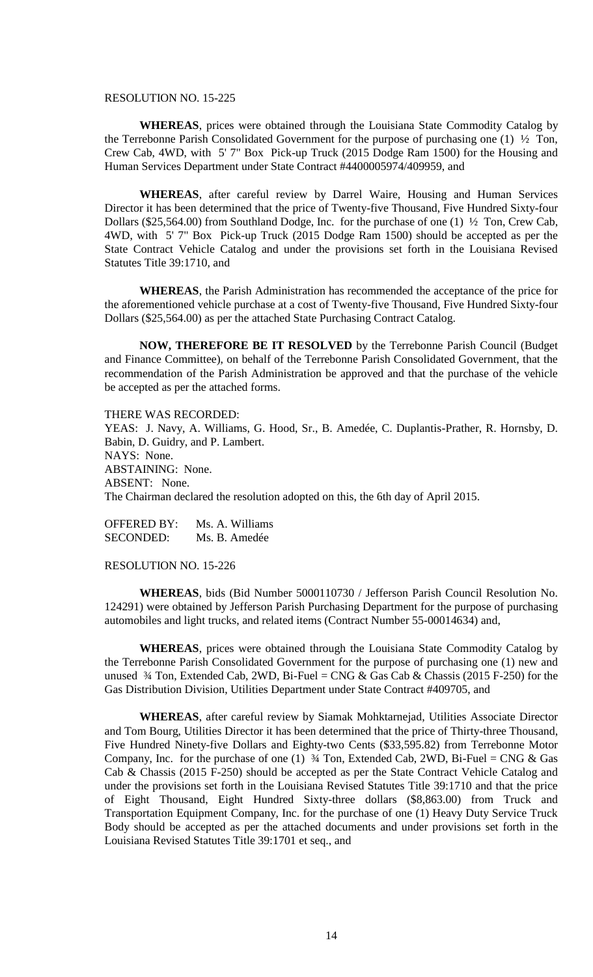#### RESOLUTION NO. 15-225

**WHEREAS**, prices were obtained through the Louisiana State Commodity Catalog by the Terrebonne Parish Consolidated Government for the purpose of purchasing one (1) ½ Ton, Crew Cab, 4WD, with 5' 7" Box Pick-up Truck (2015 Dodge Ram 1500) for the Housing and Human Services Department under State Contract #4400005974/409959, and

**WHEREAS**, after careful review by Darrel Waire, Housing and Human Services Director it has been determined that the price of Twenty-five Thousand, Five Hundred Sixty-four Dollars (\$25,564.00) from Southland Dodge, Inc. for the purchase of one (1) ½ Ton, Crew Cab, 4WD, with 5' 7" Box Pick-up Truck (2015 Dodge Ram 1500) should be accepted as per the State Contract Vehicle Catalog and under the provisions set forth in the Louisiana Revised Statutes Title 39:1710, and

**WHEREAS**, the Parish Administration has recommended the acceptance of the price for the aforementioned vehicle purchase at a cost of Twenty-five Thousand, Five Hundred Sixty-four Dollars (\$25,564.00) as per the attached State Purchasing Contract Catalog.

**NOW, THEREFORE BE IT RESOLVED** by the Terrebonne Parish Council (Budget and Finance Committee), on behalf of the Terrebonne Parish Consolidated Government, that the recommendation of the Parish Administration be approved and that the purchase of the vehicle be accepted as per the attached forms.

#### THERE WAS RECORDED:

YEAS: J. Navy, A. Williams, G. Hood, Sr., B. Amedée, C. Duplantis-Prather, R. Hornsby, D. Babin, D. Guidry, and P. Lambert. NAYS: None. ABSTAINING: None. ABSENT: None. The Chairman declared the resolution adopted on this, the 6th day of April 2015.

OFFERED BY: Ms. A. Williams SECONDED: Ms. B. Amedée

RESOLUTION NO. 15-226

**WHEREAS**, bids (Bid Number 5000110730 / Jefferson Parish Council Resolution No. 124291) were obtained by Jefferson Parish Purchasing Department for the purpose of purchasing automobiles and light trucks, and related items (Contract Number 55-00014634) and,

**WHEREAS**, prices were obtained through the Louisiana State Commodity Catalog by the Terrebonne Parish Consolidated Government for the purpose of purchasing one (1) new and unused  $\frac{3}{4}$  Ton, Extended Cab, 2WD, Bi-Fuel = CNG & Gas Cab & Chassis (2015 F-250) for the Gas Distribution Division, Utilities Department under State Contract #409705, and

**WHEREAS**, after careful review by Siamak Mohktarnejad, Utilities Associate Director and Tom Bourg, Utilities Director it has been determined that the price of Thirty-three Thousand, Five Hundred Ninety-five Dollars and Eighty-two Cents (\$33,595.82) from Terrebonne Motor Company, Inc. for the purchase of one (1)  $\frac{3}{4}$  Ton, Extended Cab, 2WD, Bi-Fuel = CNG & Gas Cab & Chassis (2015 F-250) should be accepted as per the State Contract Vehicle Catalog and under the provisions set forth in the Louisiana Revised Statutes Title 39:1710 and that the price of Eight Thousand, Eight Hundred Sixty-three dollars (\$8,863.00) from Truck and Transportation Equipment Company, Inc. for the purchase of one (1) Heavy Duty Service Truck Body should be accepted as per the attached documents and under provisions set forth in the Louisiana Revised Statutes Title 39:1701 et seq., and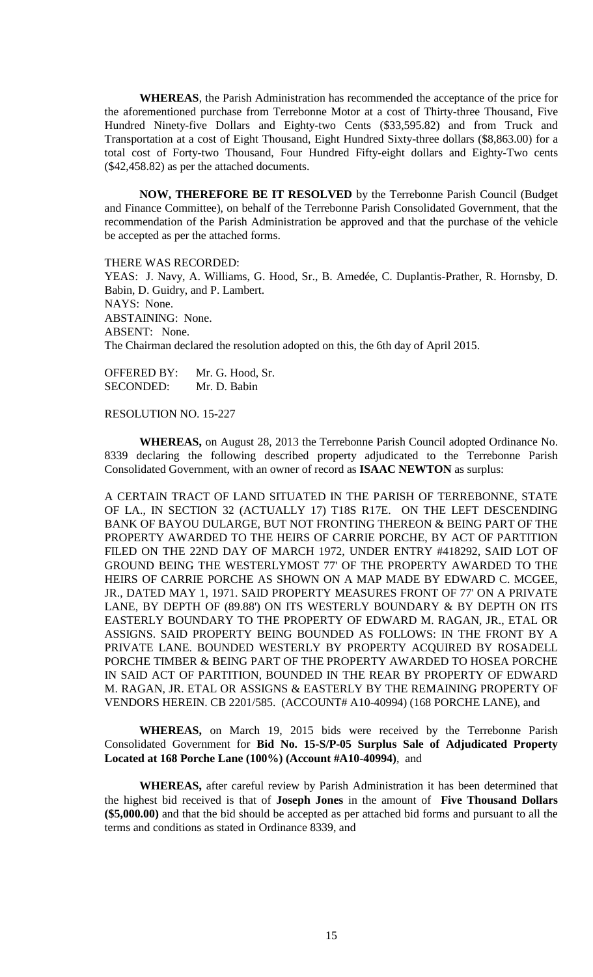**WHEREAS**, the Parish Administration has recommended the acceptance of the price for the aforementioned purchase from Terrebonne Motor at a cost of Thirty-three Thousand, Five Hundred Ninety-five Dollars and Eighty-two Cents (\$33,595.82) and from Truck and Transportation at a cost of Eight Thousand, Eight Hundred Sixty-three dollars (\$8,863.00) for a total cost of Forty-two Thousand, Four Hundred Fifty-eight dollars and Eighty-Two cents (\$42,458.82) as per the attached documents.

**NOW, THEREFORE BE IT RESOLVED** by the Terrebonne Parish Council (Budget and Finance Committee), on behalf of the Terrebonne Parish Consolidated Government, that the recommendation of the Parish Administration be approved and that the purchase of the vehicle be accepted as per the attached forms.

THERE WAS RECORDED: YEAS: J. Navy, A. Williams, G. Hood, Sr., B. Amedée, C. Duplantis-Prather, R. Hornsby, D. Babin, D. Guidry, and P. Lambert. NAYS: None. ABSTAINING: None. ABSENT: None. The Chairman declared the resolution adopted on this, the 6th day of April 2015.

OFFERED BY: Mr. G. Hood, Sr. SECONDED: Mr. D. Babin

RESOLUTION NO. 15-227

**WHEREAS,** on August 28, 2013 the Terrebonne Parish Council adopted Ordinance No. 8339 declaring the following described property adjudicated to the Terrebonne Parish Consolidated Government, with an owner of record as **ISAAC NEWTON** as surplus:

A CERTAIN TRACT OF LAND SITUATED IN THE PARISH OF TERREBONNE, STATE OF LA., IN SECTION 32 (ACTUALLY 17) T18S R17E. ON THE LEFT DESCENDING BANK OF BAYOU DULARGE, BUT NOT FRONTING THEREON & BEING PART OF THE PROPERTY AWARDED TO THE HEIRS OF CARRIE PORCHE, BY ACT OF PARTITION FILED ON THE 22ND DAY OF MARCH 1972, UNDER ENTRY #418292, SAID LOT OF GROUND BEING THE WESTERLYMOST 77' OF THE PROPERTY AWARDED TO THE HEIRS OF CARRIE PORCHE AS SHOWN ON A MAP MADE BY EDWARD C. MCGEE, JR., DATED MAY 1, 1971. SAID PROPERTY MEASURES FRONT OF 77' ON A PRIVATE LANE, BY DEPTH OF (89.88') ON ITS WESTERLY BOUNDARY & BY DEPTH ON ITS EASTERLY BOUNDARY TO THE PROPERTY OF EDWARD M. RAGAN, JR., ETAL OR ASSIGNS. SAID PROPERTY BEING BOUNDED AS FOLLOWS: IN THE FRONT BY A PRIVATE LANE. BOUNDED WESTERLY BY PROPERTY ACQUIRED BY ROSADELL PORCHE TIMBER & BEING PART OF THE PROPERTY AWARDED TO HOSEA PORCHE IN SAID ACT OF PARTITION, BOUNDED IN THE REAR BY PROPERTY OF EDWARD M. RAGAN, JR. ETAL OR ASSIGNS & EASTERLY BY THE REMAINING PROPERTY OF VENDORS HEREIN. CB 2201/585. (ACCOUNT# A10-40994) (168 PORCHE LANE), and

**WHEREAS,** on March 19, 2015 bids were received by the Terrebonne Parish Consolidated Government for **Bid No. 15-S/P-05 Surplus Sale of Adjudicated Property Located at 168 Porche Lane (100%) (Account #A10-40994)**, and

**WHEREAS,** after careful review by Parish Administration it has been determined that the highest bid received is that of **Joseph Jones** in the amount of **Five Thousand Dollars (\$5,000.00)** and that the bid should be accepted as per attached bid forms and pursuant to all the terms and conditions as stated in Ordinance 8339, and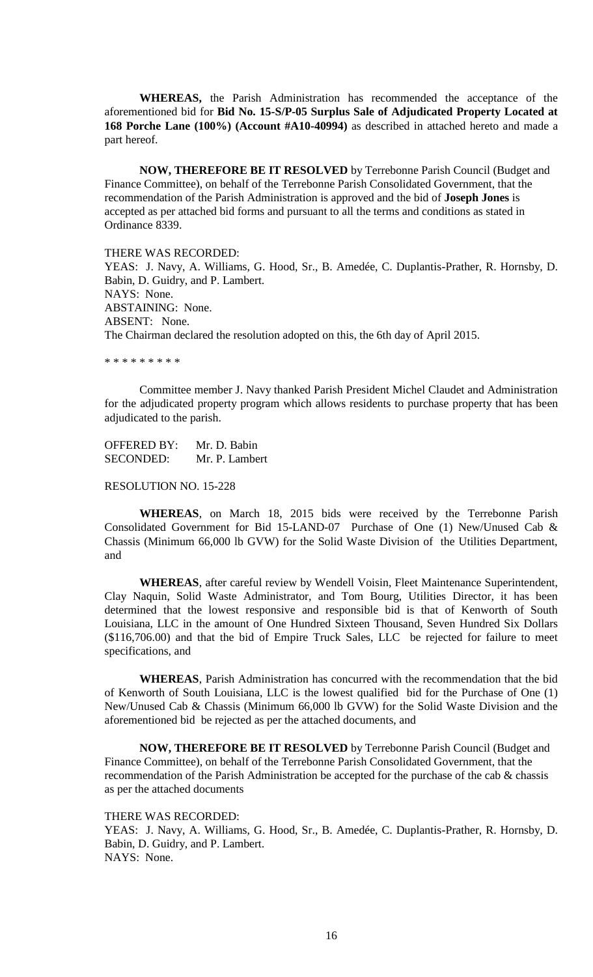**WHEREAS,** the Parish Administration has recommended the acceptance of the aforementioned bid for **Bid No. 15-S/P-05 Surplus Sale of Adjudicated Property Located at 168 Porche Lane (100%) (Account #A10-40994)** as described in attached hereto and made a part hereof.

**NOW, THEREFORE BE IT RESOLVED** by Terrebonne Parish Council (Budget and Finance Committee), on behalf of the Terrebonne Parish Consolidated Government, that the recommendation of the Parish Administration is approved and the bid of **Joseph Jones** is accepted as per attached bid forms and pursuant to all the terms and conditions as stated in Ordinance 8339.

THERE WAS RECORDED: YEAS: J. Navy, A. Williams, G. Hood, Sr., B. Amedée, C. Duplantis-Prather, R. Hornsby, D. Babin, D. Guidry, and P. Lambert. NAYS: None. ABSTAINING: None. ABSENT: None. The Chairman declared the resolution adopted on this, the 6th day of April 2015.

\* \* \* \* \* \* \* \* \*

Committee member J. Navy thanked Parish President Michel Claudet and Administration for the adjudicated property program which allows residents to purchase property that has been adjudicated to the parish.

OFFERED BY: Mr. D. Babin SECONDED: Mr. P. Lambert

RESOLUTION NO. 15-228

**WHEREAS**, on March 18, 2015 bids were received by the Terrebonne Parish Consolidated Government for Bid 15-LAND-07 Purchase of One (1) New/Unused Cab & Chassis (Minimum 66,000 lb GVW) for the Solid Waste Division of the Utilities Department, and

**WHEREAS**, after careful review by Wendell Voisin, Fleet Maintenance Superintendent, Clay Naquin, Solid Waste Administrator, and Tom Bourg, Utilities Director, it has been determined that the lowest responsive and responsible bid is that of Kenworth of South Louisiana, LLC in the amount of One Hundred Sixteen Thousand, Seven Hundred Six Dollars (\$116,706.00) and that the bid of Empire Truck Sales, LLC be rejected for failure to meet specifications, and

**WHEREAS**, Parish Administration has concurred with the recommendation that the bid of Kenworth of South Louisiana, LLC is the lowest qualified bid for the Purchase of One (1) New/Unused Cab & Chassis (Minimum 66,000 lb GVW) for the Solid Waste Division and the aforementioned bid be rejected as per the attached documents, and

**NOW, THEREFORE BE IT RESOLVED** by Terrebonne Parish Council (Budget and Finance Committee), on behalf of the Terrebonne Parish Consolidated Government, that the recommendation of the Parish Administration be accepted for the purchase of the cab  $\&$  chassis as per the attached documents

THERE WAS RECORDED: YEAS: J. Navy, A. Williams, G. Hood, Sr., B. Amedée, C. Duplantis-Prather, R. Hornsby, D. Babin, D. Guidry, and P. Lambert. NAYS: None.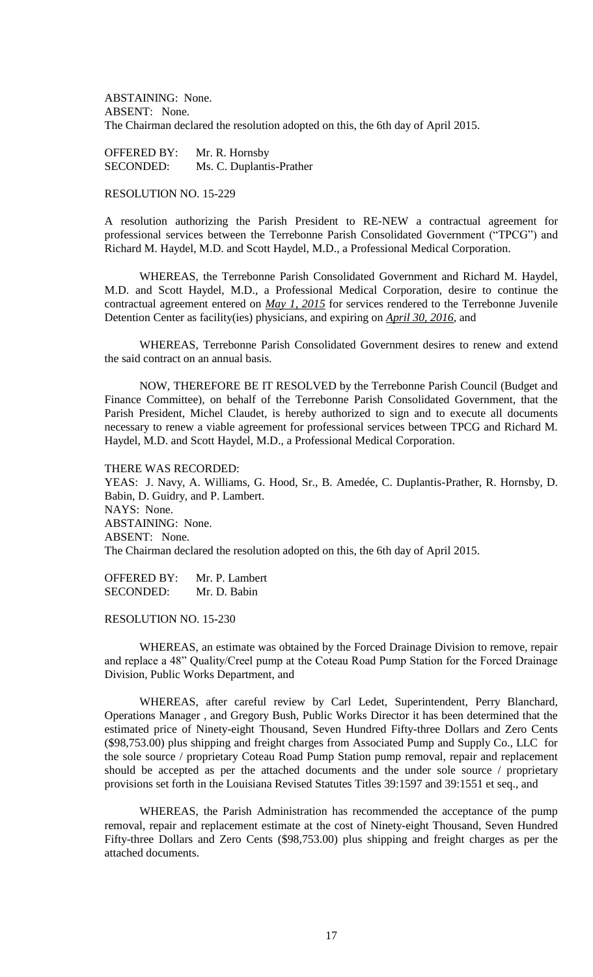ABSTAINING: None. ABSENT: None. The Chairman declared the resolution adopted on this, the 6th day of April 2015.

OFFERED BY: Mr. R. Hornsby SECONDED: Ms. C. Duplantis-Prather

# RESOLUTION NO. 15-229

A resolution authorizing the Parish President to RE-NEW a contractual agreement for professional services between the Terrebonne Parish Consolidated Government ("TPCG") and Richard M. Haydel, M.D. and Scott Haydel, M.D., a Professional Medical Corporation.

WHEREAS, the Terrebonne Parish Consolidated Government and Richard M. Haydel, M.D. and Scott Haydel, M.D., a Professional Medical Corporation, desire to continue the contractual agreement entered on *May 1, 2015* for services rendered to the Terrebonne Juvenile Detention Center as facility(ies) physicians, and expiring on *April 30, 2016*, and

WHEREAS, Terrebonne Parish Consolidated Government desires to renew and extend the said contract on an annual basis.

NOW, THEREFORE BE IT RESOLVED by the Terrebonne Parish Council (Budget and Finance Committee), on behalf of the Terrebonne Parish Consolidated Government, that the Parish President, Michel Claudet, is hereby authorized to sign and to execute all documents necessary to renew a viable agreement for professional services between TPCG and Richard M. Haydel, M.D. and Scott Haydel, M.D., a Professional Medical Corporation.

THERE WAS RECORDED:

YEAS: J. Navy, A. Williams, G. Hood, Sr., B. Amedée, C. Duplantis-Prather, R. Hornsby, D. Babin, D. Guidry, and P. Lambert. NAYS: None. ABSTAINING: None. ABSENT: None. The Chairman declared the resolution adopted on this, the 6th day of April 2015.

OFFERED BY: Mr. P. Lambert SECONDED: Mr. D. Babin

#### RESOLUTION NO. 15-230

WHEREAS, an estimate was obtained by the Forced Drainage Division to remove, repair and replace a 48" Quality/Creel pump at the Coteau Road Pump Station for the Forced Drainage Division, Public Works Department, and

WHEREAS, after careful review by Carl Ledet, Superintendent, Perry Blanchard, Operations Manager , and Gregory Bush, Public Works Director it has been determined that the estimated price of Ninety-eight Thousand, Seven Hundred Fifty-three Dollars and Zero Cents (\$98,753.00) plus shipping and freight charges from Associated Pump and Supply Co., LLC for the sole source / proprietary Coteau Road Pump Station pump removal, repair and replacement should be accepted as per the attached documents and the under sole source / proprietary provisions set forth in the Louisiana Revised Statutes Titles 39:1597 and 39:1551 et seq., and

WHEREAS, the Parish Administration has recommended the acceptance of the pump removal, repair and replacement estimate at the cost of Ninety-eight Thousand, Seven Hundred Fifty-three Dollars and Zero Cents (\$98,753.00) plus shipping and freight charges as per the attached documents.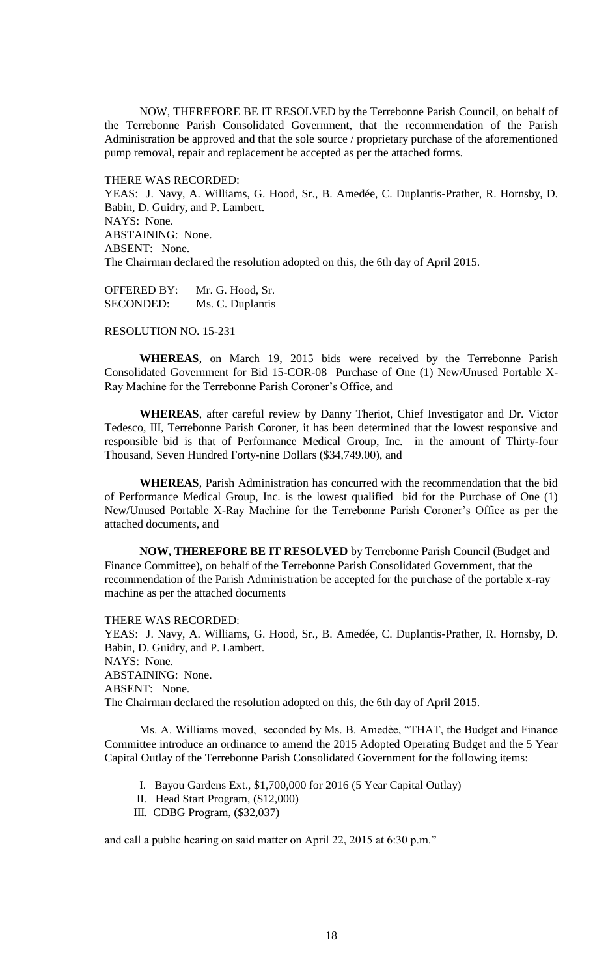NOW, THEREFORE BE IT RESOLVED by the Terrebonne Parish Council, on behalf of the Terrebonne Parish Consolidated Government, that the recommendation of the Parish Administration be approved and that the sole source / proprietary purchase of the aforementioned pump removal, repair and replacement be accepted as per the attached forms.

THERE WAS RECORDED: YEAS: J. Navy, A. Williams, G. Hood, Sr., B. Amedée, C. Duplantis-Prather, R. Hornsby, D. Babin, D. Guidry, and P. Lambert. NAYS: None. ABSTAINING: None. ABSENT: None. The Chairman declared the resolution adopted on this, the 6th day of April 2015.

OFFERED BY: Mr. G. Hood, Sr. SECONDED: Ms. C. Duplantis

RESOLUTION NO. 15-231

**WHEREAS**, on March 19, 2015 bids were received by the Terrebonne Parish Consolidated Government for Bid 15-COR-08 Purchase of One (1) New/Unused Portable X-Ray Machine for the Terrebonne Parish Coroner's Office, and

**WHEREAS**, after careful review by Danny Theriot, Chief Investigator and Dr. Victor Tedesco, III, Terrebonne Parish Coroner, it has been determined that the lowest responsive and responsible bid is that of Performance Medical Group, Inc. in the amount of Thirty-four Thousand, Seven Hundred Forty-nine Dollars (\$34,749.00), and

**WHEREAS**, Parish Administration has concurred with the recommendation that the bid of Performance Medical Group, Inc. is the lowest qualified bid for the Purchase of One (1) New/Unused Portable X-Ray Machine for the Terrebonne Parish Coroner's Office as per the attached documents, and

**NOW, THEREFORE BE IT RESOLVED** by Terrebonne Parish Council (Budget and Finance Committee), on behalf of the Terrebonne Parish Consolidated Government, that the recommendation of the Parish Administration be accepted for the purchase of the portable x-ray machine as per the attached documents

THERE WAS RECORDED:

YEAS: J. Navy, A. Williams, G. Hood, Sr., B. Amedée, C. Duplantis-Prather, R. Hornsby, D. Babin, D. Guidry, and P. Lambert. NAYS: None. ABSTAINING: None. ABSENT: None. The Chairman declared the resolution adopted on this, the 6th day of April 2015.

Ms. A. Williams moved, seconded by Ms. B. Amedèe, "THAT, the Budget and Finance Committee introduce an ordinance to amend the 2015 Adopted Operating Budget and the 5 Year Capital Outlay of the Terrebonne Parish Consolidated Government for the following items:

- I. Bayou Gardens Ext., \$1,700,000 for 2016 (5 Year Capital Outlay)
- II. Head Start Program, (\$12,000)
- III. CDBG Program, (\$32,037)

and call a public hearing on said matter on April 22, 2015 at 6:30 p.m."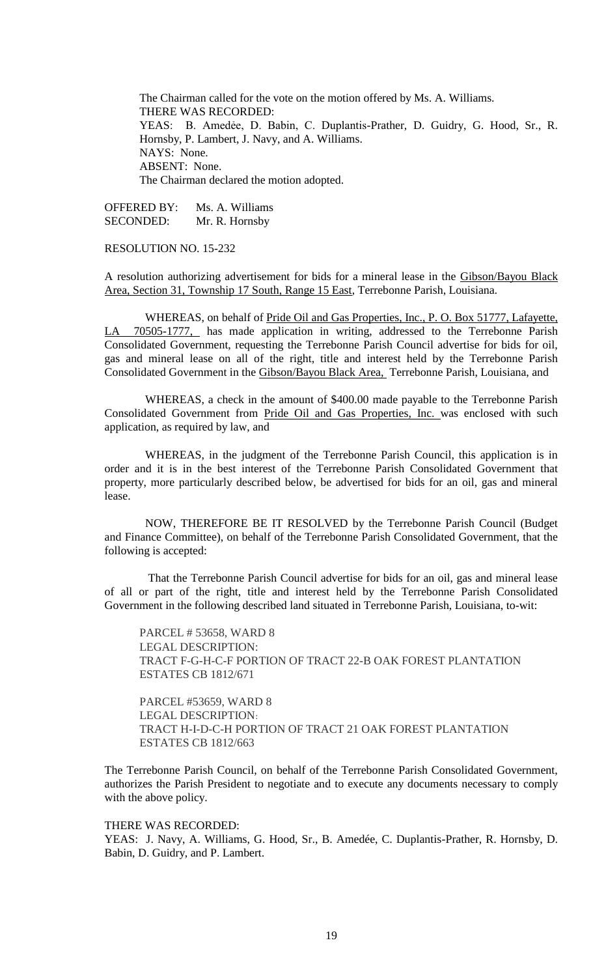The Chairman called for the vote on the motion offered by Ms. A. Williams. THERE WAS RECORDED: YEAS: B. Amedẻe, D. Babin, C. Duplantis-Prather, D. Guidry, G. Hood, Sr., R. Hornsby, P. Lambert, J. Navy, and A. Williams. NAYS: None. ABSENT: None. The Chairman declared the motion adopted.

OFFERED BY: Ms. A. Williams SECONDED: Mr. R. Hornsby

# RESOLUTION NO. 15-232

A resolution authorizing advertisement for bids for a mineral lease in the Gibson/Bayou Black Area, Section 31, Township 17 South, Range 15 East, Terrebonne Parish, Louisiana.

 WHEREAS, on behalf of Pride Oil and Gas Properties, Inc., P. O. Box 51777, Lafayette, LA 70505-1777, has made application in writing, addressed to the Terrebonne Parish Consolidated Government, requesting the Terrebonne Parish Council advertise for bids for oil, gas and mineral lease on all of the right, title and interest held by the Terrebonne Parish Consolidated Government in the Gibson/Bayou Black Area, Terrebonne Parish, Louisiana, and

 WHEREAS, a check in the amount of \$400.00 made payable to the Terrebonne Parish Consolidated Government from Pride Oil and Gas Properties, Inc. was enclosed with such application, as required by law, and

 WHEREAS, in the judgment of the Terrebonne Parish Council, this application is in order and it is in the best interest of the Terrebonne Parish Consolidated Government that property, more particularly described below, be advertised for bids for an oil, gas and mineral lease.

 NOW, THEREFORE BE IT RESOLVED by the Terrebonne Parish Council (Budget and Finance Committee), on behalf of the Terrebonne Parish Consolidated Government, that the following is accepted:

 That the Terrebonne Parish Council advertise for bids for an oil, gas and mineral lease of all or part of the right, title and interest held by the Terrebonne Parish Consolidated Government in the following described land situated in Terrebonne Parish, Louisiana, to-wit:

PARCEL # 53658, WARD 8 LEGAL DESCRIPTION: TRACT F-G-H-C-F PORTION OF TRACT 22-B OAK FOREST PLANTATION ESTATES CB 1812/671

PARCEL #53659, WARD 8 LEGAL DESCRIPTION: TRACT H-I-D-C-H PORTION OF TRACT 21 OAK FOREST PLANTATION ESTATES CB 1812/663

The Terrebonne Parish Council, on behalf of the Terrebonne Parish Consolidated Government, authorizes the Parish President to negotiate and to execute any documents necessary to comply with the above policy.

#### THERE WAS RECORDED:

YEAS: J. Navy, A. Williams, G. Hood, Sr., B. Amedée, C. Duplantis-Prather, R. Hornsby, D. Babin, D. Guidry, and P. Lambert.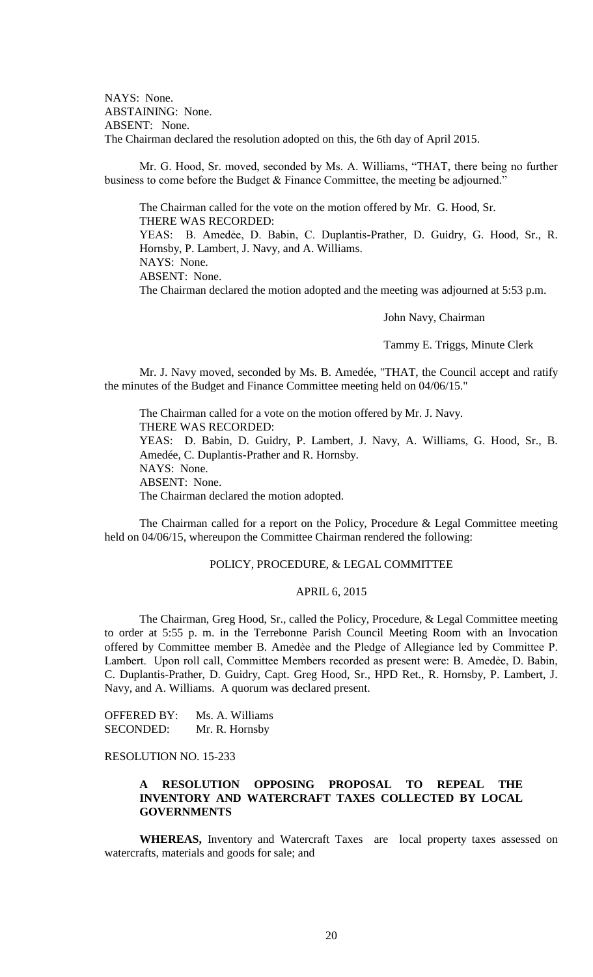NAYS: None. ABSTAINING: None. ABSENT: None. The Chairman declared the resolution adopted on this, the 6th day of April 2015.

Mr. G. Hood, Sr. moved, seconded by Ms. A. Williams, "THAT, there being no further business to come before the Budget & Finance Committee, the meeting be adjourned."

The Chairman called for the vote on the motion offered by Mr. G. Hood, Sr. THERE WAS RECORDED: YEAS: B. Amedẻe, D. Babin, C. Duplantis-Prather, D. Guidry, G. Hood, Sr., R. Hornsby, P. Lambert, J. Navy, and A. Williams. NAYS: None. ABSENT: None. The Chairman declared the motion adopted and the meeting was adjourned at 5:53 p.m.

John Navy, Chairman

Tammy E. Triggs, Minute Clerk

Mr. J. Navy moved, seconded by Ms. B. Amedée, "THAT, the Council accept and ratify the minutes of the Budget and Finance Committee meeting held on 04/06/15."

The Chairman called for a vote on the motion offered by Mr. J. Navy. THERE WAS RECORDED: YEAS: D. Babin, D. Guidry, P. Lambert, J. Navy, A. Williams, G. Hood, Sr., B. Amedée, C. Duplantis-Prather and R. Hornsby. NAYS: None. ABSENT: None. The Chairman declared the motion adopted.

The Chairman called for a report on the Policy, Procedure & Legal Committee meeting held on 04/06/15, whereupon the Committee Chairman rendered the following:

## POLICY, PROCEDURE, & LEGAL COMMITTEE

#### APRIL 6, 2015

The Chairman, Greg Hood, Sr., called the Policy, Procedure, & Legal Committee meeting to order at 5:55 p. m. in the Terrebonne Parish Council Meeting Room with an Invocation offered by Committee member B. Amedèe and the Pledge of Allegiance led by Committee P. Lambert. Upon roll call, Committee Members recorded as present were: B. Amedẻe, D. Babin, C. Duplantis-Prather, D. Guidry, Capt. Greg Hood, Sr., HPD Ret., R. Hornsby, P. Lambert, J. Navy, and A. Williams. A quorum was declared present.

OFFERED BY: Ms. A. Williams SECONDED: Mr. R. Hornsby

# RESOLUTION NO. 15-233

# **A RESOLUTION OPPOSING PROPOSAL TO REPEAL THE INVENTORY AND WATERCRAFT TAXES COLLECTED BY LOCAL GOVERNMENTS**

**WHEREAS,** Inventory and Watercraft Taxes are local property taxes assessed on watercrafts, materials and goods for sale; and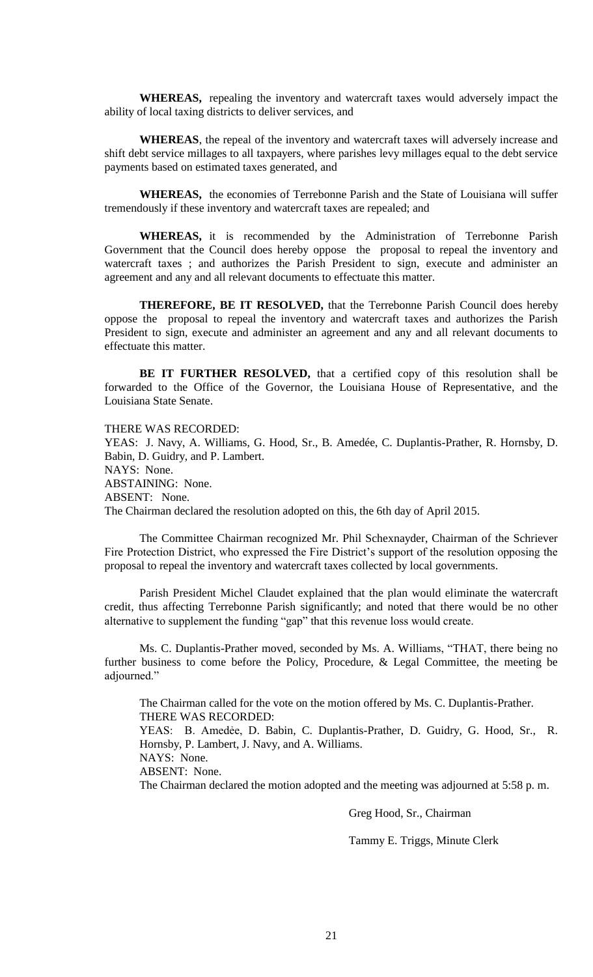**WHEREAS,** repealing the inventory and watercraft taxes would adversely impact the ability of local taxing districts to deliver services, and

**WHEREAS**, the repeal of the inventory and watercraft taxes will adversely increase and shift debt service millages to all taxpayers, where parishes levy millages equal to the debt service payments based on estimated taxes generated, and

**WHEREAS,** the economies of Terrebonne Parish and the State of Louisiana will suffer tremendously if these inventory and watercraft taxes are repealed; and

**WHEREAS,** it is recommended by the Administration of Terrebonne Parish Government that the Council does hereby oppose the proposal to repeal the inventory and watercraft taxes ; and authorizes the Parish President to sign, execute and administer an agreement and any and all relevant documents to effectuate this matter.

**THEREFORE, BE IT RESOLVED,** that the Terrebonne Parish Council does hereby oppose the proposal to repeal the inventory and watercraft taxes and authorizes the Parish President to sign, execute and administer an agreement and any and all relevant documents to effectuate this matter.

**BE IT FURTHER RESOLVED,** that a certified copy of this resolution shall be forwarded to the Office of the Governor, the Louisiana House of Representative, and the Louisiana State Senate.

THERE WAS RECORDED:

YEAS: J. Navy, A. Williams, G. Hood, Sr., B. Amedée, C. Duplantis-Prather, R. Hornsby, D. Babin, D. Guidry, and P. Lambert. NAYS: None. ABSTAINING: None. ABSENT: None. The Chairman declared the resolution adopted on this, the 6th day of April 2015.

The Committee Chairman recognized Mr. Phil Schexnayder, Chairman of the Schriever Fire Protection District, who expressed the Fire District's support of the resolution opposing the proposal to repeal the inventory and watercraft taxes collected by local governments.

Parish President Michel Claudet explained that the plan would eliminate the watercraft credit, thus affecting Terrebonne Parish significantly; and noted that there would be no other alternative to supplement the funding "gap" that this revenue loss would create.

Ms. C. Duplantis-Prather moved, seconded by Ms. A. Williams, "THAT, there being no further business to come before the Policy, Procedure, & Legal Committee, the meeting be adjourned."

The Chairman called for the vote on the motion offered by Ms. C. Duplantis-Prather. THERE WAS RECORDED:

YEAS: B. Amedẻe, D. Babin, C. Duplantis-Prather, D. Guidry, G. Hood, Sr., R. Hornsby, P. Lambert, J. Navy, and A. Williams.

NAYS: None.

ABSENT: None.

The Chairman declared the motion adopted and the meeting was adjourned at 5:58 p. m.

Greg Hood, Sr., Chairman

Tammy E. Triggs, Minute Clerk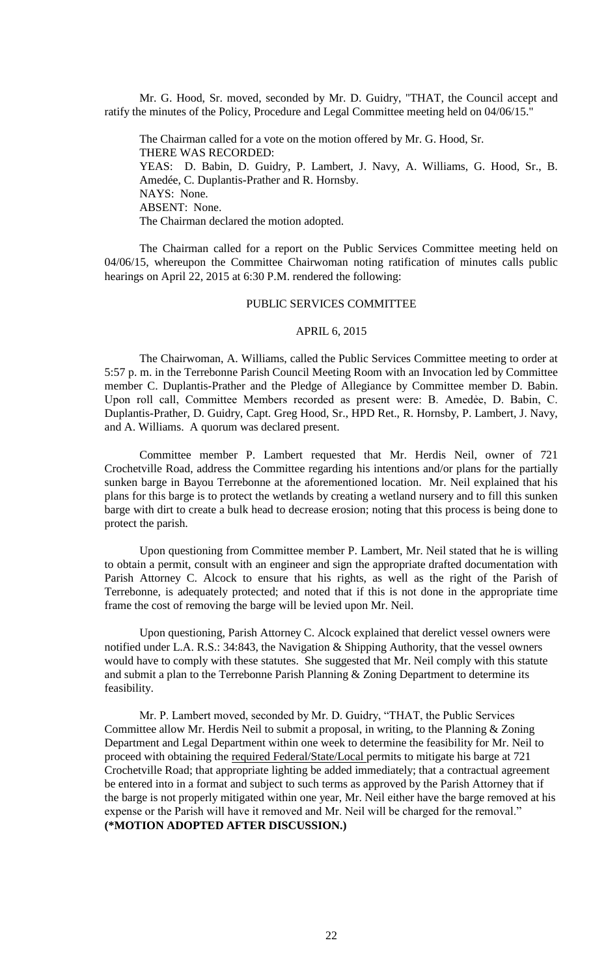Mr. G. Hood, Sr. moved, seconded by Mr. D. Guidry, "THAT, the Council accept and ratify the minutes of the Policy, Procedure and Legal Committee meeting held on 04/06/15."

The Chairman called for a vote on the motion offered by Mr. G. Hood, Sr. THERE WAS RECORDED: YEAS: D. Babin, D. Guidry, P. Lambert, J. Navy, A. Williams, G. Hood, Sr., B. Amedée, C. Duplantis-Prather and R. Hornsby. NAYS: None. ABSENT: None. The Chairman declared the motion adopted.

The Chairman called for a report on the Public Services Committee meeting held on 04/06/15, whereupon the Committee Chairwoman noting ratification of minutes calls public hearings on April 22, 2015 at 6:30 P.M. rendered the following:

# PUBLIC SERVICES COMMITTEE

#### APRIL 6, 2015

The Chairwoman, A. Williams, called the Public Services Committee meeting to order at 5:57 p. m. in the Terrebonne Parish Council Meeting Room with an Invocation led by Committee member C. Duplantis-Prather and the Pledge of Allegiance by Committee member D. Babin. Upon roll call, Committee Members recorded as present were: B. Amedẻe, D. Babin, C. Duplantis-Prather, D. Guidry, Capt. Greg Hood, Sr., HPD Ret., R. Hornsby, P. Lambert, J. Navy, and A. Williams. A quorum was declared present.

Committee member P. Lambert requested that Mr. Herdis Neil, owner of 721 Crochetville Road, address the Committee regarding his intentions and/or plans for the partially sunken barge in Bayou Terrebonne at the aforementioned location. Mr. Neil explained that his plans for this barge is to protect the wetlands by creating a wetland nursery and to fill this sunken barge with dirt to create a bulk head to decrease erosion; noting that this process is being done to protect the parish.

Upon questioning from Committee member P. Lambert, Mr. Neil stated that he is willing to obtain a permit, consult with an engineer and sign the appropriate drafted documentation with Parish Attorney C. Alcock to ensure that his rights, as well as the right of the Parish of Terrebonne, is adequately protected; and noted that if this is not done in the appropriate time frame the cost of removing the barge will be levied upon Mr. Neil.

Upon questioning, Parish Attorney C. Alcock explained that derelict vessel owners were notified under L.A. R.S.: 34:843, the Navigation & Shipping Authority, that the vessel owners would have to comply with these statutes. She suggested that Mr. Neil comply with this statute and submit a plan to the Terrebonne Parish Planning & Zoning Department to determine its feasibility.

Mr. P. Lambert moved, seconded by Mr. D. Guidry, "THAT, the Public Services Committee allow Mr. Herdis Neil to submit a proposal, in writing, to the Planning & Zoning Department and Legal Department within one week to determine the feasibility for Mr. Neil to proceed with obtaining the required Federal/State/Local permits to mitigate his barge at 721 Crochetville Road; that appropriate lighting be added immediately; that a contractual agreement be entered into in a format and subject to such terms as approved by the Parish Attorney that if the barge is not properly mitigated within one year, Mr. Neil either have the barge removed at his expense or the Parish will have it removed and Mr. Neil will be charged for the removal." **(\*MOTION ADOPTED AFTER DISCUSSION.)**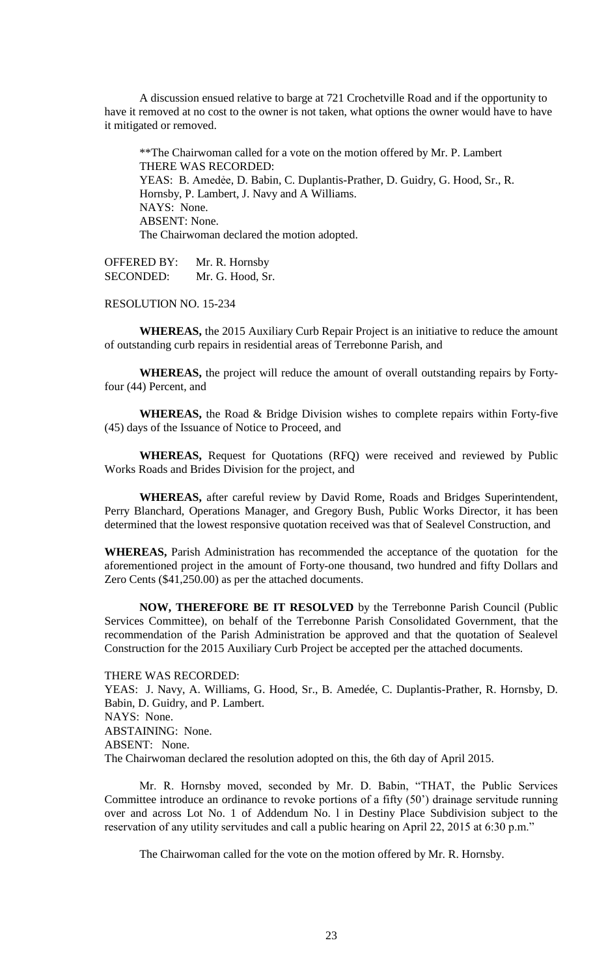A discussion ensued relative to barge at 721 Crochetville Road and if the opportunity to have it removed at no cost to the owner is not taken, what options the owner would have to have it mitigated or removed.

\*\*The Chairwoman called for a vote on the motion offered by Mr. P. Lambert THERE WAS RECORDED: YEAS: B. Amedẻe, D. Babin, C. Duplantis-Prather, D. Guidry, G. Hood, Sr., R. Hornsby, P. Lambert, J. Navy and A Williams. NAYS: None. ABSENT: None. The Chairwoman declared the motion adopted.

OFFERED BY: Mr. R. Hornsby SECONDED: Mr. G. Hood, Sr.

RESOLUTION NO. 15-234

**WHEREAS,** the 2015 Auxiliary Curb Repair Project is an initiative to reduce the amount of outstanding curb repairs in residential areas of Terrebonne Parish, and

**WHEREAS,** the project will reduce the amount of overall outstanding repairs by Fortyfour (44) Percent, and

**WHEREAS,** the Road & Bridge Division wishes to complete repairs within Forty-five (45) days of the Issuance of Notice to Proceed, and

**WHEREAS,** Request for Quotations (RFQ) were received and reviewed by Public Works Roads and Brides Division for the project, and

**WHEREAS,** after careful review by David Rome, Roads and Bridges Superintendent, Perry Blanchard, Operations Manager, and Gregory Bush, Public Works Director, it has been determined that the lowest responsive quotation received was that of Sealevel Construction, and

**WHEREAS,** Parish Administration has recommended the acceptance of the quotation for the aforementioned project in the amount of Forty-one thousand, two hundred and fifty Dollars and Zero Cents (\$41,250.00) as per the attached documents.

**NOW, THEREFORE BE IT RESOLVED** by the Terrebonne Parish Council (Public Services Committee), on behalf of the Terrebonne Parish Consolidated Government, that the recommendation of the Parish Administration be approved and that the quotation of Sealevel Construction for the 2015 Auxiliary Curb Project be accepted per the attached documents.

THERE WAS RECORDED:

YEAS: J. Navy, A. Williams, G. Hood, Sr., B. Amedée, C. Duplantis-Prather, R. Hornsby, D. Babin, D. Guidry, and P. Lambert. NAYS: None. ABSTAINING: None. ABSENT: None. The Chairwoman declared the resolution adopted on this, the 6th day of April 2015.

Mr. R. Hornsby moved, seconded by Mr. D. Babin, "THAT, the Public Services Committee introduce an ordinance to revoke portions of a fifty (50') drainage servitude running over and across Lot No. 1 of Addendum No. l in Destiny Place Subdivision subject to the reservation of any utility servitudes and call a public hearing on April 22, 2015 at 6:30 p.m."

The Chairwoman called for the vote on the motion offered by Mr. R. Hornsby.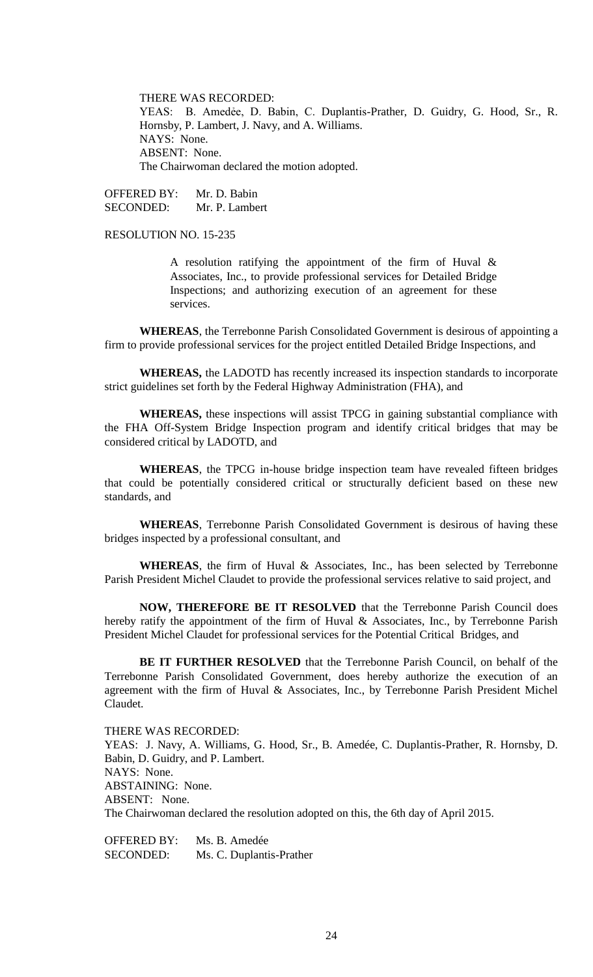THERE WAS RECORDED:

YEAS: B. Amedẻe, D. Babin, C. Duplantis-Prather, D. Guidry, G. Hood, Sr., R. Hornsby, P. Lambert, J. Navy, and A. Williams. NAYS: None. ABSENT: None. The Chairwoman declared the motion adopted.

OFFERED BY: Mr. D. Babin SECONDED: Mr. P. Lambert

RESOLUTION NO. 15-235

A resolution ratifying the appointment of the firm of Huval & Associates, Inc., to provide professional services for Detailed Bridge Inspections; and authorizing execution of an agreement for these services.

**WHEREAS**, the Terrebonne Parish Consolidated Government is desirous of appointing a firm to provide professional services for the project entitled Detailed Bridge Inspections, and

**WHEREAS,** the LADOTD has recently increased its inspection standards to incorporate strict guidelines set forth by the Federal Highway Administration (FHA), and

**WHEREAS,** these inspections will assist TPCG in gaining substantial compliance with the FHA Off-System Bridge Inspection program and identify critical bridges that may be considered critical by LADOTD, and

**WHEREAS**, the TPCG in-house bridge inspection team have revealed fifteen bridges that could be potentially considered critical or structurally deficient based on these new standards, and

**WHEREAS**, Terrebonne Parish Consolidated Government is desirous of having these bridges inspected by a professional consultant, and

**WHEREAS**, the firm of Huval & Associates, Inc., has been selected by Terrebonne Parish President Michel Claudet to provide the professional services relative to said project, and

**NOW, THEREFORE BE IT RESOLVED** that the Terrebonne Parish Council does hereby ratify the appointment of the firm of Huval & Associates, Inc., by Terrebonne Parish President Michel Claudet for professional services for the Potential Critical Bridges, and

**BE IT FURTHER RESOLVED** that the Terrebonne Parish Council, on behalf of the Terrebonne Parish Consolidated Government, does hereby authorize the execution of an agreement with the firm of Huval & Associates, Inc., by Terrebonne Parish President Michel Claudet.

THERE WAS RECORDED: YEAS: J. Navy, A. Williams, G. Hood, Sr., B. Amedée, C. Duplantis-Prather, R. Hornsby, D. Babin, D. Guidry, and P. Lambert. NAYS: None. ABSTAINING: None. ABSENT: None. The Chairwoman declared the resolution adopted on this, the 6th day of April 2015.

OFFERED BY: Ms. B. Amedée SECONDED: Ms. C. Duplantis-Prather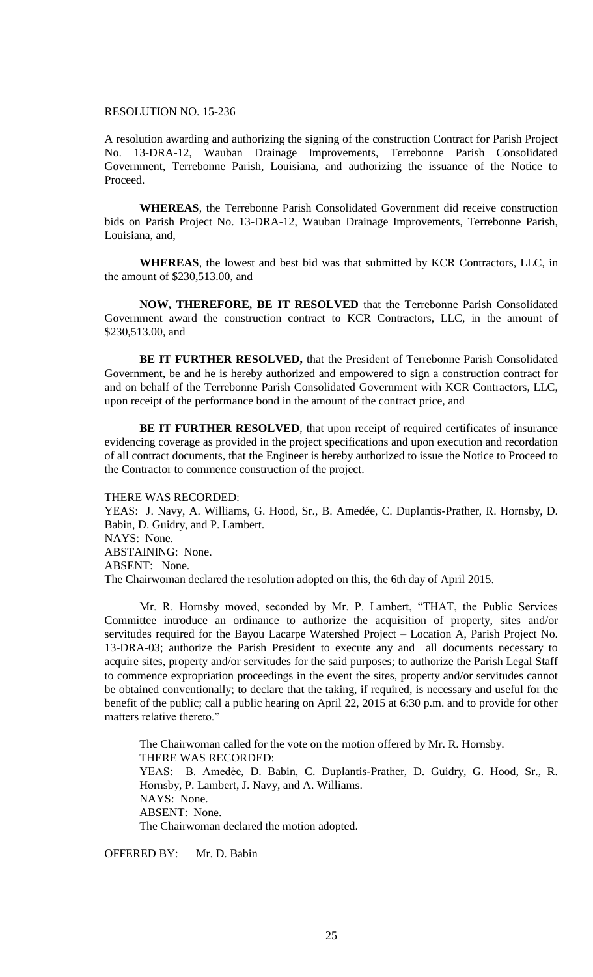# RESOLUTION NO. 15-236

A resolution awarding and authorizing the signing of the construction Contract for Parish Project No. 13-DRA-12, Wauban Drainage Improvements, Terrebonne Parish Consolidated Government, Terrebonne Parish, Louisiana, and authorizing the issuance of the Notice to Proceed.

**WHEREAS**, the Terrebonne Parish Consolidated Government did receive construction bids on Parish Project No. 13-DRA-12, Wauban Drainage Improvements, Terrebonne Parish, Louisiana, and,

**WHEREAS**, the lowest and best bid was that submitted by KCR Contractors, LLC, in the amount of \$230,513.00, and

**NOW, THEREFORE, BE IT RESOLVED** that the Terrebonne Parish Consolidated Government award the construction contract to KCR Contractors, LLC, in the amount of \$230,513.00, and

**BE IT FURTHER RESOLVED,** that the President of Terrebonne Parish Consolidated Government, be and he is hereby authorized and empowered to sign a construction contract for and on behalf of the Terrebonne Parish Consolidated Government with KCR Contractors, LLC, upon receipt of the performance bond in the amount of the contract price, and

BE IT FURTHER RESOLVED, that upon receipt of required certificates of insurance evidencing coverage as provided in the project specifications and upon execution and recordation of all contract documents, that the Engineer is hereby authorized to issue the Notice to Proceed to the Contractor to commence construction of the project.

#### THERE WAS RECORDED:

YEAS: J. Navy, A. Williams, G. Hood, Sr., B. Amedée, C. Duplantis-Prather, R. Hornsby, D. Babin, D. Guidry, and P. Lambert. NAYS: None. ABSTAINING: None. ABSENT: None. The Chairwoman declared the resolution adopted on this, the 6th day of April 2015.

Mr. R. Hornsby moved, seconded by Mr. P. Lambert, "THAT, the Public Services Committee introduce an ordinance to authorize the acquisition of property, sites and/or servitudes required for the Bayou Lacarpe Watershed Project – Location A, Parish Project No. 13-DRA-03; authorize the Parish President to execute any and all documents necessary to acquire sites, property and/or servitudes for the said purposes; to authorize the Parish Legal Staff to commence expropriation proceedings in the event the sites, property and/or servitudes cannot be obtained conventionally; to declare that the taking, if required, is necessary and useful for the benefit of the public; call a public hearing on April 22, 2015 at 6:30 p.m. and to provide for other matters relative thereto."

The Chairwoman called for the vote on the motion offered by Mr. R. Hornsby. THERE WAS RECORDED: YEAS: B. Amedẻe, D. Babin, C. Duplantis-Prather, D. Guidry, G. Hood, Sr., R. Hornsby, P. Lambert, J. Navy, and A. Williams. NAYS: None. ABSENT: None. The Chairwoman declared the motion adopted.

OFFERED BY: Mr. D. Babin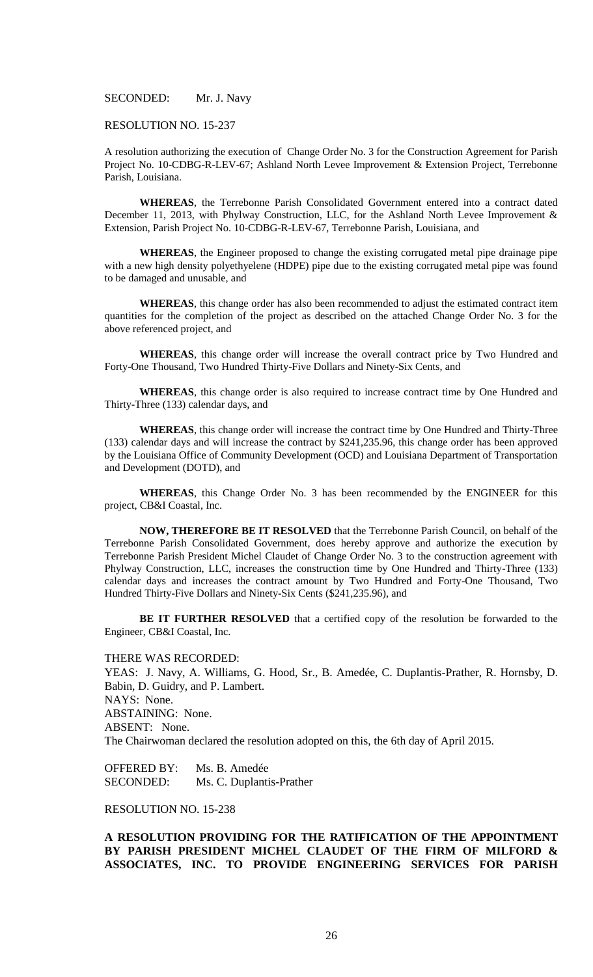SECONDED: Mr. J. Navy

#### RESOLUTION NO. 15-237

A resolution authorizing the execution of Change Order No. 3 for the Construction Agreement for Parish Project No. 10-CDBG-R-LEV-67; Ashland North Levee Improvement & Extension Project, Terrebonne Parish, Louisiana.

**WHEREAS**, the Terrebonne Parish Consolidated Government entered into a contract dated December 11, 2013, with Phylway Construction, LLC, for the Ashland North Levee Improvement & Extension, Parish Project No. 10-CDBG-R-LEV-67, Terrebonne Parish, Louisiana, and

**WHEREAS**, the Engineer proposed to change the existing corrugated metal pipe drainage pipe with a new high density polyethyelene (HDPE) pipe due to the existing corrugated metal pipe was found to be damaged and unusable, and

**WHEREAS**, this change order has also been recommended to adjust the estimated contract item quantities for the completion of the project as described on the attached Change Order No. 3 for the above referenced project, and

**WHEREAS**, this change order will increase the overall contract price by Two Hundred and Forty-One Thousand, Two Hundred Thirty-Five Dollars and Ninety-Six Cents, and

**WHEREAS**, this change order is also required to increase contract time by One Hundred and Thirty-Three (133) calendar days, and

**WHEREAS**, this change order will increase the contract time by One Hundred and Thirty-Three (133) calendar days and will increase the contract by \$241,235.96, this change order has been approved by the Louisiana Office of Community Development (OCD) and Louisiana Department of Transportation and Development (DOTD), and

**WHEREAS**, this Change Order No. 3 has been recommended by the ENGINEER for this project, CB&I Coastal, Inc.

**NOW, THEREFORE BE IT RESOLVED** that the Terrebonne Parish Council, on behalf of the Terrebonne Parish Consolidated Government, does hereby approve and authorize the execution by Terrebonne Parish President Michel Claudet of Change Order No. 3 to the construction agreement with Phylway Construction, LLC, increases the construction time by One Hundred and Thirty-Three (133) calendar days and increases the contract amount by Two Hundred and Forty-One Thousand, Two Hundred Thirty-Five Dollars and Ninety-Six Cents (\$241,235.96), and

**BE IT FURTHER RESOLVED** that a certified copy of the resolution be forwarded to the Engineer, CB&I Coastal, Inc.

THERE WAS RECORDED:

YEAS: J. Navy, A. Williams, G. Hood, Sr., B. Amedée, C. Duplantis-Prather, R. Hornsby, D. Babin, D. Guidry, and P. Lambert. NAYS: None. ABSTAINING: None. ABSENT: None. The Chairwoman declared the resolution adopted on this, the 6th day of April 2015.

OFFERED BY: Ms. B. Amedée SECONDED: Ms. C. Duplantis-Prather

RESOLUTION NO. 15-238

**A RESOLUTION PROVIDING FOR THE RATIFICATION OF THE APPOINTMENT BY PARISH PRESIDENT MICHEL CLAUDET OF THE FIRM OF MILFORD & ASSOCIATES, INC. TO PROVIDE ENGINEERING SERVICES FOR PARISH**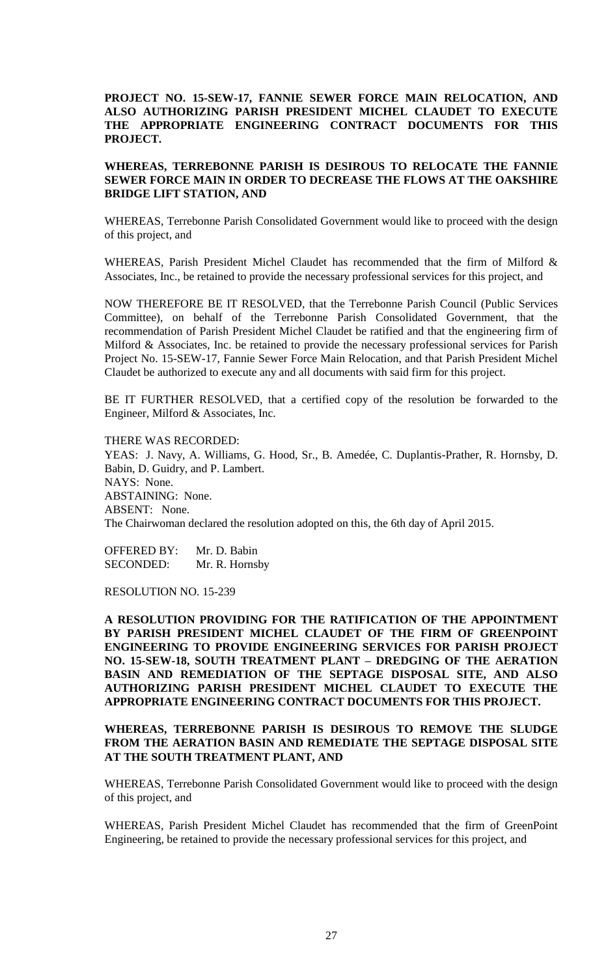# **PROJECT NO. 15-SEW-17, FANNIE SEWER FORCE MAIN RELOCATION, AND ALSO AUTHORIZING PARISH PRESIDENT MICHEL CLAUDET TO EXECUTE THE APPROPRIATE ENGINEERING CONTRACT DOCUMENTS FOR THIS PROJECT.**

# **WHEREAS, TERREBONNE PARISH IS DESIROUS TO RELOCATE THE FANNIE SEWER FORCE MAIN IN ORDER TO DECREASE THE FLOWS AT THE OAKSHIRE BRIDGE LIFT STATION, AND**

WHEREAS, Terrebonne Parish Consolidated Government would like to proceed with the design of this project, and

WHEREAS, Parish President Michel Claudet has recommended that the firm of Milford & Associates, Inc., be retained to provide the necessary professional services for this project, and

NOW THEREFORE BE IT RESOLVED, that the Terrebonne Parish Council (Public Services Committee), on behalf of the Terrebonne Parish Consolidated Government, that the recommendation of Parish President Michel Claudet be ratified and that the engineering firm of Milford & Associates, Inc. be retained to provide the necessary professional services for Parish Project No. 15-SEW-17, Fannie Sewer Force Main Relocation, and that Parish President Michel Claudet be authorized to execute any and all documents with said firm for this project.

BE IT FURTHER RESOLVED, that a certified copy of the resolution be forwarded to the Engineer, Milford & Associates, Inc.

THERE WAS RECORDED: YEAS: J. Navy, A. Williams, G. Hood, Sr., B. Amedée, C. Duplantis-Prather, R. Hornsby, D. Babin, D. Guidry, and P. Lambert. NAYS: None. ABSTAINING: None. ABSENT: None. The Chairwoman declared the resolution adopted on this, the 6th day of April 2015.

OFFERED BY: Mr. D. Babin SECONDED: Mr. R. Hornsby

RESOLUTION NO. 15-239

**A RESOLUTION PROVIDING FOR THE RATIFICATION OF THE APPOINTMENT BY PARISH PRESIDENT MICHEL CLAUDET OF THE FIRM OF GREENPOINT ENGINEERING TO PROVIDE ENGINEERING SERVICES FOR PARISH PROJECT NO. 15-SEW-18, SOUTH TREATMENT PLANT – DREDGING OF THE AERATION BASIN AND REMEDIATION OF THE SEPTAGE DISPOSAL SITE, AND ALSO AUTHORIZING PARISH PRESIDENT MICHEL CLAUDET TO EXECUTE THE APPROPRIATE ENGINEERING CONTRACT DOCUMENTS FOR THIS PROJECT.** 

# **WHEREAS, TERREBONNE PARISH IS DESIROUS TO REMOVE THE SLUDGE FROM THE AERATION BASIN AND REMEDIATE THE SEPTAGE DISPOSAL SITE AT THE SOUTH TREATMENT PLANT, AND**

WHEREAS, Terrebonne Parish Consolidated Government would like to proceed with the design of this project, and

WHEREAS, Parish President Michel Claudet has recommended that the firm of GreenPoint Engineering, be retained to provide the necessary professional services for this project, and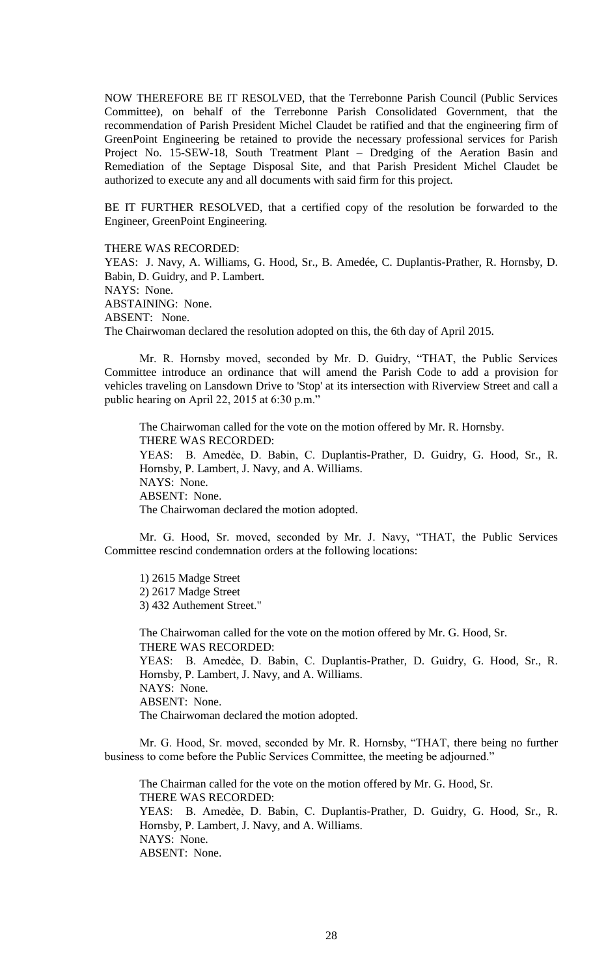NOW THEREFORE BE IT RESOLVED, that the Terrebonne Parish Council (Public Services Committee), on behalf of the Terrebonne Parish Consolidated Government, that the recommendation of Parish President Michel Claudet be ratified and that the engineering firm of GreenPoint Engineering be retained to provide the necessary professional services for Parish Project No. 15-SEW-18, South Treatment Plant – Dredging of the Aeration Basin and Remediation of the Septage Disposal Site, and that Parish President Michel Claudet be authorized to execute any and all documents with said firm for this project.

BE IT FURTHER RESOLVED, that a certified copy of the resolution be forwarded to the Engineer, GreenPoint Engineering.

THERE WAS RECORDED:

YEAS: J. Navy, A. Williams, G. Hood, Sr., B. Amedée, C. Duplantis-Prather, R. Hornsby, D. Babin, D. Guidry, and P. Lambert. NAYS: None. ABSTAINING: None. ABSENT: None. The Chairwoman declared the resolution adopted on this, the 6th day of April 2015.

Mr. R. Hornsby moved, seconded by Mr. D. Guidry, "THAT, the Public Services Committee introduce an ordinance that will amend the Parish Code to add a provision for vehicles traveling on Lansdown Drive to 'Stop' at its intersection with Riverview Street and call a public hearing on April 22, 2015 at 6:30 p.m."

The Chairwoman called for the vote on the motion offered by Mr. R. Hornsby. THERE WAS RECORDED: YEAS: B. Amedẻe, D. Babin, C. Duplantis-Prather, D. Guidry, G. Hood, Sr., R. Hornsby, P. Lambert, J. Navy, and A. Williams. NAYS: None. ABSENT: None. The Chairwoman declared the motion adopted.

Mr. G. Hood, Sr. moved, seconded by Mr. J. Navy, "THAT, the Public Services Committee rescind condemnation orders at the following locations:

1) 2615 Madge Street 2) 2617 Madge Street 3) 432 Authement Street."

The Chairwoman called for the vote on the motion offered by Mr. G. Hood, Sr. THERE WAS RECORDED: YEAS: B. Amedẻe, D. Babin, C. Duplantis-Prather, D. Guidry, G. Hood, Sr., R. Hornsby, P. Lambert, J. Navy, and A. Williams. NAYS: None. ABSENT: None. The Chairwoman declared the motion adopted.

Mr. G. Hood, Sr. moved, seconded by Mr. R. Hornsby, "THAT, there being no further business to come before the Public Services Committee, the meeting be adjourned."

The Chairman called for the vote on the motion offered by Mr. G. Hood, Sr. THERE WAS RECORDED: YEAS: B. Amedẻe, D. Babin, C. Duplantis-Prather, D. Guidry, G. Hood, Sr., R. Hornsby, P. Lambert, J. Navy, and A. Williams. NAYS: None. ABSENT: None.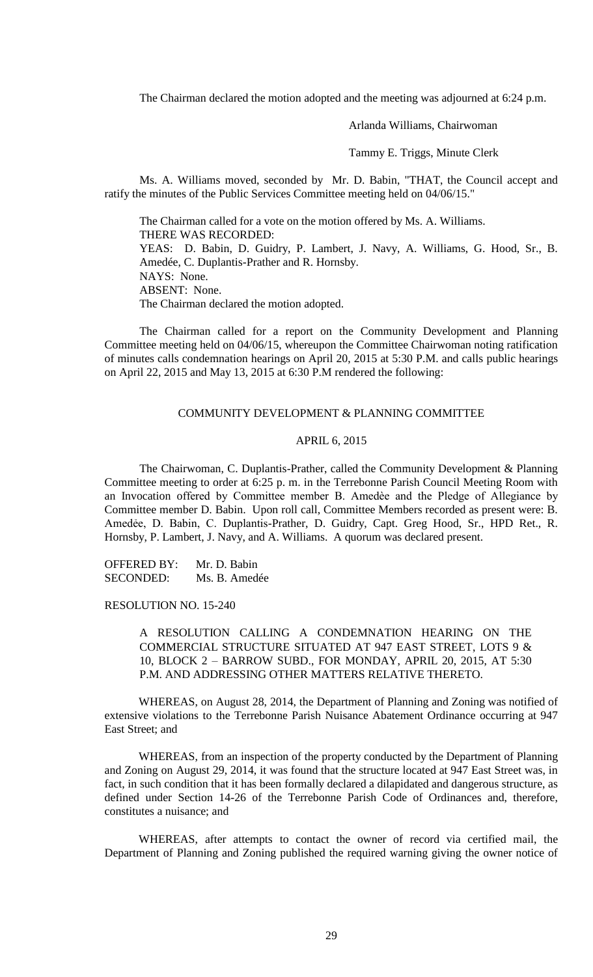The Chairman declared the motion adopted and the meeting was adjourned at 6:24 p.m.

Arlanda Williams, Chairwoman

Tammy E. Triggs, Minute Clerk

Ms. A. Williams moved, seconded by Mr. D. Babin, "THAT, the Council accept and ratify the minutes of the Public Services Committee meeting held on 04/06/15."

The Chairman called for a vote on the motion offered by Ms. A. Williams. THERE WAS RECORDED: YEAS: D. Babin, D. Guidry, P. Lambert, J. Navy, A. Williams, G. Hood, Sr., B. Amedée, C. Duplantis-Prather and R. Hornsby. NAYS: None. ABSENT: None. The Chairman declared the motion adopted.

The Chairman called for a report on the Community Development and Planning Committee meeting held on 04/06/15, whereupon the Committee Chairwoman noting ratification of minutes calls condemnation hearings on April 20, 2015 at 5:30 P.M. and calls public hearings on April 22, 2015 and May 13, 2015 at 6:30 P.M rendered the following:

#### COMMUNITY DEVELOPMENT & PLANNING COMMITTEE

# APRIL 6, 2015

The Chairwoman, C. Duplantis-Prather, called the Community Development & Planning Committee meeting to order at 6:25 p. m. in the Terrebonne Parish Council Meeting Room with an Invocation offered by Committee member B. Amedèe and the Pledge of Allegiance by Committee member D. Babin. Upon roll call, Committee Members recorded as present were: B. Amedẻe, D. Babin, C. Duplantis-Prather, D. Guidry, Capt. Greg Hood, Sr., HPD Ret., R. Hornsby, P. Lambert, J. Navy, and A. Williams. A quorum was declared present.

OFFERED BY: Mr. D. Babin SECONDED: Ms. B. Amedée

#### RESOLUTION NO. 15-240

A RESOLUTION CALLING A CONDEMNATION HEARING ON THE COMMERCIAL STRUCTURE SITUATED AT 947 EAST STREET, LOTS 9 & 10, BLOCK 2 – BARROW SUBD., FOR MONDAY, APRIL 20, 2015, AT 5:30 P.M. AND ADDRESSING OTHER MATTERS RELATIVE THERETO.

WHEREAS, on August 28, 2014, the Department of Planning and Zoning was notified of extensive violations to the Terrebonne Parish Nuisance Abatement Ordinance occurring at 947 East Street; and

WHEREAS, from an inspection of the property conducted by the Department of Planning and Zoning on August 29, 2014, it was found that the structure located at 947 East Street was, in fact, in such condition that it has been formally declared a dilapidated and dangerous structure, as defined under Section 14-26 of the Terrebonne Parish Code of Ordinances and, therefore, constitutes a nuisance; and

WHEREAS, after attempts to contact the owner of record via certified mail, the Department of Planning and Zoning published the required warning giving the owner notice of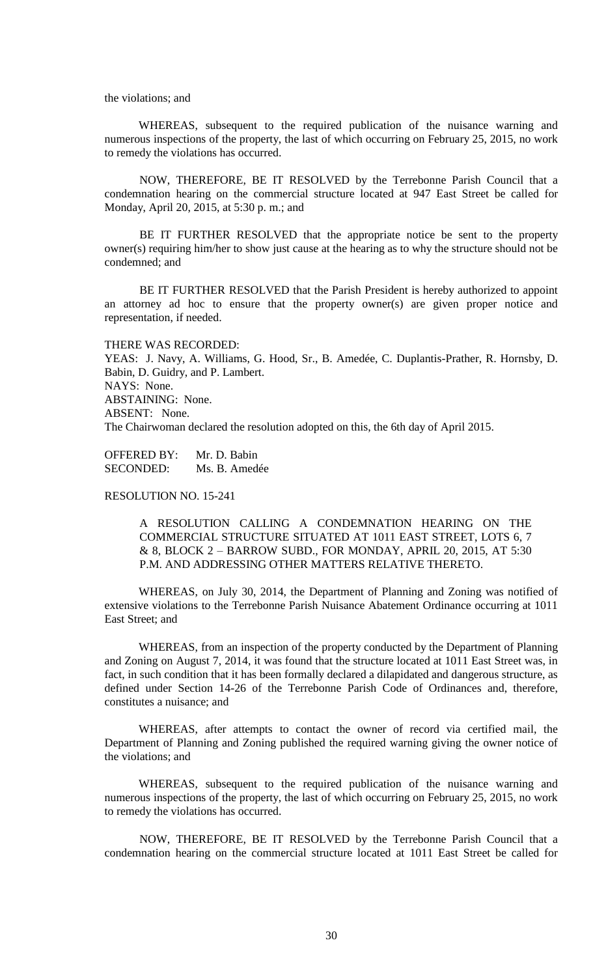the violations; and

WHEREAS, subsequent to the required publication of the nuisance warning and numerous inspections of the property, the last of which occurring on February 25, 2015, no work to remedy the violations has occurred.

NOW, THEREFORE, BE IT RESOLVED by the Terrebonne Parish Council that a condemnation hearing on the commercial structure located at 947 East Street be called for Monday, April 20, 2015, at 5:30 p. m.; and

BE IT FURTHER RESOLVED that the appropriate notice be sent to the property owner(s) requiring him/her to show just cause at the hearing as to why the structure should not be condemned; and

BE IT FURTHER RESOLVED that the Parish President is hereby authorized to appoint an attorney ad hoc to ensure that the property owner(s) are given proper notice and representation, if needed.

THERE WAS RECORDED: YEAS: J. Navy, A. Williams, G. Hood, Sr., B. Amedée, C. Duplantis-Prather, R. Hornsby, D. Babin, D. Guidry, and P. Lambert. NAYS: None. ABSTAINING: None. ABSENT: None. The Chairwoman declared the resolution adopted on this, the 6th day of April 2015.

OFFERED BY: Mr. D. Babin SECONDED: Ms. B. Amedée

# RESOLUTION NO. 15-241

A RESOLUTION CALLING A CONDEMNATION HEARING ON THE COMMERCIAL STRUCTURE SITUATED AT 1011 EAST STREET, LOTS 6, 7 & 8, BLOCK 2 – BARROW SUBD., FOR MONDAY, APRIL 20, 2015, AT 5:30 P.M. AND ADDRESSING OTHER MATTERS RELATIVE THERETO.

WHEREAS, on July 30, 2014, the Department of Planning and Zoning was notified of extensive violations to the Terrebonne Parish Nuisance Abatement Ordinance occurring at 1011 East Street; and

WHEREAS, from an inspection of the property conducted by the Department of Planning and Zoning on August 7, 2014, it was found that the structure located at 1011 East Street was, in fact, in such condition that it has been formally declared a dilapidated and dangerous structure, as defined under Section 14-26 of the Terrebonne Parish Code of Ordinances and, therefore, constitutes a nuisance; and

WHEREAS, after attempts to contact the owner of record via certified mail, the Department of Planning and Zoning published the required warning giving the owner notice of the violations; and

WHEREAS, subsequent to the required publication of the nuisance warning and numerous inspections of the property, the last of which occurring on February 25, 2015, no work to remedy the violations has occurred.

NOW, THEREFORE, BE IT RESOLVED by the Terrebonne Parish Council that a condemnation hearing on the commercial structure located at 1011 East Street be called for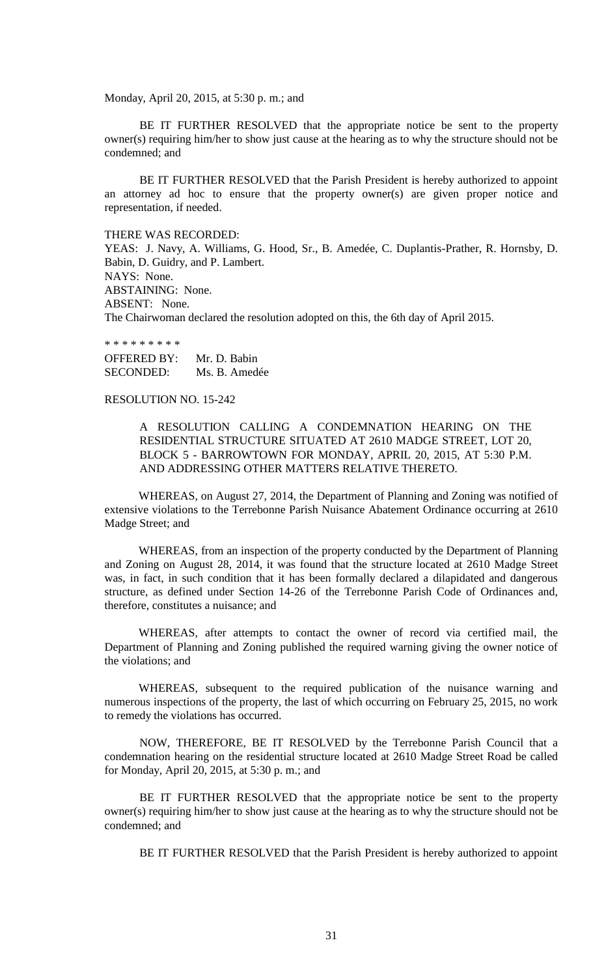Monday, April 20, 2015, at 5:30 p. m.; and

BE IT FURTHER RESOLVED that the appropriate notice be sent to the property owner(s) requiring him/her to show just cause at the hearing as to why the structure should not be condemned; and

BE IT FURTHER RESOLVED that the Parish President is hereby authorized to appoint an attorney ad hoc to ensure that the property owner(s) are given proper notice and representation, if needed.

#### THERE WAS RECORDED:

YEAS: J. Navy, A. Williams, G. Hood, Sr., B. Amedée, C. Duplantis-Prather, R. Hornsby, D. Babin, D. Guidry, and P. Lambert. NAYS: None. ABSTAINING: None. ABSENT: None. The Chairwoman declared the resolution adopted on this, the 6th day of April 2015.

\* \* \* \* \* \* \* \* \*

OFFERED BY: Mr. D. Babin SECONDED: Ms. B. Amedée

## RESOLUTION NO. 15-242

A RESOLUTION CALLING A CONDEMNATION HEARING ON THE RESIDENTIAL STRUCTURE SITUATED AT 2610 MADGE STREET, LOT 20, BLOCK 5 - BARROWTOWN FOR MONDAY, APRIL 20, 2015, AT 5:30 P.M. AND ADDRESSING OTHER MATTERS RELATIVE THERETO.

WHEREAS, on August 27, 2014, the Department of Planning and Zoning was notified of extensive violations to the Terrebonne Parish Nuisance Abatement Ordinance occurring at 2610 Madge Street; and

WHEREAS, from an inspection of the property conducted by the Department of Planning and Zoning on August 28, 2014, it was found that the structure located at 2610 Madge Street was, in fact, in such condition that it has been formally declared a dilapidated and dangerous structure, as defined under Section 14-26 of the Terrebonne Parish Code of Ordinances and, therefore, constitutes a nuisance; and

WHEREAS, after attempts to contact the owner of record via certified mail, the Department of Planning and Zoning published the required warning giving the owner notice of the violations; and

WHEREAS, subsequent to the required publication of the nuisance warning and numerous inspections of the property, the last of which occurring on February 25, 2015, no work to remedy the violations has occurred.

NOW, THEREFORE, BE IT RESOLVED by the Terrebonne Parish Council that a condemnation hearing on the residential structure located at 2610 Madge Street Road be called for Monday, April 20, 2015, at 5:30 p. m.; and

BE IT FURTHER RESOLVED that the appropriate notice be sent to the property owner(s) requiring him/her to show just cause at the hearing as to why the structure should not be condemned; and

BE IT FURTHER RESOLVED that the Parish President is hereby authorized to appoint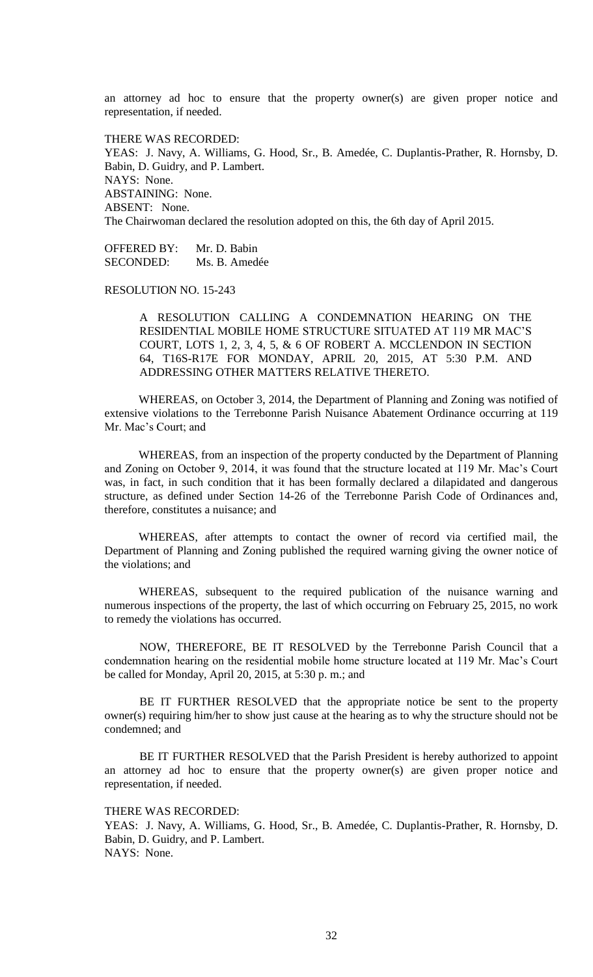an attorney ad hoc to ensure that the property owner(s) are given proper notice and representation, if needed.

THERE WAS RECORDED: YEAS: J. Navy, A. Williams, G. Hood, Sr., B. Amedée, C. Duplantis-Prather, R. Hornsby, D. Babin, D. Guidry, and P. Lambert. NAYS: None. ABSTAINING: None. ABSENT: None. The Chairwoman declared the resolution adopted on this, the 6th day of April 2015.

OFFERED BY: Mr. D. Babin SECONDED: Ms. B. Amedée

RESOLUTION NO. 15-243

A RESOLUTION CALLING A CONDEMNATION HEARING ON THE RESIDENTIAL MOBILE HOME STRUCTURE SITUATED AT 119 MR MAC'S COURT, LOTS 1, 2, 3, 4, 5, & 6 OF ROBERT A. MCCLENDON IN SECTION 64, T16S-R17E FOR MONDAY, APRIL 20, 2015, AT 5:30 P.M. AND ADDRESSING OTHER MATTERS RELATIVE THERETO.

WHEREAS, on October 3, 2014, the Department of Planning and Zoning was notified of extensive violations to the Terrebonne Parish Nuisance Abatement Ordinance occurring at 119 Mr. Mac's Court; and

WHEREAS, from an inspection of the property conducted by the Department of Planning and Zoning on October 9, 2014, it was found that the structure located at 119 Mr. Mac's Court was, in fact, in such condition that it has been formally declared a dilapidated and dangerous structure, as defined under Section 14-26 of the Terrebonne Parish Code of Ordinances and, therefore, constitutes a nuisance; and

WHEREAS, after attempts to contact the owner of record via certified mail, the Department of Planning and Zoning published the required warning giving the owner notice of the violations; and

WHEREAS, subsequent to the required publication of the nuisance warning and numerous inspections of the property, the last of which occurring on February 25, 2015, no work to remedy the violations has occurred.

NOW, THEREFORE, BE IT RESOLVED by the Terrebonne Parish Council that a condemnation hearing on the residential mobile home structure located at 119 Mr. Mac's Court be called for Monday, April 20, 2015, at 5:30 p. m.; and

BE IT FURTHER RESOLVED that the appropriate notice be sent to the property owner(s) requiring him/her to show just cause at the hearing as to why the structure should not be condemned; and

BE IT FURTHER RESOLVED that the Parish President is hereby authorized to appoint an attorney ad hoc to ensure that the property owner(s) are given proper notice and representation, if needed.

THERE WAS RECORDED:

YEAS: J. Navy, A. Williams, G. Hood, Sr., B. Amedée, C. Duplantis-Prather, R. Hornsby, D. Babin, D. Guidry, and P. Lambert. NAYS: None.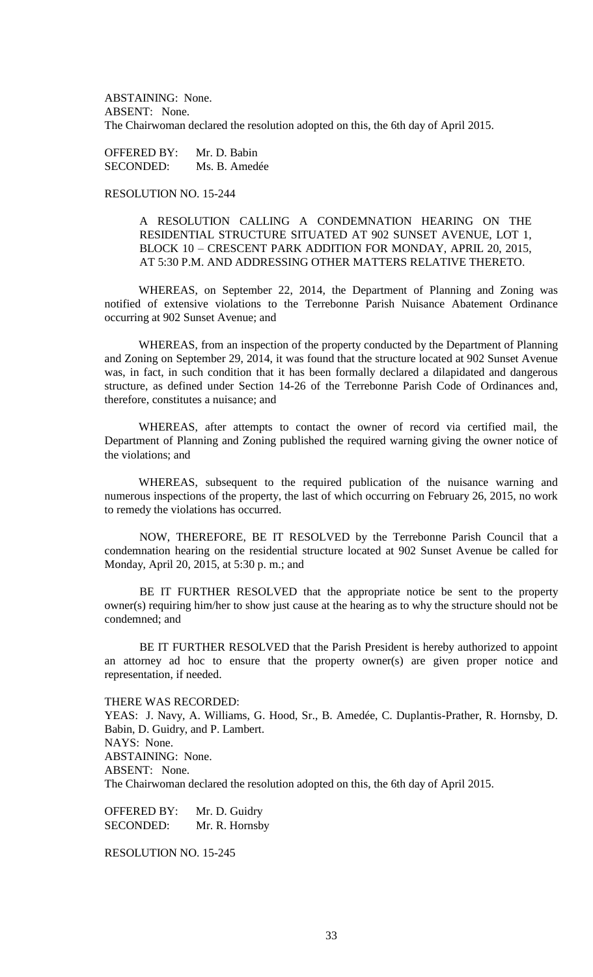ABSTAINING: None. ABSENT: None. The Chairwoman declared the resolution adopted on this, the 6th day of April 2015.

OFFERED BY: Mr. D. Babin SECONDED: Ms. B. Amedée

# RESOLUTION NO. 15-244

A RESOLUTION CALLING A CONDEMNATION HEARING ON THE RESIDENTIAL STRUCTURE SITUATED AT 902 SUNSET AVENUE, LOT 1, BLOCK 10 – CRESCENT PARK ADDITION FOR MONDAY, APRIL 20, 2015, AT 5:30 P.M. AND ADDRESSING OTHER MATTERS RELATIVE THERETO.

WHEREAS, on September 22, 2014, the Department of Planning and Zoning was notified of extensive violations to the Terrebonne Parish Nuisance Abatement Ordinance occurring at 902 Sunset Avenue; and

WHEREAS, from an inspection of the property conducted by the Department of Planning and Zoning on September 29, 2014, it was found that the structure located at 902 Sunset Avenue was, in fact, in such condition that it has been formally declared a dilapidated and dangerous structure, as defined under Section 14-26 of the Terrebonne Parish Code of Ordinances and, therefore, constitutes a nuisance; and

WHEREAS, after attempts to contact the owner of record via certified mail, the Department of Planning and Zoning published the required warning giving the owner notice of the violations; and

WHEREAS, subsequent to the required publication of the nuisance warning and numerous inspections of the property, the last of which occurring on February 26, 2015, no work to remedy the violations has occurred.

NOW, THEREFORE, BE IT RESOLVED by the Terrebonne Parish Council that a condemnation hearing on the residential structure located at 902 Sunset Avenue be called for Monday, April 20, 2015, at 5:30 p. m.; and

BE IT FURTHER RESOLVED that the appropriate notice be sent to the property owner(s) requiring him/her to show just cause at the hearing as to why the structure should not be condemned; and

BE IT FURTHER RESOLVED that the Parish President is hereby authorized to appoint an attorney ad hoc to ensure that the property owner(s) are given proper notice and representation, if needed.

# THERE WAS RECORDED:

YEAS: J. Navy, A. Williams, G. Hood, Sr., B. Amedée, C. Duplantis-Prather, R. Hornsby, D. Babin, D. Guidry, and P. Lambert. NAYS: None. ABSTAINING: None. ABSENT: None. The Chairwoman declared the resolution adopted on this, the 6th day of April 2015.

OFFERED BY: Mr. D. Guidry SECONDED: Mr. R. Hornsby

RESOLUTION NO. 15-245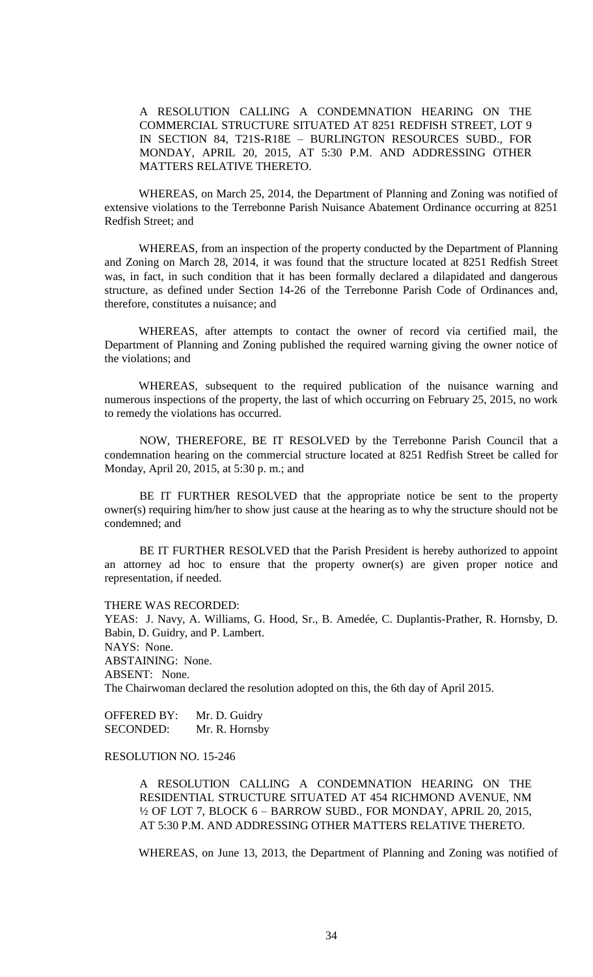A RESOLUTION CALLING A CONDEMNATION HEARING ON THE COMMERCIAL STRUCTURE SITUATED AT 8251 REDFISH STREET, LOT 9 IN SECTION 84, T21S-R18E – BURLINGTON RESOURCES SUBD., FOR MONDAY, APRIL 20, 2015, AT 5:30 P.M. AND ADDRESSING OTHER MATTERS RELATIVE THERETO.

WHEREAS, on March 25, 2014, the Department of Planning and Zoning was notified of extensive violations to the Terrebonne Parish Nuisance Abatement Ordinance occurring at 8251 Redfish Street; and

WHEREAS, from an inspection of the property conducted by the Department of Planning and Zoning on March 28, 2014, it was found that the structure located at 8251 Redfish Street was, in fact, in such condition that it has been formally declared a dilapidated and dangerous structure, as defined under Section 14-26 of the Terrebonne Parish Code of Ordinances and, therefore, constitutes a nuisance; and

WHEREAS, after attempts to contact the owner of record via certified mail, the Department of Planning and Zoning published the required warning giving the owner notice of the violations; and

WHEREAS, subsequent to the required publication of the nuisance warning and numerous inspections of the property, the last of which occurring on February 25, 2015, no work to remedy the violations has occurred.

NOW, THEREFORE, BE IT RESOLVED by the Terrebonne Parish Council that a condemnation hearing on the commercial structure located at 8251 Redfish Street be called for Monday, April 20, 2015, at 5:30 p. m.; and

BE IT FURTHER RESOLVED that the appropriate notice be sent to the property owner(s) requiring him/her to show just cause at the hearing as to why the structure should not be condemned; and

BE IT FURTHER RESOLVED that the Parish President is hereby authorized to appoint an attorney ad hoc to ensure that the property owner(s) are given proper notice and representation, if needed.

THERE WAS RECORDED:

YEAS: J. Navy, A. Williams, G. Hood, Sr., B. Amedée, C. Duplantis-Prather, R. Hornsby, D. Babin, D. Guidry, and P. Lambert. NAYS: None. ABSTAINING: None. ABSENT: None. The Chairwoman declared the resolution adopted on this, the 6th day of April 2015.

OFFERED BY: Mr. D. Guidry SECONDED: Mr. R. Hornsby

# RESOLUTION NO. 15-246

A RESOLUTION CALLING A CONDEMNATION HEARING ON THE RESIDENTIAL STRUCTURE SITUATED AT 454 RICHMOND AVENUE, NM ½ OF LOT 7, BLOCK 6 – BARROW SUBD., FOR MONDAY, APRIL 20, 2015, AT 5:30 P.M. AND ADDRESSING OTHER MATTERS RELATIVE THERETO.

WHEREAS, on June 13, 2013, the Department of Planning and Zoning was notified of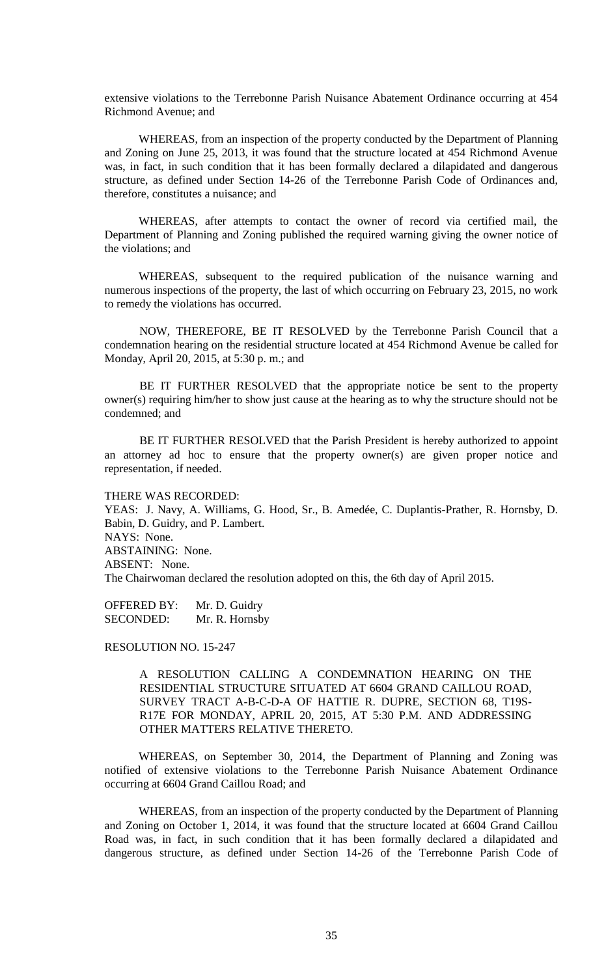extensive violations to the Terrebonne Parish Nuisance Abatement Ordinance occurring at 454 Richmond Avenue; and

WHEREAS, from an inspection of the property conducted by the Department of Planning and Zoning on June 25, 2013, it was found that the structure located at 454 Richmond Avenue was, in fact, in such condition that it has been formally declared a dilapidated and dangerous structure, as defined under Section 14-26 of the Terrebonne Parish Code of Ordinances and, therefore, constitutes a nuisance; and

WHEREAS, after attempts to contact the owner of record via certified mail, the Department of Planning and Zoning published the required warning giving the owner notice of the violations; and

WHEREAS, subsequent to the required publication of the nuisance warning and numerous inspections of the property, the last of which occurring on February 23, 2015, no work to remedy the violations has occurred.

NOW, THEREFORE, BE IT RESOLVED by the Terrebonne Parish Council that a condemnation hearing on the residential structure located at 454 Richmond Avenue be called for Monday, April 20, 2015, at 5:30 p. m.; and

BE IT FURTHER RESOLVED that the appropriate notice be sent to the property owner(s) requiring him/her to show just cause at the hearing as to why the structure should not be condemned; and

BE IT FURTHER RESOLVED that the Parish President is hereby authorized to appoint an attorney ad hoc to ensure that the property owner(s) are given proper notice and representation, if needed.

#### THERE WAS RECORDED:

YEAS: J. Navy, A. Williams, G. Hood, Sr., B. Amedée, C. Duplantis-Prather, R. Hornsby, D. Babin, D. Guidry, and P. Lambert. NAYS: None. ABSTAINING: None. ABSENT: None. The Chairwoman declared the resolution adopted on this, the 6th day of April 2015.

OFFERED BY: Mr. D. Guidry SECONDED: Mr. R. Hornsby

RESOLUTION NO. 15-247

A RESOLUTION CALLING A CONDEMNATION HEARING ON THE RESIDENTIAL STRUCTURE SITUATED AT 6604 GRAND CAILLOU ROAD, SURVEY TRACT A-B-C-D-A OF HATTIE R. DUPRE, SECTION 68, T19S-R17E FOR MONDAY, APRIL 20, 2015, AT 5:30 P.M. AND ADDRESSING OTHER MATTERS RELATIVE THERETO.

WHEREAS, on September 30, 2014, the Department of Planning and Zoning was notified of extensive violations to the Terrebonne Parish Nuisance Abatement Ordinance occurring at 6604 Grand Caillou Road; and

WHEREAS, from an inspection of the property conducted by the Department of Planning and Zoning on October 1, 2014, it was found that the structure located at 6604 Grand Caillou Road was, in fact, in such condition that it has been formally declared a dilapidated and dangerous structure, as defined under Section 14-26 of the Terrebonne Parish Code of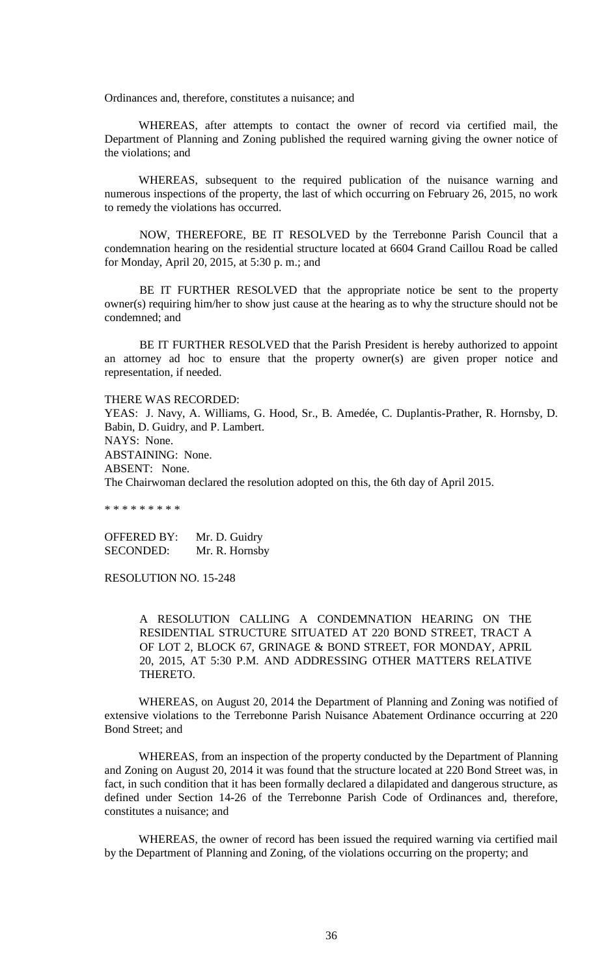Ordinances and, therefore, constitutes a nuisance; and

WHEREAS, after attempts to contact the owner of record via certified mail, the Department of Planning and Zoning published the required warning giving the owner notice of the violations; and

WHEREAS, subsequent to the required publication of the nuisance warning and numerous inspections of the property, the last of which occurring on February 26, 2015, no work to remedy the violations has occurred.

NOW, THEREFORE, BE IT RESOLVED by the Terrebonne Parish Council that a condemnation hearing on the residential structure located at 6604 Grand Caillou Road be called for Monday, April 20, 2015, at 5:30 p. m.; and

BE IT FURTHER RESOLVED that the appropriate notice be sent to the property owner(s) requiring him/her to show just cause at the hearing as to why the structure should not be condemned; and

BE IT FURTHER RESOLVED that the Parish President is hereby authorized to appoint an attorney ad hoc to ensure that the property owner(s) are given proper notice and representation, if needed.

THERE WAS RECORDED:

YEAS: J. Navy, A. Williams, G. Hood, Sr., B. Amedée, C. Duplantis-Prather, R. Hornsby, D. Babin, D. Guidry, and P. Lambert. NAYS: None. ABSTAINING: None. ABSENT: None. The Chairwoman declared the resolution adopted on this, the 6th day of April 2015.

\* \* \* \* \* \* \* \* \*

OFFERED BY: Mr. D. Guidry SECONDED: Mr. R. Hornsby

RESOLUTION NO. 15-248

A RESOLUTION CALLING A CONDEMNATION HEARING ON THE RESIDENTIAL STRUCTURE SITUATED AT 220 BOND STREET, TRACT A OF LOT 2, BLOCK 67, GRINAGE & BOND STREET, FOR MONDAY, APRIL 20, 2015, AT 5:30 P.M. AND ADDRESSING OTHER MATTERS RELATIVE THERETO.

WHEREAS, on August 20, 2014 the Department of Planning and Zoning was notified of extensive violations to the Terrebonne Parish Nuisance Abatement Ordinance occurring at 220 Bond Street; and

WHEREAS, from an inspection of the property conducted by the Department of Planning and Zoning on August 20, 2014 it was found that the structure located at 220 Bond Street was, in fact, in such condition that it has been formally declared a dilapidated and dangerous structure, as defined under Section 14-26 of the Terrebonne Parish Code of Ordinances and, therefore, constitutes a nuisance; and

WHEREAS, the owner of record has been issued the required warning via certified mail by the Department of Planning and Zoning, of the violations occurring on the property; and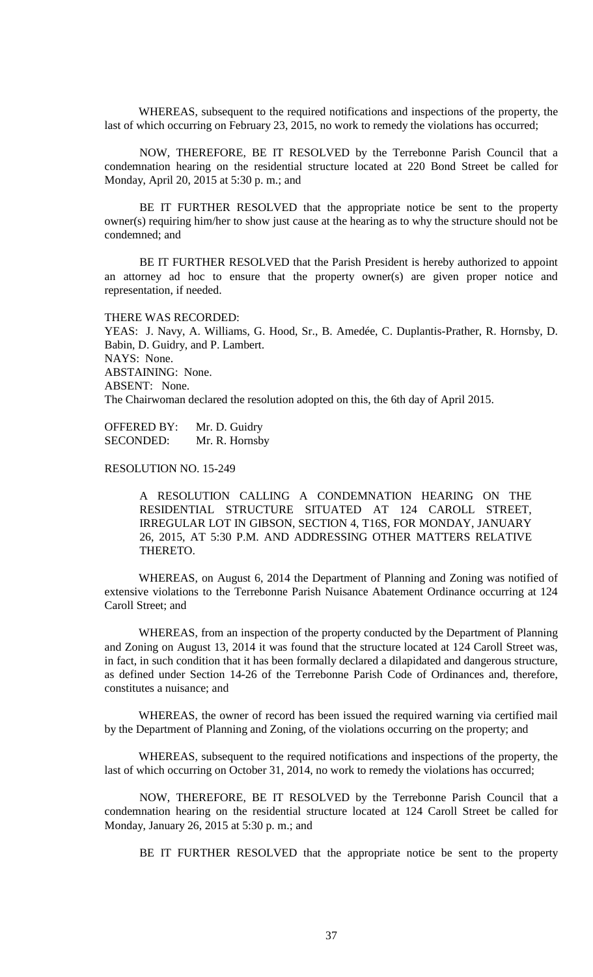WHEREAS, subsequent to the required notifications and inspections of the property, the last of which occurring on February 23, 2015, no work to remedy the violations has occurred;

NOW, THEREFORE, BE IT RESOLVED by the Terrebonne Parish Council that a condemnation hearing on the residential structure located at 220 Bond Street be called for Monday, April 20, 2015 at 5:30 p. m.; and

BE IT FURTHER RESOLVED that the appropriate notice be sent to the property owner(s) requiring him/her to show just cause at the hearing as to why the structure should not be condemned; and

BE IT FURTHER RESOLVED that the Parish President is hereby authorized to appoint an attorney ad hoc to ensure that the property owner(s) are given proper notice and representation, if needed.

# THERE WAS RECORDED:

YEAS: J. Navy, A. Williams, G. Hood, Sr., B. Amedée, C. Duplantis-Prather, R. Hornsby, D. Babin, D. Guidry, and P. Lambert. NAYS: None. ABSTAINING: None. ABSENT: None. The Chairwoman declared the resolution adopted on this, the 6th day of April 2015.

OFFERED BY: Mr. D. Guidry SECONDED: Mr. R. Hornsby

RESOLUTION NO. 15-249

A RESOLUTION CALLING A CONDEMNATION HEARING ON THE RESIDENTIAL STRUCTURE SITUATED AT 124 CAROLL STREET, IRREGULAR LOT IN GIBSON, SECTION 4, T16S, FOR MONDAY, JANUARY 26, 2015, AT 5:30 P.M. AND ADDRESSING OTHER MATTERS RELATIVE THERETO.

WHEREAS, on August 6, 2014 the Department of Planning and Zoning was notified of extensive violations to the Terrebonne Parish Nuisance Abatement Ordinance occurring at 124 Caroll Street; and

WHEREAS, from an inspection of the property conducted by the Department of Planning and Zoning on August 13, 2014 it was found that the structure located at 124 Caroll Street was, in fact, in such condition that it has been formally declared a dilapidated and dangerous structure, as defined under Section 14-26 of the Terrebonne Parish Code of Ordinances and, therefore, constitutes a nuisance; and

WHEREAS, the owner of record has been issued the required warning via certified mail by the Department of Planning and Zoning, of the violations occurring on the property; and

WHEREAS, subsequent to the required notifications and inspections of the property, the last of which occurring on October 31, 2014, no work to remedy the violations has occurred;

NOW, THEREFORE, BE IT RESOLVED by the Terrebonne Parish Council that a condemnation hearing on the residential structure located at 124 Caroll Street be called for Monday, January 26, 2015 at 5:30 p. m.; and

BE IT FURTHER RESOLVED that the appropriate notice be sent to the property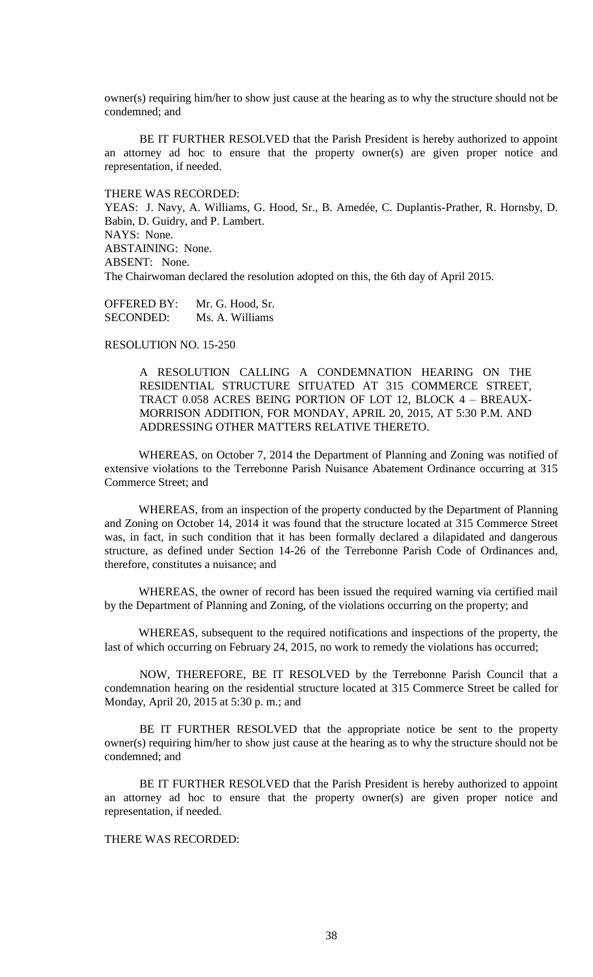owner(s) requiring him/her to show just cause at the hearing as to why the structure should not be condemned; and

BE IT FURTHER RESOLVED that the Parish President is hereby authorized to appoint an attorney ad hoc to ensure that the property owner(s) are given proper notice and representation, if needed.

THERE WAS RECORDED:

YEAS: J. Navy, A. Williams, G. Hood, Sr., B. Amedée, C. Duplantis-Prather, R. Hornsby, D. Babin, D. Guidry, and P. Lambert. NAYS: None. ABSTAINING: None. ABSENT: None. The Chairwoman declared the resolution adopted on this, the 6th day of April 2015.

OFFERED BY: Mr. G. Hood, Sr. SECONDED: Ms. A. Williams

RESOLUTION NO. 15-250

A RESOLUTION CALLING A CONDEMNATION HEARING ON THE RESIDENTIAL STRUCTURE SITUATED AT 315 COMMERCE STREET, TRACT 0.058 ACRES BEING PORTION OF LOT 12, BLOCK 4 – BREAUX-MORRISON ADDITION, FOR MONDAY, APRIL 20, 2015, AT 5:30 P.M. AND ADDRESSING OTHER MATTERS RELATIVE THERETO.

WHEREAS, on October 7, 2014 the Department of Planning and Zoning was notified of extensive violations to the Terrebonne Parish Nuisance Abatement Ordinance occurring at 315 Commerce Street; and

WHEREAS, from an inspection of the property conducted by the Department of Planning and Zoning on October 14, 2014 it was found that the structure located at 315 Commerce Street was, in fact, in such condition that it has been formally declared a dilapidated and dangerous structure, as defined under Section 14-26 of the Terrebonne Parish Code of Ordinances and, therefore, constitutes a nuisance; and

WHEREAS, the owner of record has been issued the required warning via certified mail by the Department of Planning and Zoning, of the violations occurring on the property; and

WHEREAS, subsequent to the required notifications and inspections of the property, the last of which occurring on February 24, 2015, no work to remedy the violations has occurred;

NOW, THEREFORE, BE IT RESOLVED by the Terrebonne Parish Council that a condemnation hearing on the residential structure located at 315 Commerce Street be called for Monday, April 20, 2015 at 5:30 p. m.; and

BE IT FURTHER RESOLVED that the appropriate notice be sent to the property owner(s) requiring him/her to show just cause at the hearing as to why the structure should not be condemned; and

BE IT FURTHER RESOLVED that the Parish President is hereby authorized to appoint an attorney ad hoc to ensure that the property owner(s) are given proper notice and representation, if needed.

THERE WAS RECORDED: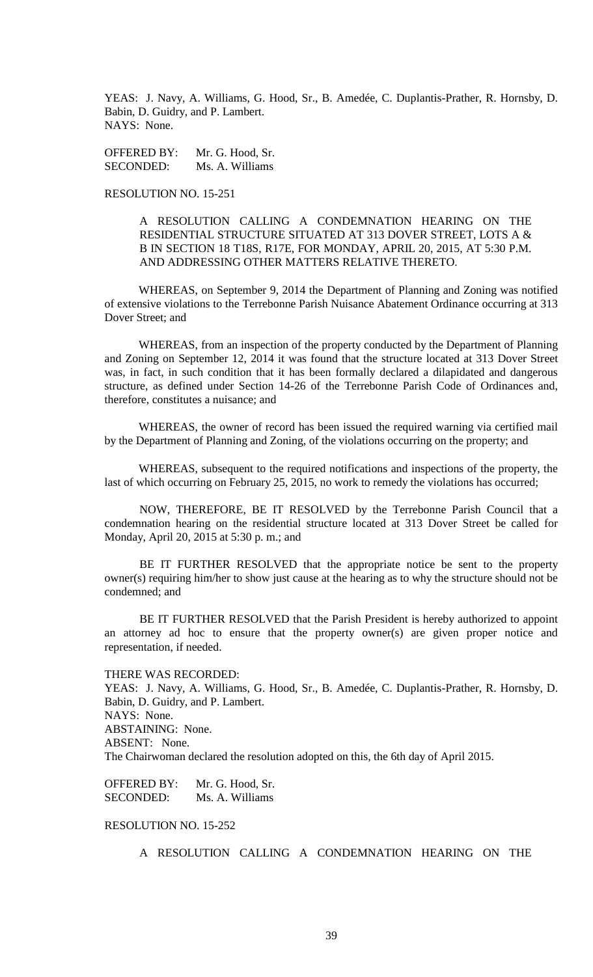YEAS: J. Navy, A. Williams, G. Hood, Sr., B. Amedée, C. Duplantis-Prather, R. Hornsby, D. Babin, D. Guidry, and P. Lambert. NAYS: None.

OFFERED BY: Mr. G. Hood, Sr. SECONDED: Ms. A. Williams

# RESOLUTION NO. 15-251

A RESOLUTION CALLING A CONDEMNATION HEARING ON THE RESIDENTIAL STRUCTURE SITUATED AT 313 DOVER STREET, LOTS A & B IN SECTION 18 T18S, R17E, FOR MONDAY, APRIL 20, 2015, AT 5:30 P.M. AND ADDRESSING OTHER MATTERS RELATIVE THERETO.

WHEREAS, on September 9, 2014 the Department of Planning and Zoning was notified of extensive violations to the Terrebonne Parish Nuisance Abatement Ordinance occurring at 313 Dover Street; and

WHEREAS, from an inspection of the property conducted by the Department of Planning and Zoning on September 12, 2014 it was found that the structure located at 313 Dover Street was, in fact, in such condition that it has been formally declared a dilapidated and dangerous structure, as defined under Section 14-26 of the Terrebonne Parish Code of Ordinances and, therefore, constitutes a nuisance; and

WHEREAS, the owner of record has been issued the required warning via certified mail by the Department of Planning and Zoning, of the violations occurring on the property; and

WHEREAS, subsequent to the required notifications and inspections of the property, the last of which occurring on February 25, 2015, no work to remedy the violations has occurred;

NOW, THEREFORE, BE IT RESOLVED by the Terrebonne Parish Council that a condemnation hearing on the residential structure located at 313 Dover Street be called for Monday, April 20, 2015 at 5:30 p. m.; and

BE IT FURTHER RESOLVED that the appropriate notice be sent to the property owner(s) requiring him/her to show just cause at the hearing as to why the structure should not be condemned; and

BE IT FURTHER RESOLVED that the Parish President is hereby authorized to appoint an attorney ad hoc to ensure that the property owner(s) are given proper notice and representation, if needed.

#### THERE WAS RECORDED:

YEAS: J. Navy, A. Williams, G. Hood, Sr., B. Amedée, C. Duplantis-Prather, R. Hornsby, D. Babin, D. Guidry, and P. Lambert. NAYS: None. ABSTAINING: None. ABSENT: None. The Chairwoman declared the resolution adopted on this, the 6th day of April 2015.

OFFERED BY: Mr. G. Hood, Sr. SECONDED: Ms. A. Williams

# RESOLUTION NO. 15-252

A RESOLUTION CALLING A CONDEMNATION HEARING ON THE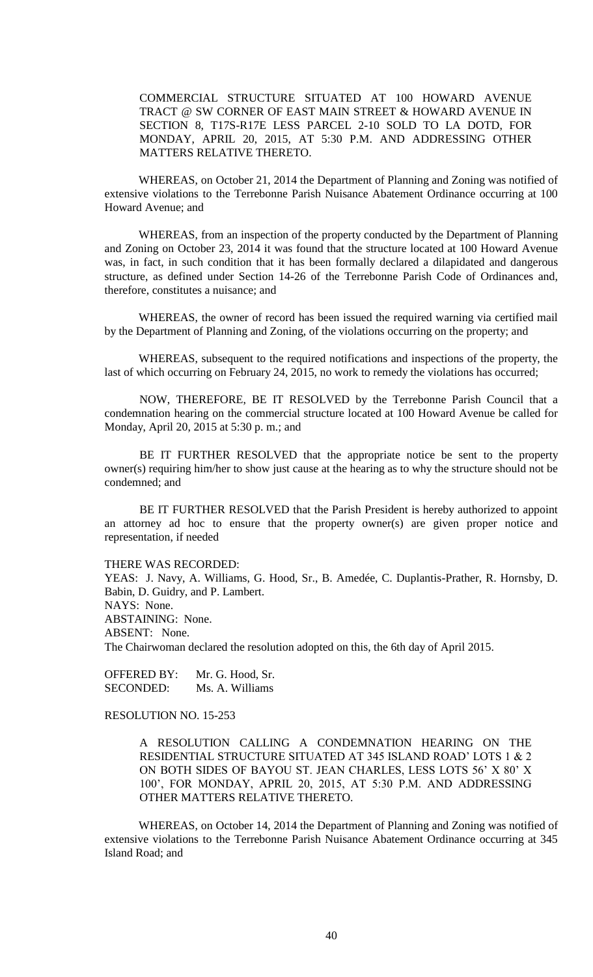COMMERCIAL STRUCTURE SITUATED AT 100 HOWARD AVENUE TRACT @ SW CORNER OF EAST MAIN STREET & HOWARD AVENUE IN SECTION 8, T17S-R17E LESS PARCEL 2-10 SOLD TO LA DOTD, FOR MONDAY, APRIL 20, 2015, AT 5:30 P.M. AND ADDRESSING OTHER MATTERS RELATIVE THERETO.

WHEREAS, on October 21, 2014 the Department of Planning and Zoning was notified of extensive violations to the Terrebonne Parish Nuisance Abatement Ordinance occurring at 100 Howard Avenue; and

WHEREAS, from an inspection of the property conducted by the Department of Planning and Zoning on October 23, 2014 it was found that the structure located at 100 Howard Avenue was, in fact, in such condition that it has been formally declared a dilapidated and dangerous structure, as defined under Section 14-26 of the Terrebonne Parish Code of Ordinances and, therefore, constitutes a nuisance; and

WHEREAS, the owner of record has been issued the required warning via certified mail by the Department of Planning and Zoning, of the violations occurring on the property; and

WHEREAS, subsequent to the required notifications and inspections of the property, the last of which occurring on February 24, 2015, no work to remedy the violations has occurred;

NOW, THEREFORE, BE IT RESOLVED by the Terrebonne Parish Council that a condemnation hearing on the commercial structure located at 100 Howard Avenue be called for Monday, April 20, 2015 at 5:30 p. m.; and

BE IT FURTHER RESOLVED that the appropriate notice be sent to the property owner(s) requiring him/her to show just cause at the hearing as to why the structure should not be condemned; and

BE IT FURTHER RESOLVED that the Parish President is hereby authorized to appoint an attorney ad hoc to ensure that the property owner(s) are given proper notice and representation, if needed

THERE WAS RECORDED:

YEAS: J. Navy, A. Williams, G. Hood, Sr., B. Amedée, C. Duplantis-Prather, R. Hornsby, D. Babin, D. Guidry, and P. Lambert. NAYS: None. ABSTAINING: None. ABSENT: None. The Chairwoman declared the resolution adopted on this, the 6th day of April 2015.

OFFERED BY: Mr. G. Hood, Sr. SECONDED: Ms. A. Williams

RESOLUTION NO. 15-253

A RESOLUTION CALLING A CONDEMNATION HEARING ON THE RESIDENTIAL STRUCTURE SITUATED AT 345 ISLAND ROAD' LOTS 1 & 2 ON BOTH SIDES OF BAYOU ST. JEAN CHARLES, LESS LOTS 56' X 80' X 100', FOR MONDAY, APRIL 20, 2015, AT 5:30 P.M. AND ADDRESSING OTHER MATTERS RELATIVE THERETO.

WHEREAS, on October 14, 2014 the Department of Planning and Zoning was notified of extensive violations to the Terrebonne Parish Nuisance Abatement Ordinance occurring at 345 Island Road; and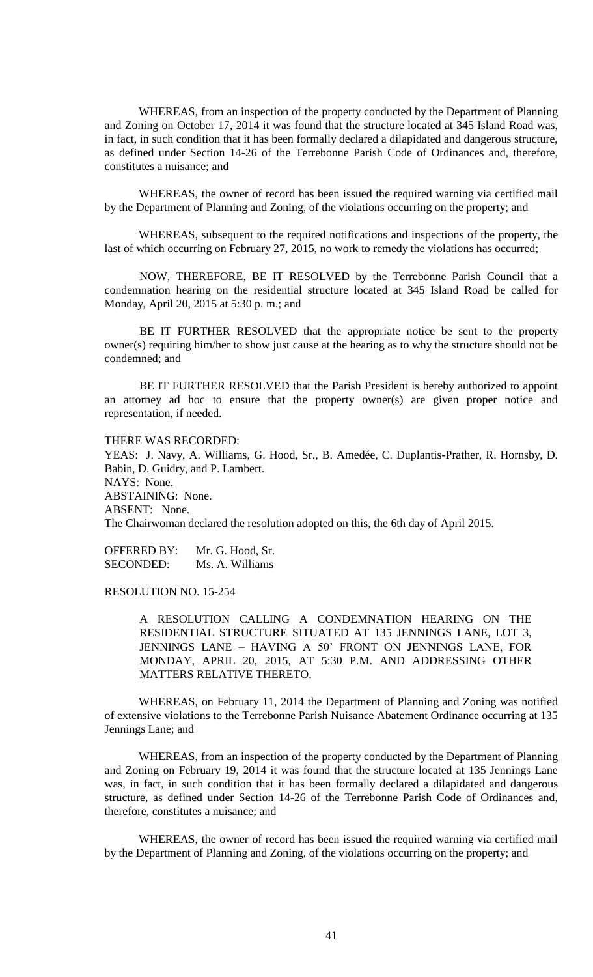WHEREAS, from an inspection of the property conducted by the Department of Planning and Zoning on October 17, 2014 it was found that the structure located at 345 Island Road was, in fact, in such condition that it has been formally declared a dilapidated and dangerous structure, as defined under Section 14-26 of the Terrebonne Parish Code of Ordinances and, therefore, constitutes a nuisance; and

WHEREAS, the owner of record has been issued the required warning via certified mail by the Department of Planning and Zoning, of the violations occurring on the property; and

WHEREAS, subsequent to the required notifications and inspections of the property, the last of which occurring on February 27, 2015, no work to remedy the violations has occurred;

NOW, THEREFORE, BE IT RESOLVED by the Terrebonne Parish Council that a condemnation hearing on the residential structure located at 345 Island Road be called for Monday, April 20, 2015 at 5:30 p. m.; and

BE IT FURTHER RESOLVED that the appropriate notice be sent to the property owner(s) requiring him/her to show just cause at the hearing as to why the structure should not be condemned; and

BE IT FURTHER RESOLVED that the Parish President is hereby authorized to appoint an attorney ad hoc to ensure that the property owner(s) are given proper notice and representation, if needed.

THERE WAS RECORDED:

YEAS: J. Navy, A. Williams, G. Hood, Sr., B. Amedée, C. Duplantis-Prather, R. Hornsby, D. Babin, D. Guidry, and P. Lambert. NAYS: None. ABSTAINING: None. ABSENT: None. The Chairwoman declared the resolution adopted on this, the 6th day of April 2015.

OFFERED BY: Mr. G. Hood, Sr. SECONDED: Ms. A. Williams

RESOLUTION NO. 15-254

A RESOLUTION CALLING A CONDEMNATION HEARING ON THE RESIDENTIAL STRUCTURE SITUATED AT 135 JENNINGS LANE, LOT 3, JENNINGS LANE – HAVING A 50' FRONT ON JENNINGS LANE, FOR MONDAY, APRIL 20, 2015, AT 5:30 P.M. AND ADDRESSING OTHER MATTERS RELATIVE THERETO.

WHEREAS, on February 11, 2014 the Department of Planning and Zoning was notified of extensive violations to the Terrebonne Parish Nuisance Abatement Ordinance occurring at 135 Jennings Lane; and

WHEREAS, from an inspection of the property conducted by the Department of Planning and Zoning on February 19, 2014 it was found that the structure located at 135 Jennings Lane was, in fact, in such condition that it has been formally declared a dilapidated and dangerous structure, as defined under Section 14-26 of the Terrebonne Parish Code of Ordinances and, therefore, constitutes a nuisance; and

WHEREAS, the owner of record has been issued the required warning via certified mail by the Department of Planning and Zoning, of the violations occurring on the property; and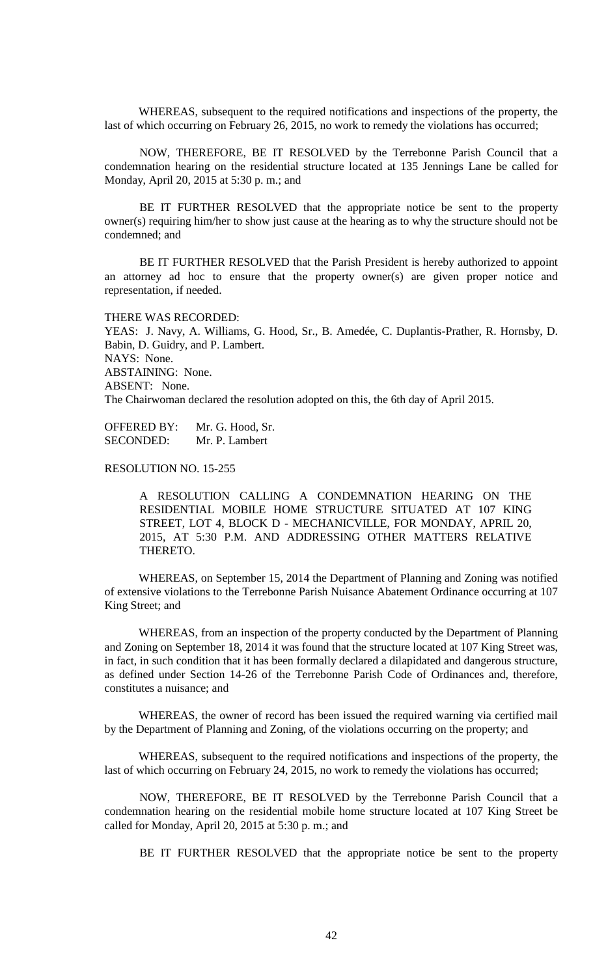WHEREAS, subsequent to the required notifications and inspections of the property, the last of which occurring on February 26, 2015, no work to remedy the violations has occurred;

NOW, THEREFORE, BE IT RESOLVED by the Terrebonne Parish Council that a condemnation hearing on the residential structure located at 135 Jennings Lane be called for Monday, April 20, 2015 at 5:30 p. m.; and

BE IT FURTHER RESOLVED that the appropriate notice be sent to the property owner(s) requiring him/her to show just cause at the hearing as to why the structure should not be condemned; and

BE IT FURTHER RESOLVED that the Parish President is hereby authorized to appoint an attorney ad hoc to ensure that the property owner(s) are given proper notice and representation, if needed.

# THERE WAS RECORDED:

YEAS: J. Navy, A. Williams, G. Hood, Sr., B. Amedée, C. Duplantis-Prather, R. Hornsby, D. Babin, D. Guidry, and P. Lambert. NAYS: None. ABSTAINING: None. ABSENT: None. The Chairwoman declared the resolution adopted on this, the 6th day of April 2015.

OFFERED BY: Mr. G. Hood, Sr. SECONDED: Mr. P. Lambert

RESOLUTION NO. 15-255

A RESOLUTION CALLING A CONDEMNATION HEARING ON THE RESIDENTIAL MOBILE HOME STRUCTURE SITUATED AT 107 KING STREET, LOT 4, BLOCK D - MECHANICVILLE, FOR MONDAY, APRIL 20, 2015, AT 5:30 P.M. AND ADDRESSING OTHER MATTERS RELATIVE THERETO.

WHEREAS, on September 15, 2014 the Department of Planning and Zoning was notified of extensive violations to the Terrebonne Parish Nuisance Abatement Ordinance occurring at 107 King Street; and

WHEREAS, from an inspection of the property conducted by the Department of Planning and Zoning on September 18, 2014 it was found that the structure located at 107 King Street was, in fact, in such condition that it has been formally declared a dilapidated and dangerous structure, as defined under Section 14-26 of the Terrebonne Parish Code of Ordinances and, therefore, constitutes a nuisance; and

WHEREAS, the owner of record has been issued the required warning via certified mail by the Department of Planning and Zoning, of the violations occurring on the property; and

WHEREAS, subsequent to the required notifications and inspections of the property, the last of which occurring on February 24, 2015, no work to remedy the violations has occurred;

NOW, THEREFORE, BE IT RESOLVED by the Terrebonne Parish Council that a condemnation hearing on the residential mobile home structure located at 107 King Street be called for Monday, April 20, 2015 at 5:30 p. m.; and

BE IT FURTHER RESOLVED that the appropriate notice be sent to the property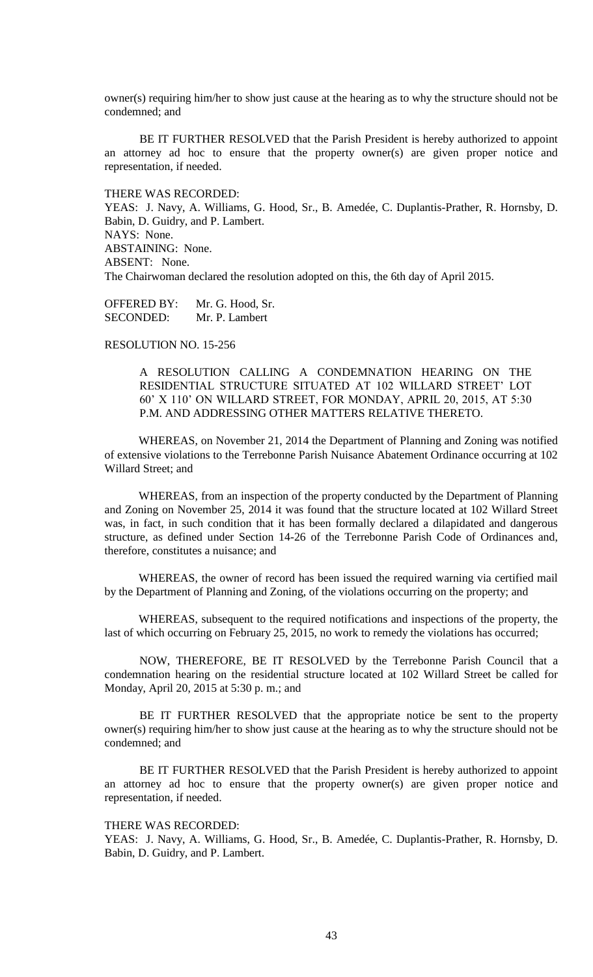owner(s) requiring him/her to show just cause at the hearing as to why the structure should not be condemned; and

BE IT FURTHER RESOLVED that the Parish President is hereby authorized to appoint an attorney ad hoc to ensure that the property owner(s) are given proper notice and representation, if needed.

THERE WAS RECORDED:

YEAS: J. Navy, A. Williams, G. Hood, Sr., B. Amedée, C. Duplantis-Prather, R. Hornsby, D. Babin, D. Guidry, and P. Lambert. NAYS: None. ABSTAINING: None. ABSENT: None. The Chairwoman declared the resolution adopted on this, the 6th day of April 2015.

OFFERED BY: Mr. G. Hood, Sr. SECONDED: Mr. P. Lambert

RESOLUTION NO. 15-256

A RESOLUTION CALLING A CONDEMNATION HEARING ON THE RESIDENTIAL STRUCTURE SITUATED AT 102 WILLARD STREET' LOT 60' X 110' ON WILLARD STREET, FOR MONDAY, APRIL 20, 2015, AT 5:30 P.M. AND ADDRESSING OTHER MATTERS RELATIVE THERETO.

WHEREAS, on November 21, 2014 the Department of Planning and Zoning was notified of extensive violations to the Terrebonne Parish Nuisance Abatement Ordinance occurring at 102 Willard Street; and

WHEREAS, from an inspection of the property conducted by the Department of Planning and Zoning on November 25, 2014 it was found that the structure located at 102 Willard Street was, in fact, in such condition that it has been formally declared a dilapidated and dangerous structure, as defined under Section 14-26 of the Terrebonne Parish Code of Ordinances and, therefore, constitutes a nuisance; and

WHEREAS, the owner of record has been issued the required warning via certified mail by the Department of Planning and Zoning, of the violations occurring on the property; and

WHEREAS, subsequent to the required notifications and inspections of the property, the last of which occurring on February 25, 2015, no work to remedy the violations has occurred;

NOW, THEREFORE, BE IT RESOLVED by the Terrebonne Parish Council that a condemnation hearing on the residential structure located at 102 Willard Street be called for Monday, April 20, 2015 at 5:30 p. m.; and

BE IT FURTHER RESOLVED that the appropriate notice be sent to the property owner(s) requiring him/her to show just cause at the hearing as to why the structure should not be condemned; and

BE IT FURTHER RESOLVED that the Parish President is hereby authorized to appoint an attorney ad hoc to ensure that the property owner(s) are given proper notice and representation, if needed.

# THERE WAS RECORDED:

YEAS: J. Navy, A. Williams, G. Hood, Sr., B. Amedée, C. Duplantis-Prather, R. Hornsby, D. Babin, D. Guidry, and P. Lambert.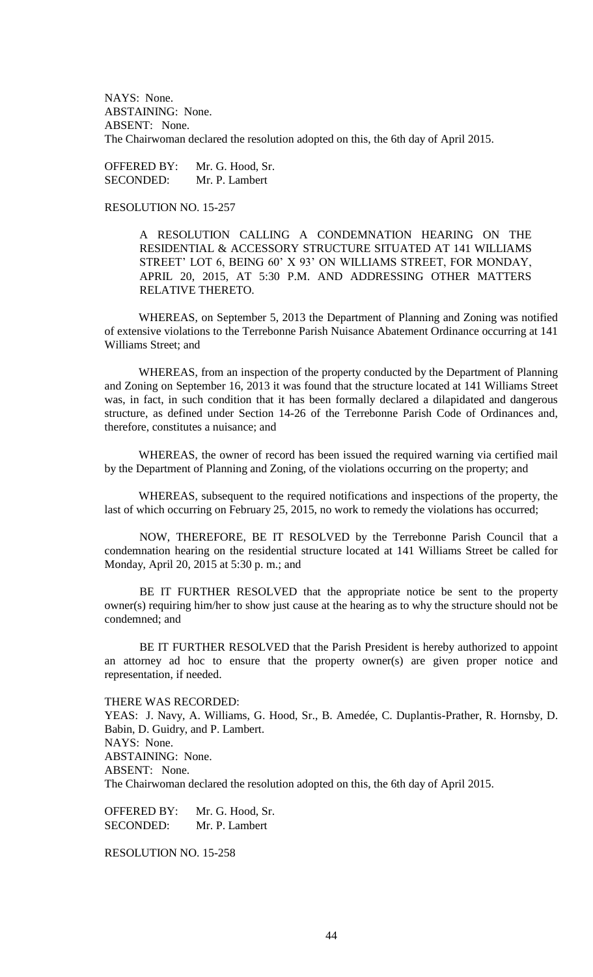NAYS: None. ABSTAINING: None. ABSENT: None. The Chairwoman declared the resolution adopted on this, the 6th day of April 2015.

OFFERED BY: Mr. G. Hood, Sr. SECONDED: Mr. P. Lambert

RESOLUTION NO. 15-257

A RESOLUTION CALLING A CONDEMNATION HEARING ON THE RESIDENTIAL & ACCESSORY STRUCTURE SITUATED AT 141 WILLIAMS STREET' LOT 6, BEING 60' X 93' ON WILLIAMS STREET, FOR MONDAY, APRIL 20, 2015, AT 5:30 P.M. AND ADDRESSING OTHER MATTERS RELATIVE THERETO.

WHEREAS, on September 5, 2013 the Department of Planning and Zoning was notified of extensive violations to the Terrebonne Parish Nuisance Abatement Ordinance occurring at 141 Williams Street; and

WHEREAS, from an inspection of the property conducted by the Department of Planning and Zoning on September 16, 2013 it was found that the structure located at 141 Williams Street was, in fact, in such condition that it has been formally declared a dilapidated and dangerous structure, as defined under Section 14-26 of the Terrebonne Parish Code of Ordinances and, therefore, constitutes a nuisance; and

WHEREAS, the owner of record has been issued the required warning via certified mail by the Department of Planning and Zoning, of the violations occurring on the property; and

WHEREAS, subsequent to the required notifications and inspections of the property, the last of which occurring on February 25, 2015, no work to remedy the violations has occurred;

NOW, THEREFORE, BE IT RESOLVED by the Terrebonne Parish Council that a condemnation hearing on the residential structure located at 141 Williams Street be called for Monday, April 20, 2015 at 5:30 p. m.; and

BE IT FURTHER RESOLVED that the appropriate notice be sent to the property owner(s) requiring him/her to show just cause at the hearing as to why the structure should not be condemned; and

BE IT FURTHER RESOLVED that the Parish President is hereby authorized to appoint an attorney ad hoc to ensure that the property owner(s) are given proper notice and representation, if needed.

THERE WAS RECORDED:

YEAS: J. Navy, A. Williams, G. Hood, Sr., B. Amedée, C. Duplantis-Prather, R. Hornsby, D. Babin, D. Guidry, and P. Lambert. NAYS: None. ABSTAINING: None. ABSENT: None. The Chairwoman declared the resolution adopted on this, the 6th day of April 2015.

OFFERED BY: Mr. G. Hood, Sr. SECONDED: Mr. P. Lambert

RESOLUTION NO. 15-258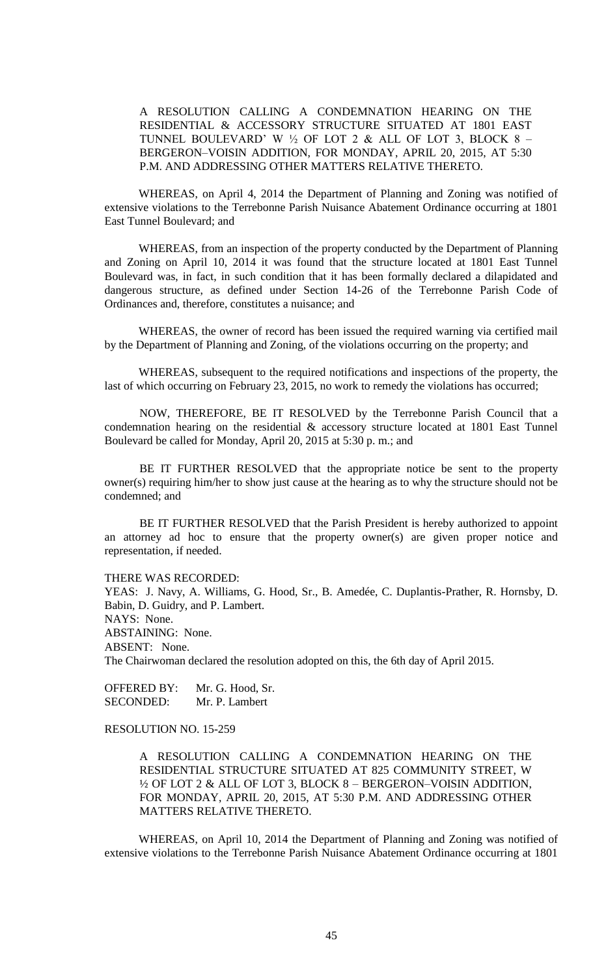A RESOLUTION CALLING A CONDEMNATION HEARING ON THE RESIDENTIAL & ACCESSORY STRUCTURE SITUATED AT 1801 EAST TUNNEL BOULEVARD' W  $\frac{1}{2}$  OF LOT 2 & ALL OF LOT 3, BLOCK 8 – BERGERON–VOISIN ADDITION, FOR MONDAY, APRIL 20, 2015, AT 5:30 P.M. AND ADDRESSING OTHER MATTERS RELATIVE THERETO.

WHEREAS, on April 4, 2014 the Department of Planning and Zoning was notified of extensive violations to the Terrebonne Parish Nuisance Abatement Ordinance occurring at 1801 East Tunnel Boulevard; and

WHEREAS, from an inspection of the property conducted by the Department of Planning and Zoning on April 10, 2014 it was found that the structure located at 1801 East Tunnel Boulevard was, in fact, in such condition that it has been formally declared a dilapidated and dangerous structure, as defined under Section 14-26 of the Terrebonne Parish Code of Ordinances and, therefore, constitutes a nuisance; and

WHEREAS, the owner of record has been issued the required warning via certified mail by the Department of Planning and Zoning, of the violations occurring on the property; and

WHEREAS, subsequent to the required notifications and inspections of the property, the last of which occurring on February 23, 2015, no work to remedy the violations has occurred;

NOW, THEREFORE, BE IT RESOLVED by the Terrebonne Parish Council that a condemnation hearing on the residential & accessory structure located at 1801 East Tunnel Boulevard be called for Monday, April 20, 2015 at 5:30 p. m.; and

BE IT FURTHER RESOLVED that the appropriate notice be sent to the property owner(s) requiring him/her to show just cause at the hearing as to why the structure should not be condemned; and

BE IT FURTHER RESOLVED that the Parish President is hereby authorized to appoint an attorney ad hoc to ensure that the property owner(s) are given proper notice and representation, if needed.

THERE WAS RECORDED:

YEAS: J. Navy, A. Williams, G. Hood, Sr., B. Amedée, C. Duplantis-Prather, R. Hornsby, D. Babin, D. Guidry, and P. Lambert. NAYS: None. ABSTAINING: None. ABSENT: None. The Chairwoman declared the resolution adopted on this, the 6th day of April 2015.

OFFERED BY: Mr. G. Hood, Sr. SECONDED: Mr. P. Lambert

RESOLUTION NO. 15-259

A RESOLUTION CALLING A CONDEMNATION HEARING ON THE RESIDENTIAL STRUCTURE SITUATED AT 825 COMMUNITY STREET, W ½ OF LOT 2 & ALL OF LOT 3, BLOCK 8 – BERGERON–VOISIN ADDITION, FOR MONDAY, APRIL 20, 2015, AT 5:30 P.M. AND ADDRESSING OTHER MATTERS RELATIVE THERETO.

WHEREAS, on April 10, 2014 the Department of Planning and Zoning was notified of extensive violations to the Terrebonne Parish Nuisance Abatement Ordinance occurring at 1801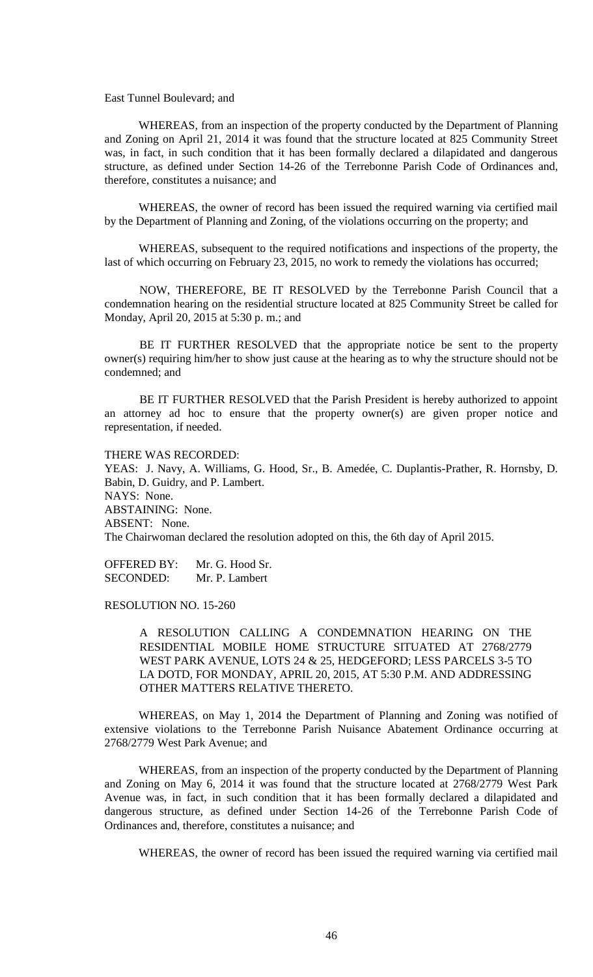East Tunnel Boulevard; and

WHEREAS, from an inspection of the property conducted by the Department of Planning and Zoning on April 21, 2014 it was found that the structure located at 825 Community Street was, in fact, in such condition that it has been formally declared a dilapidated and dangerous structure, as defined under Section 14-26 of the Terrebonne Parish Code of Ordinances and, therefore, constitutes a nuisance; and

WHEREAS, the owner of record has been issued the required warning via certified mail by the Department of Planning and Zoning, of the violations occurring on the property; and

WHEREAS, subsequent to the required notifications and inspections of the property, the last of which occurring on February 23, 2015, no work to remedy the violations has occurred;

NOW, THEREFORE, BE IT RESOLVED by the Terrebonne Parish Council that a condemnation hearing on the residential structure located at 825 Community Street be called for Monday, April 20, 2015 at 5:30 p. m.; and

BE IT FURTHER RESOLVED that the appropriate notice be sent to the property owner(s) requiring him/her to show just cause at the hearing as to why the structure should not be condemned; and

BE IT FURTHER RESOLVED that the Parish President is hereby authorized to appoint an attorney ad hoc to ensure that the property owner(s) are given proper notice and representation, if needed.

THERE WAS RECORDED:

YEAS: J. Navy, A. Williams, G. Hood, Sr., B. Amedée, C. Duplantis-Prather, R. Hornsby, D. Babin, D. Guidry, and P. Lambert. NAYS: None. ABSTAINING: None. ABSENT: None. The Chairwoman declared the resolution adopted on this, the 6th day of April 2015.

OFFERED BY: Mr. G. Hood Sr. SECONDED: Mr. P. Lambert

RESOLUTION NO. 15-260

A RESOLUTION CALLING A CONDEMNATION HEARING ON THE RESIDENTIAL MOBILE HOME STRUCTURE SITUATED AT 2768/2779 WEST PARK AVENUE, LOTS 24 & 25, HEDGEFORD; LESS PARCELS 3-5 TO LA DOTD, FOR MONDAY, APRIL 20, 2015, AT 5:30 P.M. AND ADDRESSING OTHER MATTERS RELATIVE THERETO.

WHEREAS, on May 1, 2014 the Department of Planning and Zoning was notified of extensive violations to the Terrebonne Parish Nuisance Abatement Ordinance occurring at 2768/2779 West Park Avenue; and

WHEREAS, from an inspection of the property conducted by the Department of Planning and Zoning on May 6, 2014 it was found that the structure located at 2768/2779 West Park Avenue was, in fact, in such condition that it has been formally declared a dilapidated and dangerous structure, as defined under Section 14-26 of the Terrebonne Parish Code of Ordinances and, therefore, constitutes a nuisance; and

WHEREAS, the owner of record has been issued the required warning via certified mail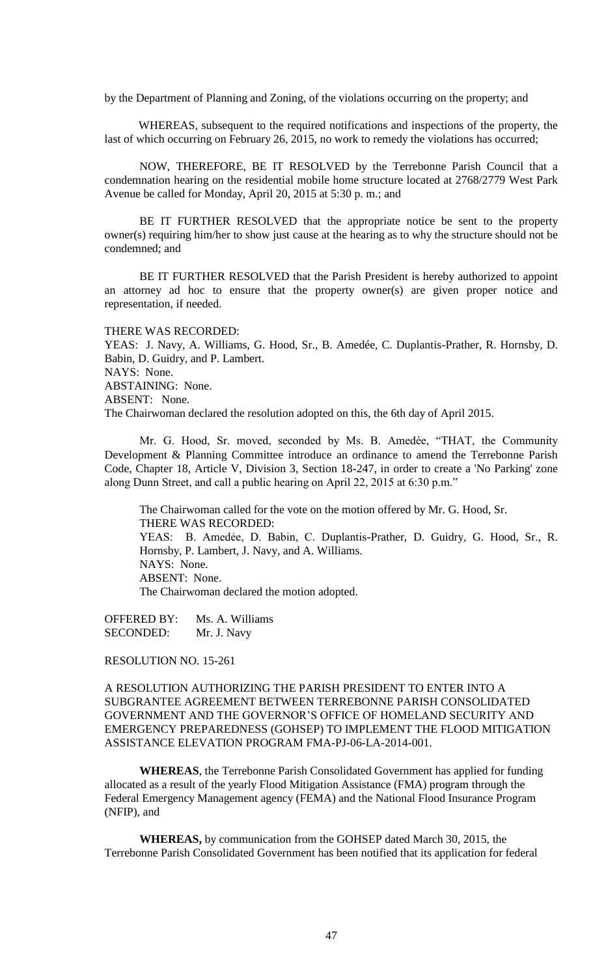by the Department of Planning and Zoning, of the violations occurring on the property; and

WHEREAS, subsequent to the required notifications and inspections of the property, the last of which occurring on February 26, 2015, no work to remedy the violations has occurred;

NOW, THEREFORE, BE IT RESOLVED by the Terrebonne Parish Council that a condemnation hearing on the residential mobile home structure located at 2768/2779 West Park Avenue be called for Monday, April 20, 2015 at 5:30 p. m.; and

BE IT FURTHER RESOLVED that the appropriate notice be sent to the property owner(s) requiring him/her to show just cause at the hearing as to why the structure should not be condemned; and

BE IT FURTHER RESOLVED that the Parish President is hereby authorized to appoint an attorney ad hoc to ensure that the property owner(s) are given proper notice and representation, if needed.

THERE WAS RECORDED:

YEAS: J. Navy, A. Williams, G. Hood, Sr., B. Amedée, C. Duplantis-Prather, R. Hornsby, D. Babin, D. Guidry, and P. Lambert. NAYS: None. ABSTAINING: None. ABSENT: None. The Chairwoman declared the resolution adopted on this, the 6th day of April 2015.

Mr. G. Hood, Sr. moved, seconded by Ms. B. Amedèe, "THAT, the Community Development & Planning Committee introduce an ordinance to amend the Terrebonne Parish Code, Chapter 18, Article V, Division 3, Section 18-247, in order to create a 'No Parking' zone along Dunn Street, and call a public hearing on April 22, 2015 at 6:30 p.m."

The Chairwoman called for the vote on the motion offered by Mr. G. Hood, Sr. THERE WAS RECORDED: YEAS: B. Amedẻe, D. Babin, C. Duplantis-Prather, D. Guidry, G. Hood, Sr., R. Hornsby, P. Lambert, J. Navy, and A. Williams. NAYS: None. ABSENT: None. The Chairwoman declared the motion adopted.

OFFERED BY: Ms. A. Williams SECONDED: Mr. J. Navy

RESOLUTION NO. 15-261

A RESOLUTION AUTHORIZING THE PARISH PRESIDENT TO ENTER INTO A SUBGRANTEE AGREEMENT BETWEEN TERREBONNE PARISH CONSOLIDATED GOVERNMENT AND THE GOVERNOR'S OFFICE OF HOMELAND SECURITY AND EMERGENCY PREPAREDNESS (GOHSEP) TO IMPLEMENT THE FLOOD MITIGATION ASSISTANCE ELEVATION PROGRAM FMA-PJ-06-LA-2014-001.

**WHEREAS**, the Terrebonne Parish Consolidated Government has applied for funding allocated as a result of the yearly Flood Mitigation Assistance (FMA) program through the Federal Emergency Management agency (FEMA) and the National Flood Insurance Program (NFIP), and

**WHEREAS,** by communication from the GOHSEP dated March 30, 2015, the Terrebonne Parish Consolidated Government has been notified that its application for federal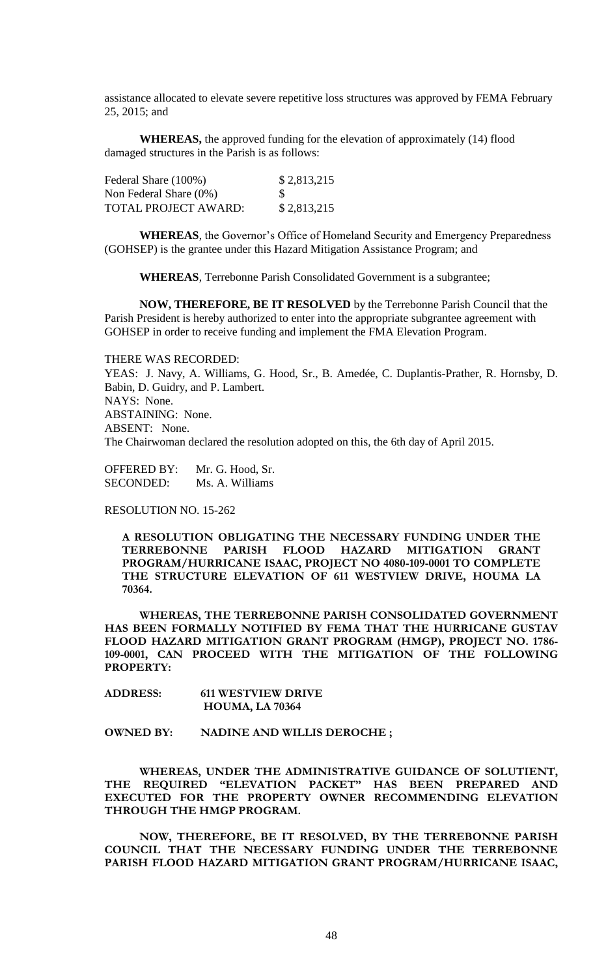assistance allocated to elevate severe repetitive loss structures was approved by FEMA February 25, 2015; and

**WHEREAS,** the approved funding for the elevation of approximately (14) flood damaged structures in the Parish is as follows:

| Federal Share (100%)        | \$2,813,215 |
|-----------------------------|-------------|
| Non Federal Share $(0\%)$   | -S          |
| <b>TOTAL PROJECT AWARD:</b> | \$2,813,215 |

**WHEREAS**, the Governor's Office of Homeland Security and Emergency Preparedness (GOHSEP) is the grantee under this Hazard Mitigation Assistance Program; and

**WHEREAS**, Terrebonne Parish Consolidated Government is a subgrantee;

**NOW, THEREFORE, BE IT RESOLVED** by the Terrebonne Parish Council that the Parish President is hereby authorized to enter into the appropriate subgrantee agreement with GOHSEP in order to receive funding and implement the FMA Elevation Program.

THERE WAS RECORDED:

YEAS: J. Navy, A. Williams, G. Hood, Sr., B. Amedée, C. Duplantis-Prather, R. Hornsby, D. Babin, D. Guidry, and P. Lambert. NAYS: None. ABSTAINING: None. ABSENT: None. The Chairwoman declared the resolution adopted on this, the 6th day of April 2015.

OFFERED BY: Mr. G. Hood, Sr. SECONDED: Ms. A. Williams

RESOLUTION NO. 15-262

**A RESOLUTION OBLIGATING THE NECESSARY FUNDING UNDER THE TERREBONNE PARISH FLOOD HAZARD MITIGATION GRANT PROGRAM/HURRICANE ISAAC, PROJECT NO 4080-109-0001 TO COMPLETE THE STRUCTURE ELEVATION OF 611 WESTVIEW DRIVE, HOUMA LA 70364.**

**WHEREAS, THE TERREBONNE PARISH CONSOLIDATED GOVERNMENT HAS BEEN FORMALLY NOTIFIED BY FEMA THAT THE HURRICANE GUSTAV FLOOD HAZARD MITIGATION GRANT PROGRAM (HMGP), PROJECT NO. 1786- 109-0001, CAN PROCEED WITH THE MITIGATION OF THE FOLLOWING PROPERTY:**

**ADDRESS: 611 WESTVIEW DRIVE HOUMA, LA 70364**

**OWNED BY: NADINE AND WILLIS DEROCHE ;**

**WHEREAS, UNDER THE ADMINISTRATIVE GUIDANCE OF SOLUTIENT, THE REQUIRED "ELEVATION PACKET" HAS BEEN PREPARED AND EXECUTED FOR THE PROPERTY OWNER RECOMMENDING ELEVATION THROUGH THE HMGP PROGRAM.**

**NOW, THEREFORE, BE IT RESOLVED, BY THE TERREBONNE PARISH COUNCIL THAT THE NECESSARY FUNDING UNDER THE TERREBONNE PARISH FLOOD HAZARD MITIGATION GRANT PROGRAM/HURRICANE ISAAC,**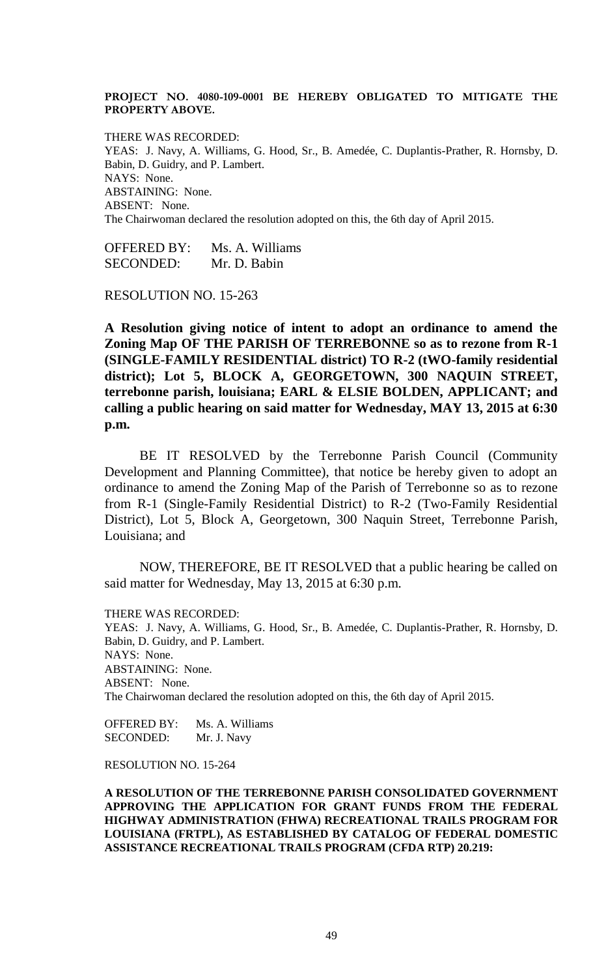# **PROJECT NO. 4080-109-0001 BE HEREBY OBLIGATED TO MITIGATE THE PROPERTY ABOVE.**

THERE WAS RECORDED: YEAS: J. Navy, A. Williams, G. Hood, Sr., B. Amedée, C. Duplantis-Prather, R. Hornsby, D. Babin, D. Guidry, and P. Lambert. NAYS: None. ABSTAINING: None. ABSENT: None. The Chairwoman declared the resolution adopted on this, the 6th day of April 2015.

OFFERED BY: Ms. A. Williams SECONDED: Mr. D. Babin

RESOLUTION NO. 15-263

**A Resolution giving notice of intent to adopt an ordinance to amend the Zoning Map OF THE PARISH OF TERREBONNE so as to rezone from R-1 (SINGLE-FAMILY RESIDENTIAL district) TO R-2 (tWO-family residential district); Lot 5, BLOCK A, GEORGETOWN, 300 NAQUIN STREET, terrebonne parish, louisiana; EARL & ELSIE BOLDEN, APPLICANT; and calling a public hearing on said matter for Wednesday, MAY 13, 2015 at 6:30 p.m.**

BE IT RESOLVED by the Terrebonne Parish Council (Community Development and Planning Committee), that notice be hereby given to adopt an ordinance to amend the Zoning Map of the Parish of Terrebonne so as to rezone from R-1 (Single-Family Residential District) to R-2 (Two-Family Residential District), Lot 5, Block A, Georgetown, 300 Naquin Street, Terrebonne Parish, Louisiana; and

NOW, THEREFORE, BE IT RESOLVED that a public hearing be called on said matter for Wednesday, May 13, 2015 at 6:30 p.m.

THERE WAS RECORDED:

YEAS: J. Navy, A. Williams, G. Hood, Sr., B. Amedée, C. Duplantis-Prather, R. Hornsby, D. Babin, D. Guidry, and P. Lambert. NAYS: None. ABSTAINING: None. ABSENT: None. The Chairwoman declared the resolution adopted on this, the 6th day of April 2015.

OFFERED BY: Ms. A. Williams SECONDED: Mr. J. Navy

RESOLUTION NO. 15-264

**A RESOLUTION OF THE TERREBONNE PARISH CONSOLIDATED GOVERNMENT APPROVING THE APPLICATION FOR GRANT FUNDS FROM THE FEDERAL HIGHWAY ADMINISTRATION (FHWA) RECREATIONAL TRAILS PROGRAM FOR LOUISIANA (FRTPL), AS ESTABLISHED BY CATALOG OF FEDERAL DOMESTIC ASSISTANCE RECREATIONAL TRAILS PROGRAM (CFDA RTP) 20.219:**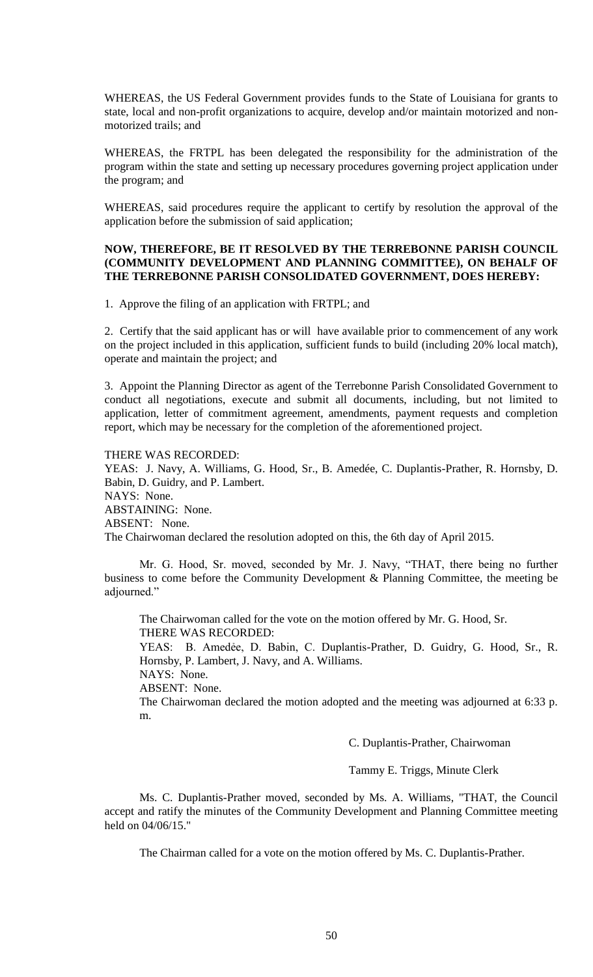WHEREAS, the US Federal Government provides funds to the State of Louisiana for grants to state, local and non-profit organizations to acquire, develop and/or maintain motorized and nonmotorized trails; and

WHEREAS, the FRTPL has been delegated the responsibility for the administration of the program within the state and setting up necessary procedures governing project application under the program; and

WHEREAS, said procedures require the applicant to certify by resolution the approval of the application before the submission of said application;

# **NOW, THEREFORE, BE IT RESOLVED BY THE TERREBONNE PARISH COUNCIL (COMMUNITY DEVELOPMENT AND PLANNING COMMITTEE), ON BEHALF OF THE TERREBONNE PARISH CONSOLIDATED GOVERNMENT, DOES HEREBY:**

1. Approve the filing of an application with FRTPL; and

2. Certify that the said applicant has or will have available prior to commencement of any work on the project included in this application, sufficient funds to build (including 20% local match), operate and maintain the project; and

3. Appoint the Planning Director as agent of the Terrebonne Parish Consolidated Government to conduct all negotiations, execute and submit all documents, including, but not limited to application, letter of commitment agreement, amendments, payment requests and completion report, which may be necessary for the completion of the aforementioned project.

# THERE WAS RECORDED:

YEAS: J. Navy, A. Williams, G. Hood, Sr., B. Amedée, C. Duplantis-Prather, R. Hornsby, D. Babin, D. Guidry, and P. Lambert. NAYS: None. ABSTAINING: None. ABSENT: None. The Chairwoman declared the resolution adopted on this, the 6th day of April 2015.

Mr. G. Hood, Sr. moved, seconded by Mr. J. Navy, "THAT, there being no further business to come before the Community Development & Planning Committee, the meeting be adjourned."

The Chairwoman called for the vote on the motion offered by Mr. G. Hood, Sr. THERE WAS RECORDED:

YEAS: B. Amedẻe, D. Babin, C. Duplantis-Prather, D. Guidry, G. Hood, Sr., R. Hornsby, P. Lambert, J. Navy, and A. Williams.

NAYS: None.

ABSENT: None.

The Chairwoman declared the motion adopted and the meeting was adjourned at 6:33 p. m.

C. Duplantis-Prather, Chairwoman

Tammy E. Triggs, Minute Clerk

Ms. C. Duplantis-Prather moved, seconded by Ms. A. Williams, "THAT, the Council accept and ratify the minutes of the Community Development and Planning Committee meeting held on 04/06/15."

The Chairman called for a vote on the motion offered by Ms. C. Duplantis-Prather.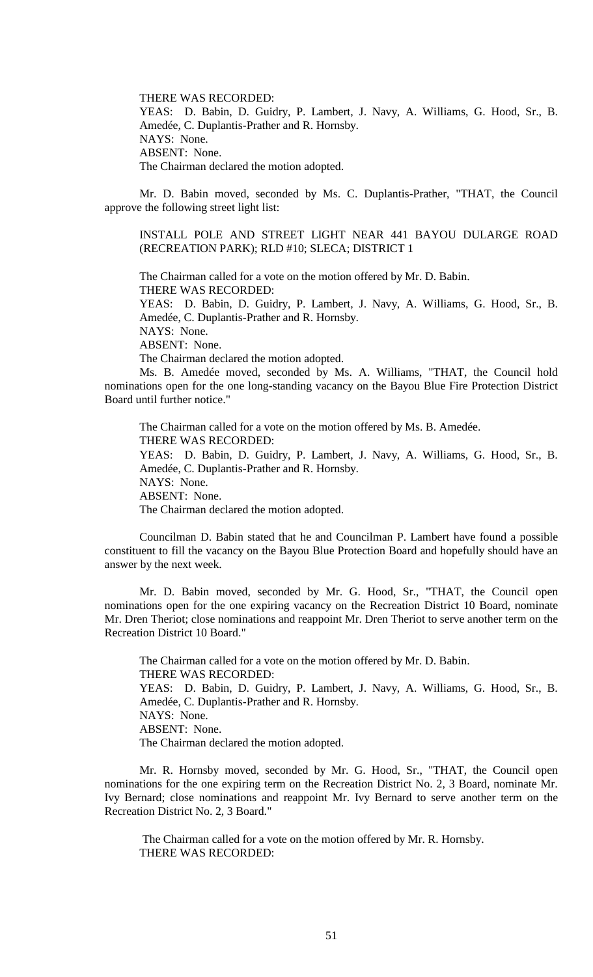THERE WAS RECORDED:

YEAS: D. Babin, D. Guidry, P. Lambert, J. Navy, A. Williams, G. Hood, Sr., B. Amedée, C. Duplantis-Prather and R. Hornsby. NAYS: None. ABSENT: None. The Chairman declared the motion adopted.

Mr. D. Babin moved, seconded by Ms. C. Duplantis-Prather, "THAT, the Council approve the following street light list:

INSTALL POLE AND STREET LIGHT NEAR 441 BAYOU DULARGE ROAD (RECREATION PARK); RLD #10; SLECA; DISTRICT 1

The Chairman called for a vote on the motion offered by Mr. D. Babin. THERE WAS RECORDED:

YEAS: D. Babin, D. Guidry, P. Lambert, J. Navy, A. Williams, G. Hood, Sr., B. Amedée, C. Duplantis-Prather and R. Hornsby.

NAYS: None.

ABSENT: None. The Chairman declared the motion adopted.

Ms. B. Amedée moved, seconded by Ms. A. Williams, "THAT, the Council hold nominations open for the one long-standing vacancy on the Bayou Blue Fire Protection District Board until further notice."

The Chairman called for a vote on the motion offered by Ms. B. Amedée. THERE WAS RECORDED: YEAS: D. Babin, D. Guidry, P. Lambert, J. Navy, A. Williams, G. Hood, Sr., B. Amedée, C. Duplantis-Prather and R. Hornsby. NAYS: None. ABSENT: None. The Chairman declared the motion adopted.

Councilman D. Babin stated that he and Councilman P. Lambert have found a possible constituent to fill the vacancy on the Bayou Blue Protection Board and hopefully should have an answer by the next week.

Mr. D. Babin moved, seconded by Mr. G. Hood, Sr., "THAT, the Council open nominations open for the one expiring vacancy on the Recreation District 10 Board, nominate Mr. Dren Theriot; close nominations and reappoint Mr. Dren Theriot to serve another term on the Recreation District 10 Board."

The Chairman called for a vote on the motion offered by Mr. D. Babin. THERE WAS RECORDED: YEAS: D. Babin, D. Guidry, P. Lambert, J. Navy, A. Williams, G. Hood, Sr., B. Amedée, C. Duplantis-Prather and R. Hornsby. NAYS: None. ABSENT: None. The Chairman declared the motion adopted.

Mr. R. Hornsby moved, seconded by Mr. G. Hood, Sr., "THAT, the Council open nominations for the one expiring term on the Recreation District No. 2, 3 Board, nominate Mr. Ivy Bernard; close nominations and reappoint Mr. Ivy Bernard to serve another term on the Recreation District No. 2, 3 Board."

The Chairman called for a vote on the motion offered by Mr. R. Hornsby. THERE WAS RECORDED: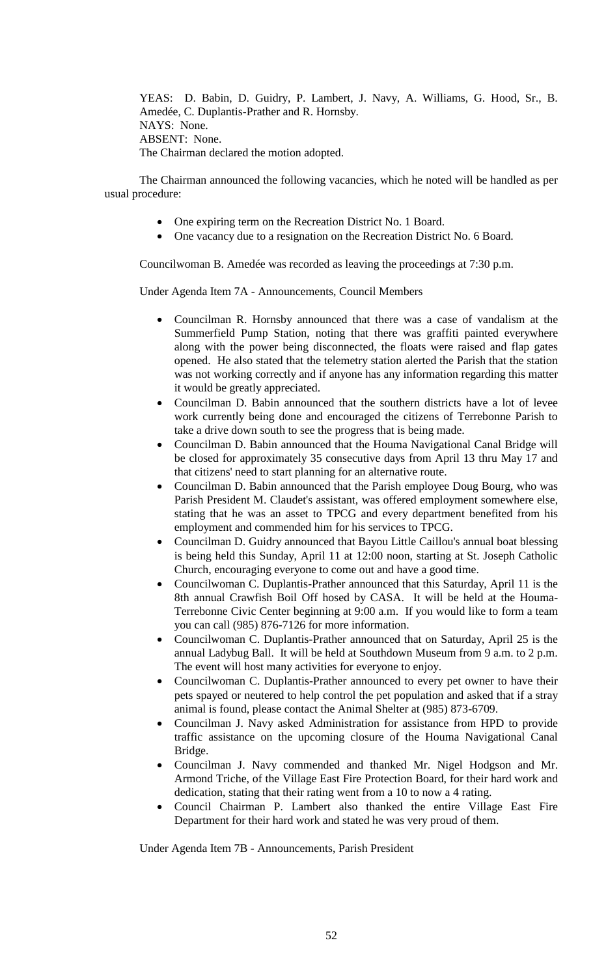YEAS: D. Babin, D. Guidry, P. Lambert, J. Navy, A. Williams, G. Hood, Sr., B. Amedée, C. Duplantis-Prather and R. Hornsby. NAYS: None. ABSENT: None. The Chairman declared the motion adopted.

The Chairman announced the following vacancies, which he noted will be handled as per usual procedure:

- One expiring term on the Recreation District No. 1 Board.
- One vacancy due to a resignation on the Recreation District No. 6 Board.

Councilwoman B. Amedée was recorded as leaving the proceedings at 7:30 p.m.

Under Agenda Item 7A - Announcements, Council Members

- Councilman R. Hornsby announced that there was a case of vandalism at the Summerfield Pump Station, noting that there was graffiti painted everywhere along with the power being disconnected, the floats were raised and flap gates opened. He also stated that the telemetry station alerted the Parish that the station was not working correctly and if anyone has any information regarding this matter it would be greatly appreciated.
- Councilman D. Babin announced that the southern districts have a lot of levee work currently being done and encouraged the citizens of Terrebonne Parish to take a drive down south to see the progress that is being made.
- Councilman D. Babin announced that the Houma Navigational Canal Bridge will be closed for approximately 35 consecutive days from April 13 thru May 17 and that citizens' need to start planning for an alternative route.
- Councilman D. Babin announced that the Parish employee Doug Bourg, who was Parish President M. Claudet's assistant, was offered employment somewhere else, stating that he was an asset to TPCG and every department benefited from his employment and commended him for his services to TPCG.
- Councilman D. Guidry announced that Bayou Little Caillou's annual boat blessing is being held this Sunday, April 11 at 12:00 noon, starting at St. Joseph Catholic Church, encouraging everyone to come out and have a good time.
- Councilwoman C. Duplantis-Prather announced that this Saturday, April 11 is the 8th annual Crawfish Boil Off hosed by CASA. It will be held at the Houma-Terrebonne Civic Center beginning at 9:00 a.m. If you would like to form a team you can call (985) 876-7126 for more information.
- Councilwoman C. Duplantis-Prather announced that on Saturday, April 25 is the annual Ladybug Ball. It will be held at Southdown Museum from 9 a.m. to 2 p.m. The event will host many activities for everyone to enjoy.
- Councilwoman C. Duplantis-Prather announced to every pet owner to have their pets spayed or neutered to help control the pet population and asked that if a stray animal is found, please contact the Animal Shelter at (985) 873-6709.
- Councilman J. Navy asked Administration for assistance from HPD to provide traffic assistance on the upcoming closure of the Houma Navigational Canal Bridge.
- Councilman J. Navy commended and thanked Mr. Nigel Hodgson and Mr. Armond Triche, of the Village East Fire Protection Board, for their hard work and dedication, stating that their rating went from a 10 to now a 4 rating.
- Council Chairman P. Lambert also thanked the entire Village East Fire Department for their hard work and stated he was very proud of them.

Under Agenda Item 7B - Announcements, Parish President